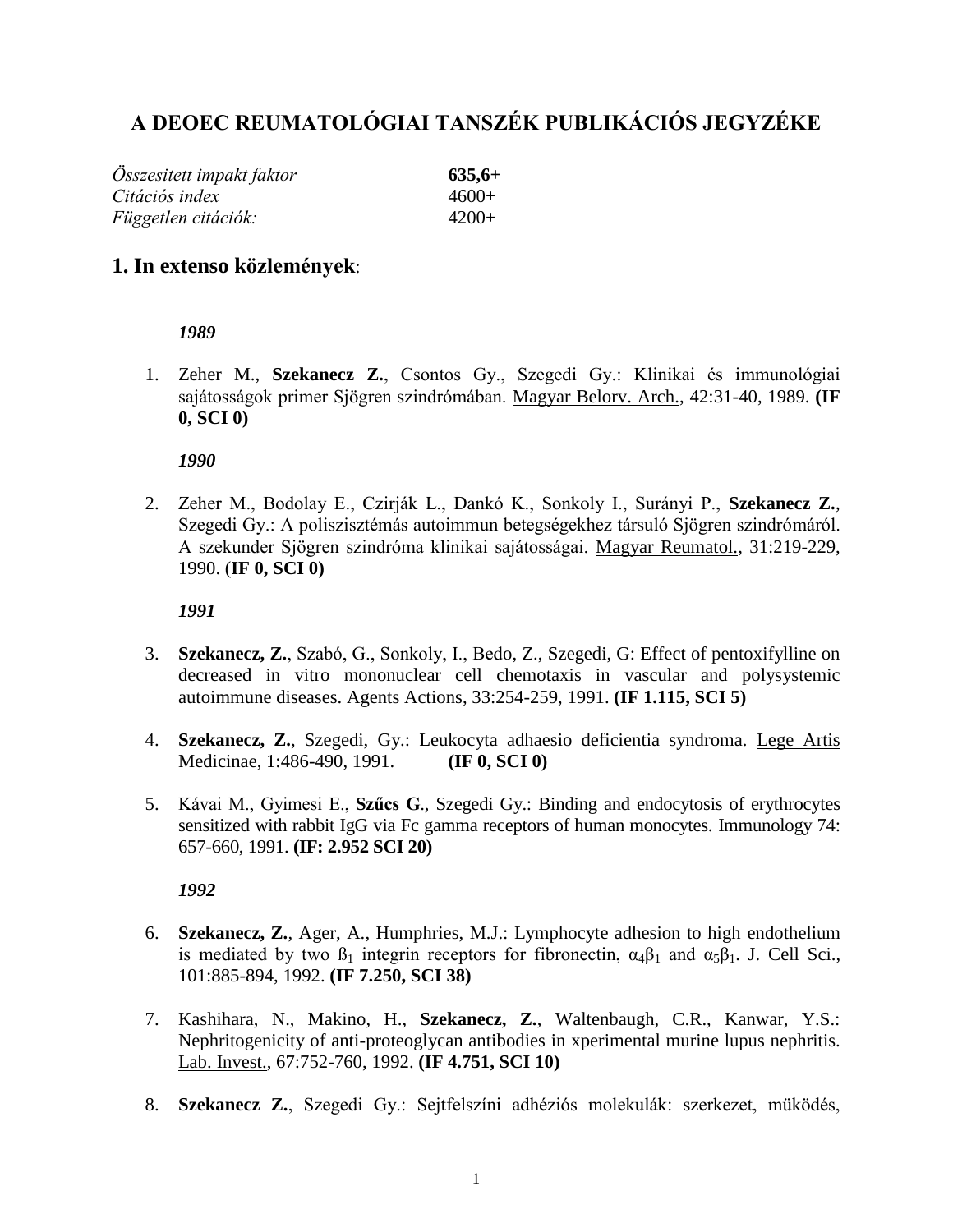# **A DEOEC REUMATOLÓGIAI TANSZÉK PUBLIKÁCIÓS JEGYZÉKE**

| Összesitett impakt faktor | $635,6+$ |
|---------------------------|----------|
| Citációs index            | $4600+$  |
| Független citációk:       | 4200+    |

# **1. In extenso közlemények**:

## *1989*

1. Zeher M., **Szekanecz Z.**, Csontos Gy., Szegedi Gy.: Klinikai és immunológiai sajátosságok primer Sjögren szindrómában. Magyar Belorv. Arch., 42:31-40, 1989. **(IF 0, SCI 0)**

*1990*

2. Zeher M., Bodolay E., Czirják L., Dankó K., Sonkoly I., Surányi P., **Szekanecz Z.**, Szegedi Gy.: A poliszisztémás autoimmun betegségekhez társuló Sjögren szindrómáról. A szekunder Sjögren szindróma klinikai sajátosságai. Magyar Reumatol., 31:219-229, 1990. (**IF 0, SCI 0)**

*1991*

- 3. **Szekanecz, Z.**, Szabó, G., Sonkoly, I., Bedo, Z., Szegedi, G: Effect of pentoxifylline on decreased in vitro mononuclear cell chemotaxis in vascular and polysystemic autoimmune diseases. Agents Actions, 33:254-259, 1991. **(IF 1.115, SCI 5)**
- 4. **Szekanecz, Z.**, Szegedi, Gy.: Leukocyta adhaesio deficientia syndroma. Lege Artis Medicinae, 1:486-490, 1991. **(IF 0, SCI 0)**
- 5. Kávai M., Gyimesi E., **Szűcs G**., Szegedi Gy.: Binding and endocytosis of erythrocytes sensitized with rabbit IgG via Fc gamma receptors of human monocytes. Immunology 74: 657-660, 1991. **(IF: 2.952 SCI 20)**

- 6. **Szekanecz, Z.**, Ager, A., Humphries, M.J.: Lymphocyte adhesion to high endothelium is mediated by two  $\beta_1$  integrin receptors for fibronectin,  $\alpha_4\beta_1$  and  $\alpha_5\beta_1$ . J. Cell Sci., 101:885-894, 1992. **(IF 7.250, SCI 38)**
- 7. Kashihara, N., Makino, H., **Szekanecz, Z.**, Waltenbaugh, C.R., Kanwar, Y.S.: Nephritogenicity of anti-proteoglycan antibodies in xperimental murine lupus nephritis. Lab. Invest., 67:752-760, 1992. **(IF 4.751, SCI 10)**
- 8. **Szekanecz Z.**, Szegedi Gy.: Sejtfelszíni adhéziós molekulák: szerkezet, müködés,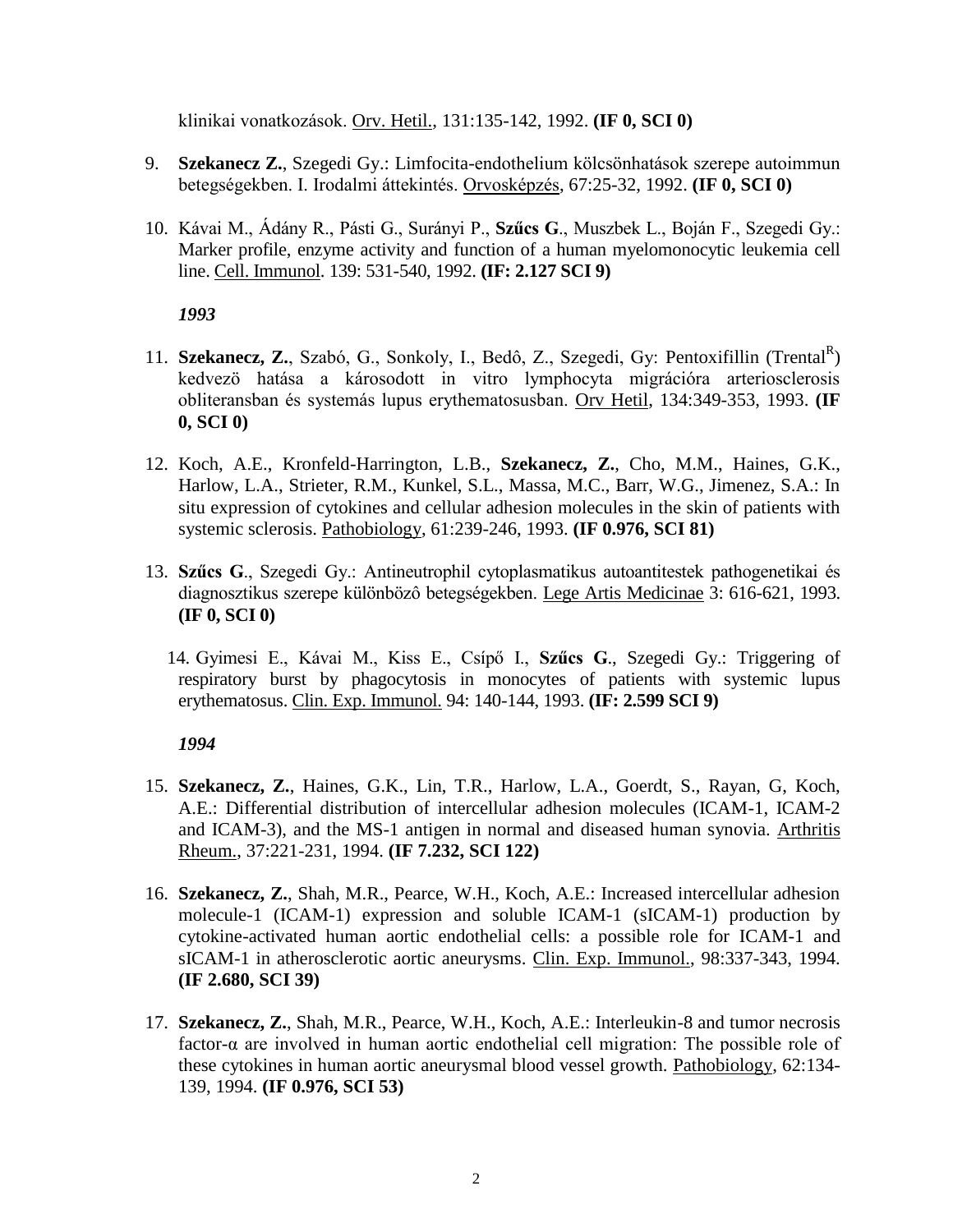klinikai vonatkozások. Orv. Hetil., 131:135-142, 1992. **(IF 0, SCI 0)**

- 9. **Szekanecz Z.**, Szegedi Gy.: Limfocita-endothelium kölcsönhatások szerepe autoimmun betegségekben. I. Irodalmi áttekintés. Orvosképzés, 67:25-32, 1992. **(IF 0, SCI 0)**
- 10. Kávai M., Ádány R., Pásti G., Surányi P., **Szűcs G**., Muszbek L., Boján F., Szegedi Gy.: Marker profile, enzyme activity and function of a human myelomonocytic leukemia cell line. Cell. Immunol. 139: 531-540, 1992. **(IF: 2.127 SCI 9)**

# *1993*

- 11. **Szekanecz, Z.**, Szabó, G., Sonkoly, I., Bedô, Z., Szegedi, Gy: Pentoxifillin (Trental<sup>R</sup>) kedvezö hatása a károsodott in vitro lymphocyta migrációra arteriosclerosis obliteransban és systemás lupus erythematosusban. Orv Hetil, 134:349-353, 1993. **(IF 0, SCI 0)**
- 12. Koch, A.E., Kronfeld-Harrington, L.B., **Szekanecz, Z.**, Cho, M.M., Haines, G.K., Harlow, L.A., Strieter, R.M., Kunkel, S.L., Massa, M.C., Barr, W.G., Jimenez, S.A.: In situ expression of cytokines and cellular adhesion molecules in the skin of patients with systemic sclerosis. Pathobiology, 61:239-246, 1993. **(IF 0.976, SCI 81)**
- 13. **Szűcs G**., Szegedi Gy.: Antineutrophil cytoplasmatikus autoantitestek pathogenetikai és diagnosztikus szerepe különbözô betegségekben. Lege Artis Medicinae 3: 616-621, 1993. **(IF 0, SCI 0)**
	- 14. Gyimesi E., Kávai M., Kiss E., Csípő I., **Szűcs G**., Szegedi Gy.: Triggering of respiratory burst by phagocytosis in monocytes of patients with systemic lupus erythematosus. Clin. Exp. Immunol. 94: 140-144, 1993. **(IF: 2.599 SCI 9)**

- 15. **Szekanecz, Z.**, Haines, G.K., Lin, T.R., Harlow, L.A., Goerdt, S., Rayan, G, Koch, A.E.: Differential distribution of intercellular adhesion molecules (ICAM-1, ICAM-2 and ICAM-3), and the MS-1 antigen in normal and diseased human synovia. Arthritis Rheum., 37:221-231, 1994. **(IF 7.232, SCI 122)**
- 16. **Szekanecz, Z.**, Shah, M.R., Pearce, W.H., Koch, A.E.: Increased intercellular adhesion molecule-1 (ICAM-1) expression and soluble ICAM-1 (sICAM-1) production by cytokine-activated human aortic endothelial cells: a possible role for ICAM-1 and sICAM-1 in atherosclerotic aortic aneurysms. Clin. Exp. Immunol., 98:337-343, 1994. **(IF 2.680, SCI 39)**
- 17. **Szekanecz, Z.**, Shah, M.R., Pearce, W.H., Koch, A.E.: Interleukin-8 and tumor necrosis factor-α are involved in human aortic endothelial cell migration: The possible role of these cytokines in human aortic aneurysmal blood vessel growth. Pathobiology, 62:134- 139, 1994. **(IF 0.976, SCI 53)**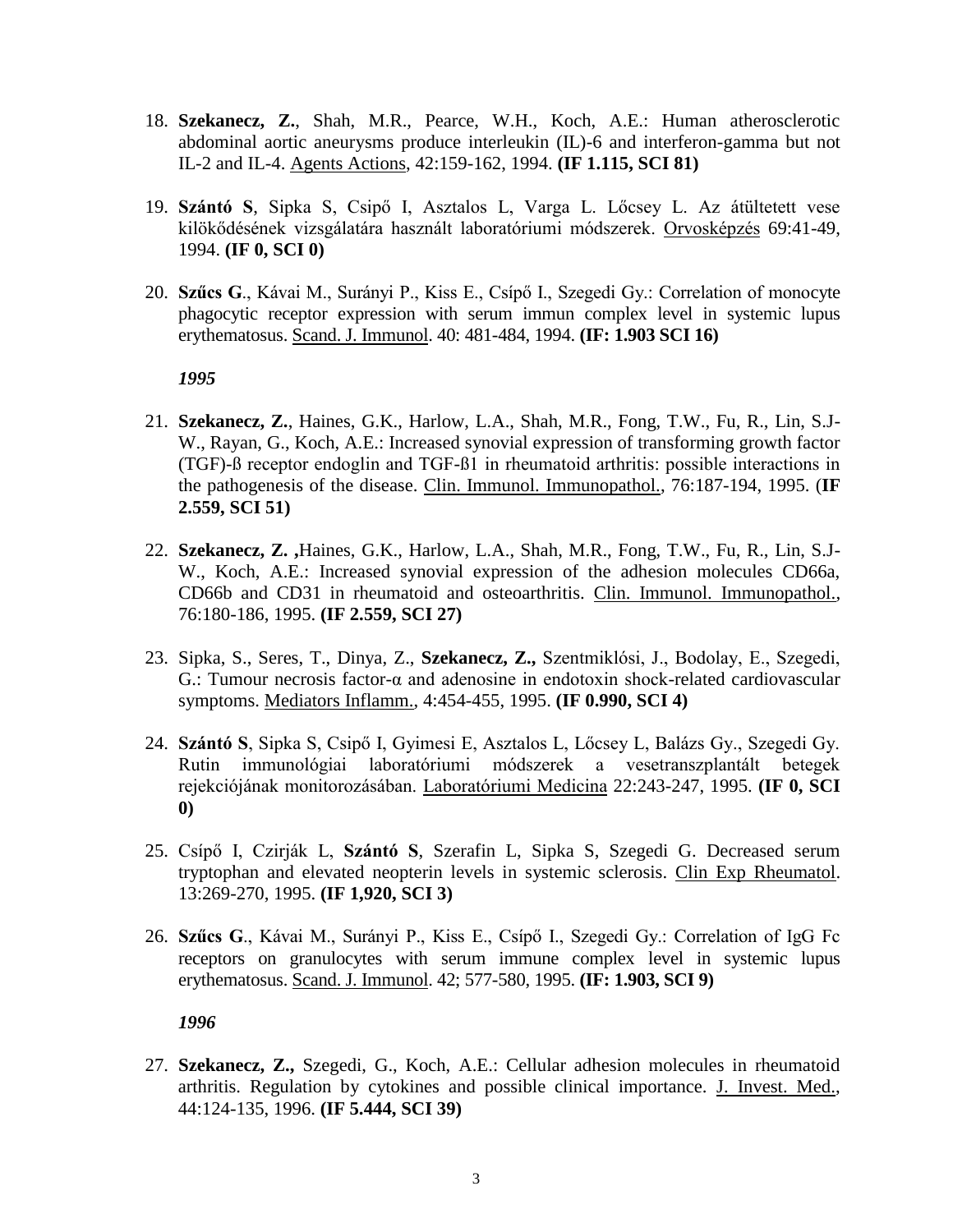- 18. **Szekanecz, Z.**, Shah, M.R., Pearce, W.H., Koch, A.E.: Human atherosclerotic abdominal aortic aneurysms produce interleukin (IL)-6 and interferon-gamma but not IL-2 and IL-4. Agents Actions, 42:159-162, 1994. **(IF 1.115, SCI 81)**
- 19. **Szántó S**, Sipka S, Csipő I, Asztalos L, Varga L. Lőcsey L. Az átültetett vese kilökődésének vizsgálatára használt laboratóriumi módszerek. Orvosképzés 69:41-49, 1994. **(IF 0, SCI 0)**
- 20. **Szűcs G**., Kávai M., Surányi P., Kiss E., Csípő I., Szegedi Gy.: Correlation of monocyte phagocytic receptor expression with serum immun complex level in systemic lupus erythematosus. Scand. J. Immunol. 40: 481-484, 1994. **(IF: 1.903 SCI 16)**

- 21. **Szekanecz, Z.**, Haines, G.K., Harlow, L.A., Shah, M.R., Fong, T.W., Fu, R., Lin, S.J-W., Rayan, G., Koch, A.E.: Increased synovial expression of transforming growth factor (TGF)-ß receptor endoglin and TGF-ß1 in rheumatoid arthritis: possible interactions in the pathogenesis of the disease. Clin. Immunol. Immunopathol., 76:187-194, 1995. (**IF 2.559, SCI 51)**
- 22. **Szekanecz, Z. ,**Haines, G.K., Harlow, L.A., Shah, M.R., Fong, T.W., Fu, R., Lin, S.J-W., Koch, A.E.: Increased synovial expression of the adhesion molecules CD66a, CD66b and CD31 in rheumatoid and osteoarthritis. Clin. Immunol. Immunopathol., 76:180-186, 1995. **(IF 2.559, SCI 27)**
- 23. Sipka, S., Seres, T., Dinya, Z., **Szekanecz, Z.,** Szentmiklósi, J., Bodolay, E., Szegedi, G.: Tumour necrosis factor-α and adenosine in endotoxin shock-related cardiovascular symptoms. Mediators Inflamm., 4:454-455, 1995. **(IF 0.990, SCI 4)**
- 24. **Szántó S**, Sipka S, Csipő I, Gyimesi E, Asztalos L, Lőcsey L, Balázs Gy., Szegedi Gy. Rutin immunológiai laboratóriumi módszerek a vesetranszplantált betegek rejekciójának monitorozásában. Laboratóriumi Medicina 22:243-247, 1995. **(IF 0, SCI 0)**
- 25. Csípő I, Czirják L, **Szántó S**, Szerafin L, Sipka S, Szegedi G. Decreased serum tryptophan and elevated neopterin levels in systemic sclerosis. Clin Exp Rheumatol. 13:269-270, 1995. **(IF 1,920, SCI 3)**
- 26. **Szűcs G**., Kávai M., Surányi P., Kiss E., Csípő I., Szegedi Gy.: Correlation of IgG Fc receptors on granulocytes with serum immune complex level in systemic lupus erythematosus. Scand. J. Immunol. 42; 577-580, 1995. **(IF: 1.903, SCI 9)**

*1996*

27. **Szekanecz, Z.,** Szegedi, G., Koch, A.E.: Cellular adhesion molecules in rheumatoid arthritis. Regulation by cytokines and possible clinical importance. J. Invest. Med., 44:124-135, 1996. **(IF 5.444, SCI 39)**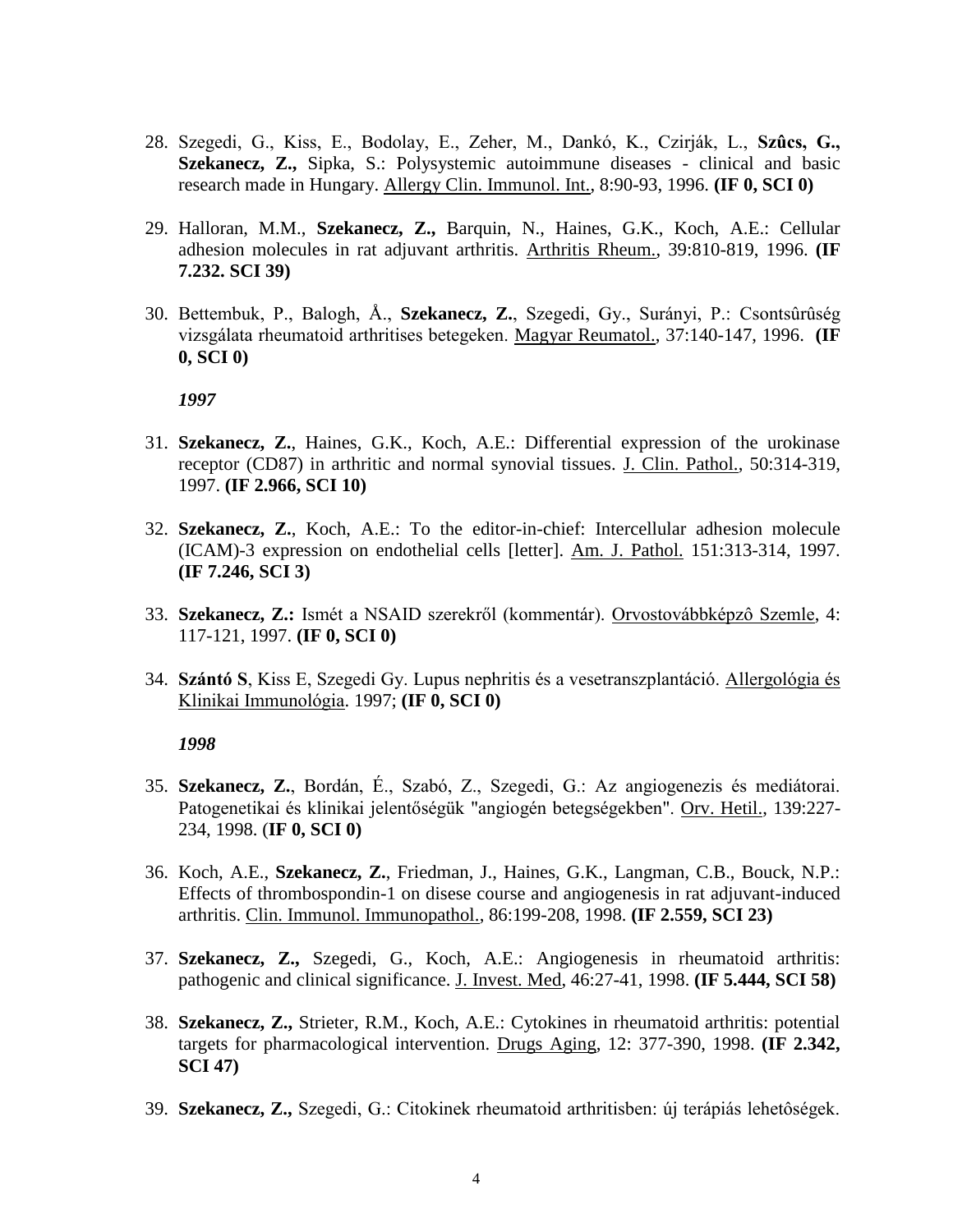- 28. Szegedi, G., Kiss, E., Bodolay, E., Zeher, M., Dankó, K., Czirják, L., **Szûcs, G., Szekanecz, Z.,** Sipka, S.: Polysystemic autoimmune diseases - clinical and basic research made in Hungary. Allergy Clin. Immunol. Int., 8:90-93, 1996. **(IF 0, SCI 0)**
- 29. Halloran, M.M., **Szekanecz, Z.,** Barquin, N., Haines, G.K., Koch, A.E.: Cellular adhesion molecules in rat adjuvant arthritis. Arthritis Rheum., 39:810-819, 1996. **(IF 7.232. SCI 39)**
- 30. Bettembuk, P., Balogh, Å., **Szekanecz, Z.**, Szegedi, Gy., Surányi, P.: Csontsûrûség vizsgálata rheumatoid arthritises betegeken. Magyar Reumatol., 37:140-147, 1996. **(IF 0, SCI 0)**

- 31. **Szekanecz, Z.**, Haines, G.K., Koch, A.E.: Differential expression of the urokinase receptor (CD87) in arthritic and normal synovial tissues. J. Clin. Pathol., 50:314-319, 1997. **(IF 2.966, SCI 10)**
- 32. **Szekanecz, Z.**, Koch, A.E.: To the editor-in-chief: Intercellular adhesion molecule (ICAM)-3 expression on endothelial cells [letter]. Am. J. Pathol. 151:313-314, 1997. **(IF 7.246, SCI 3)**
- 33. **Szekanecz, Z.:** Ismét a NSAID szerekről (kommentár). Orvostovábbképzô Szemle, 4: 117-121, 1997. **(IF 0, SCI 0)**
- 34. **Szántó S**, Kiss E, Szegedi Gy. Lupus nephritis és a vesetranszplantáció. Allergológia és Klinikai Immunológia. 1997; **(IF 0, SCI 0)**

- 35. **Szekanecz, Z.**, Bordán, É., Szabó, Z., Szegedi, G.: Az angiogenezis és mediátorai. Patogenetikai és klinikai jelentőségük "angiogén betegségekben". Orv. Hetil., 139:227- 234, 1998. (**IF 0, SCI 0)**
- 36. Koch, A.E., **Szekanecz, Z.**, Friedman, J., Haines, G.K., Langman, C.B., Bouck, N.P.: Effects of thrombospondin-1 on disese course and angiogenesis in rat adjuvant-induced arthritis. Clin. Immunol. Immunopathol., 86:199-208, 1998. **(IF 2.559, SCI 23)**
- 37. **Szekanecz, Z.,** Szegedi, G., Koch, A.E.: Angiogenesis in rheumatoid arthritis: pathogenic and clinical significance. J. Invest. Med, 46:27-41, 1998. **(IF 5.444, SCI 58)**
- 38. **Szekanecz, Z.,** Strieter, R.M., Koch, A.E.: Cytokines in rheumatoid arthritis: potential targets for pharmacological intervention. Drugs Aging, 12: 377-390, 1998. **(IF 2.342, SCI 47)**
- 39. **Szekanecz, Z.,** Szegedi, G.: Citokinek rheumatoid arthritisben: új terápiás lehetôségek.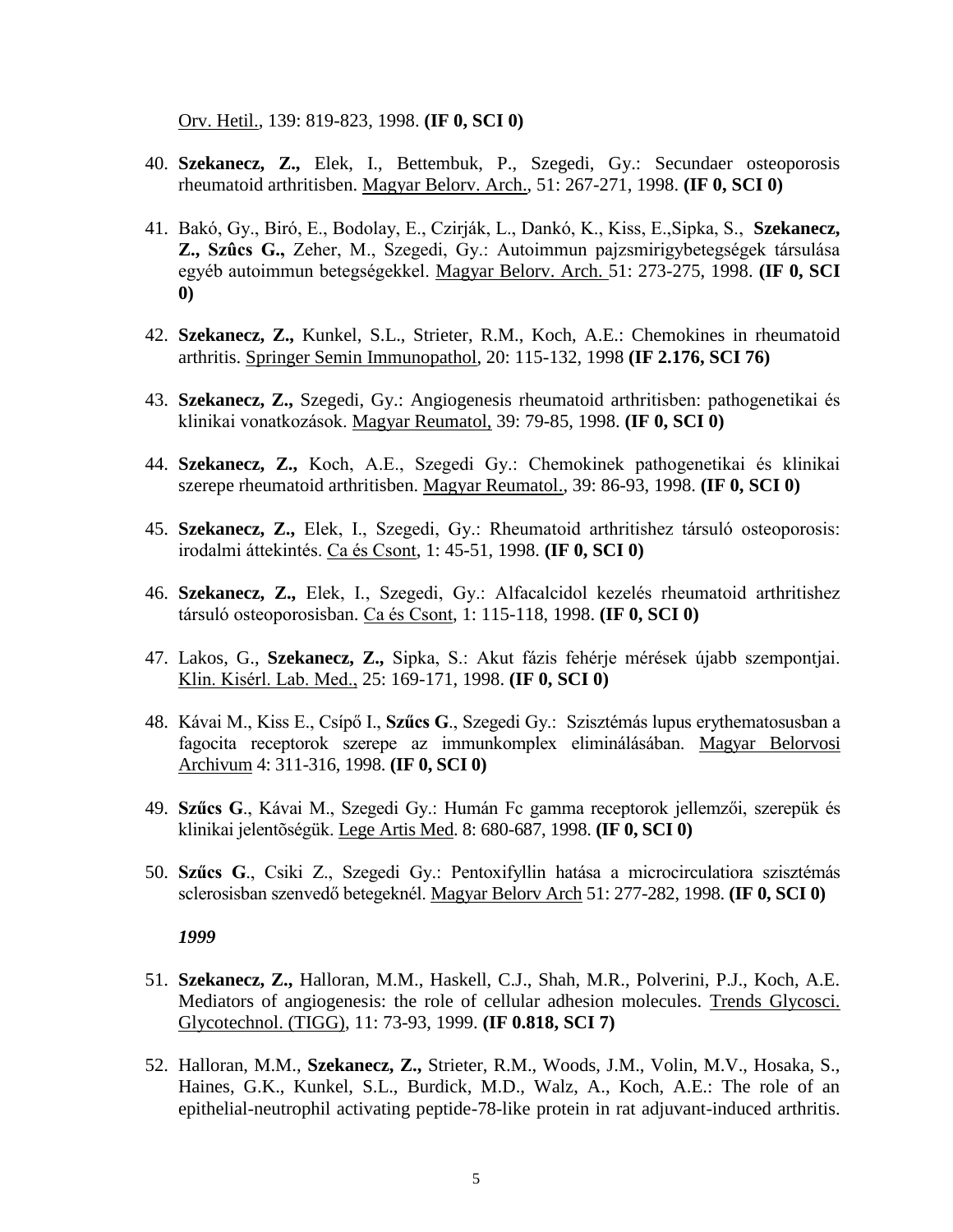Orv. Hetil., 139: 819-823, 1998. **(IF 0, SCI 0)**

- 40. **Szekanecz, Z.,** Elek, I., Bettembuk, P., Szegedi, Gy.: Secundaer osteoporosis rheumatoid arthritisben. Magyar Belorv. Arch., 51: 267-271, 1998. **(IF 0, SCI 0)**
- 41. Bakó, Gy., Biró, E., Bodolay, E., Czirják, L., Dankó, K., Kiss, E.,Sipka, S., **Szekanecz, Z., Szûcs G.,** Zeher, M., Szegedi, Gy.: Autoimmun pajzsmirigybetegségek társulása egyéb autoimmun betegségekkel. Magyar Belorv. Arch. 51: 273-275, 1998. **(IF 0, SCI 0)**
- 42. **Szekanecz, Z.,** Kunkel, S.L., Strieter, R.M., Koch, A.E.: Chemokines in rheumatoid arthritis. Springer Semin Immunopathol, 20: 115-132, 1998 **(IF 2.176, SCI 76)**
- 43. **Szekanecz, Z.,** Szegedi, Gy.: Angiogenesis rheumatoid arthritisben: pathogenetikai és klinikai vonatkozások. Magyar Reumatol, 39: 79-85, 1998. **(IF 0, SCI 0)**
- 44. **Szekanecz, Z.,** Koch, A.E., Szegedi Gy.: Chemokinek pathogenetikai és klinikai szerepe rheumatoid arthritisben. Magyar Reumatol., 39: 86-93, 1998. **(IF 0, SCI 0)**
- 45. **Szekanecz, Z.,** Elek, I., Szegedi, Gy.: Rheumatoid arthritishez társuló osteoporosis: irodalmi áttekintés. Ca és Csont, 1: 45-51, 1998. **(IF 0, SCI 0)**
- 46. **Szekanecz, Z.,** Elek, I., Szegedi, Gy.: Alfacalcidol kezelés rheumatoid arthritishez társuló osteoporosisban. Ca és Csont, 1: 115-118, 1998. **(IF 0, SCI 0)**
- 47. Lakos, G., **Szekanecz, Z.,** Sipka, S.: Akut fázis fehérje mérések újabb szempontjai. Klin. Kisérl. Lab. Med., 25: 169-171, 1998. **(IF 0, SCI 0)**
- 48. Kávai M., Kiss E., Csípő I., **Szűcs G**., Szegedi Gy.: Szisztémás lupus erythematosusban a fagocita receptorok szerepe az immunkomplex eliminálásában. Magyar Belorvosi Archivum 4: 311-316, 1998. **(IF 0, SCI 0)**
- 49. **Szűcs G**., Kávai M., Szegedi Gy.: Humán Fc gamma receptorok jellemzői, szerepük és klinikai jelentõségük. Lege Artis Med. 8: 680-687, 1998. **(IF 0, SCI 0)**
- 50. **Szűcs G**., Csiki Z., Szegedi Gy.: Pentoxifyllin hatása a microcirculatiora szisztémás sclerosisban szenvedő betegeknél. Magyar Belorv Arch 51: 277-282, 1998. **(IF 0, SCI 0)**

- 51. **Szekanecz, Z.,** Halloran, M.M., Haskell, C.J., Shah, M.R., Polverini, P.J., Koch, A.E. Mediators of angiogenesis: the role of cellular adhesion molecules. Trends Glycosci. Glycotechnol. (TIGG), 11: 73-93, 1999. **(IF 0.818, SCI 7)**
- 52. Halloran, M.M., **Szekanecz, Z.,** Strieter, R.M., Woods, J.M., Volin, M.V., Hosaka, S., Haines, G.K., Kunkel, S.L., Burdick, M.D., Walz, A., Koch, A.E.: The role of an epithelial-neutrophil activating peptide-78-like protein in rat adjuvant-induced arthritis.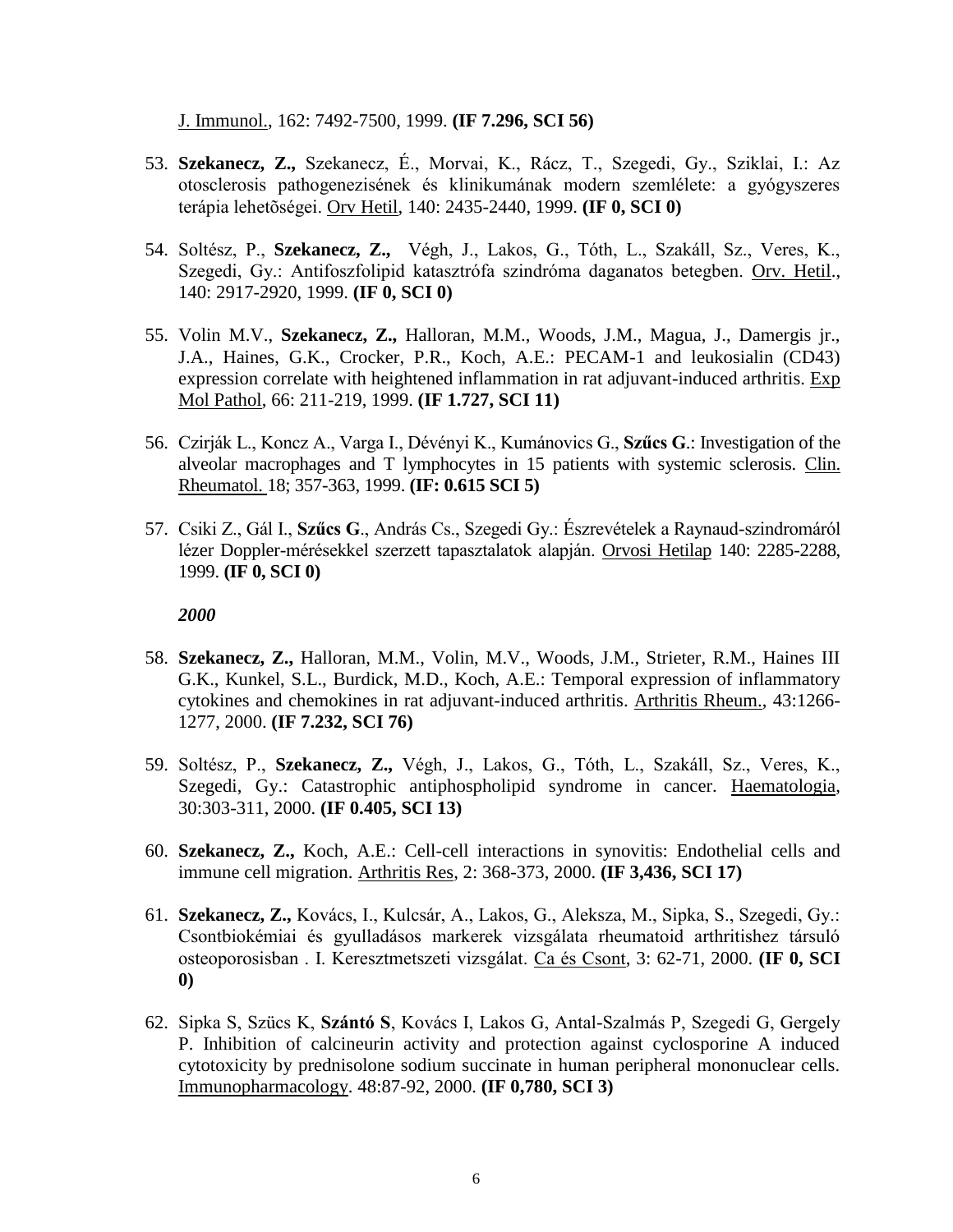J. Immunol., 162: 7492-7500, 1999. **(IF 7.296, SCI 56)**

- 53. **Szekanecz, Z.,** Szekanecz, É., Morvai, K., Rácz, T., Szegedi, Gy., Sziklai, I.: Az otosclerosis pathogenezisének és klinikumának modern szemlélete: a gyógyszeres terápia lehetõségei. Orv Hetil, 140: 2435-2440, 1999. **(IF 0, SCI 0)**
- 54. Soltész, P., **Szekanecz, Z.,** Végh, J., Lakos, G., Tóth, L., Szakáll, Sz., Veres, K., Szegedi, Gy.: Antifoszfolipid katasztrófa szindróma daganatos betegben. Orv. Hetil., 140: 2917-2920, 1999. **(IF 0, SCI 0)**
- 55. Volin M.V., **Szekanecz, Z.,** Halloran, M.M., Woods, J.M., Magua, J., Damergis jr., J.A., Haines, G.K., Crocker, P.R., Koch, A.E.: PECAM-1 and leukosialin (CD43) expression correlate with heightened inflammation in rat adjuvant-induced arthritis. Exp Mol Pathol, 66: 211-219, 1999. **(IF 1.727, SCI 11)**
- 56. Czirják L., Koncz A., Varga I., Dévényi K., Kumánovics G., **Szűcs G**.: Investigation of the alveolar macrophages and T lymphocytes in 15 patients with systemic sclerosis. Clin. Rheumatol. 18; 357-363, 1999. **(IF: 0.615 SCI 5)**
- 57. Csiki Z., Gál I., **Szűcs G**., András Cs., Szegedi Gy.: Észrevételek a Raynaud-szindromáról lézer Doppler-mérésekkel szerzett tapasztalatok alapján. Orvosi Hetilap 140: 2285-2288, 1999. **(IF 0, SCI 0)**

- 58. **Szekanecz, Z.,** Halloran, M.M., Volin, M.V., Woods, J.M., Strieter, R.M., Haines III G.K., Kunkel, S.L., Burdick, M.D., Koch, A.E.: Temporal expression of inflammatory cytokines and chemokines in rat adjuvant-induced arthritis. Arthritis Rheum., 43:1266- 1277, 2000. **(IF 7.232, SCI 76)**
- 59. Soltész, P., **Szekanecz, Z.,** Végh, J., Lakos, G., Tóth, L., Szakáll, Sz., Veres, K., Szegedi, Gy.: Catastrophic antiphospholipid syndrome in cancer. Haematologia, 30:303-311, 2000. **(IF 0.405, SCI 13)**
- 60. **Szekanecz, Z.,** Koch, A.E.: Cell-cell interactions in synovitis: Endothelial cells and immune cell migration. Arthritis Res, 2: 368-373, 2000. **(IF 3,436, SCI 17)**
- 61. **Szekanecz, Z.,** Kovács, I., Kulcsár, A., Lakos, G., Aleksza, M., Sipka, S., Szegedi, Gy.: Csontbiokémiai és gyulladásos markerek vizsgálata rheumatoid arthritishez társuló osteoporosisban . I. Keresztmetszeti vizsgálat. Ca és Csont, 3: 62-71, 2000. **(IF 0, SCI 0)**
- 62. Sipka S, Szücs K, **Szántó S**, Kovács I, Lakos G, Antal-Szalmás P, Szegedi G, Gergely P. Inhibition of calcineurin activity and protection against cyclosporine A induced cytotoxicity by prednisolone sodium succinate in human peripheral mononuclear cells. Immunopharmacology. 48:87-92, 2000. **(IF 0,780, SCI 3)**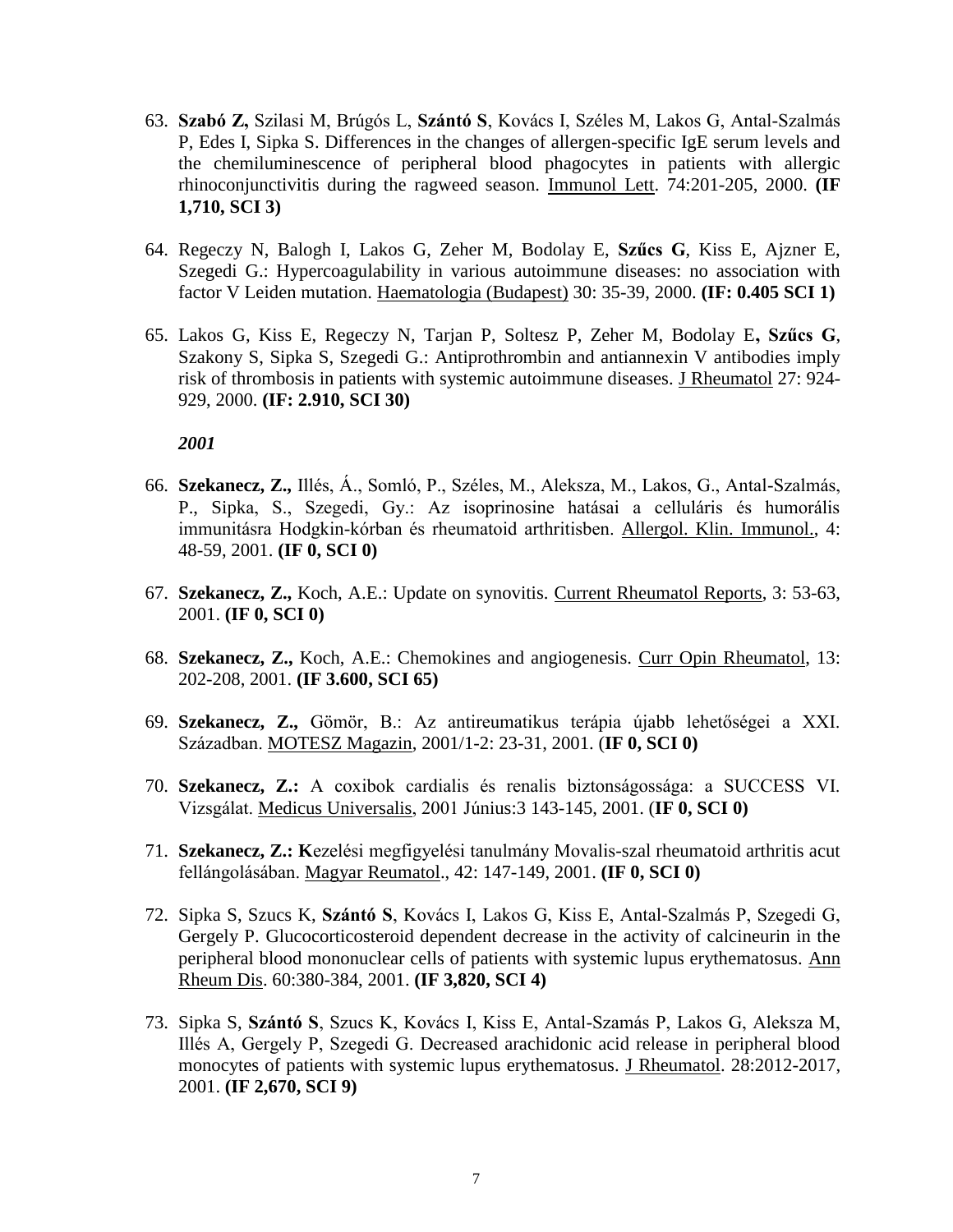- 63. **Szabó Z,** Szilasi M, Brúgós L, **Szántó S**, Kovács I, Széles M, Lakos G, Antal-Szalmás P, Edes I, Sipka S. Differences in the changes of allergen-specific IgE serum levels and the chemiluminescence of peripheral blood phagocytes in patients with allergic rhinoconjunctivitis during the ragweed season. Immunol Lett. 74:201-205, 2000. **(IF 1,710, SCI 3)**
- 64. Regeczy N, Balogh I, Lakos G, Zeher M, Bodolay E, **Szűcs G**, Kiss E, Ajzner E, Szegedi G.: Hypercoagulability in various autoimmune diseases: no association with factor V Leiden mutation. Haematologia (Budapest) 30: 35-39, 2000. **(IF: 0.405 SCI 1)**
- 65. Lakos G, Kiss E, Regeczy N, Tarjan P, Soltesz P, Zeher M, Bodolay E**, Szűcs G**, Szakony S, Sipka S, Szegedi G.: Antiprothrombin and antiannexin V antibodies imply risk of thrombosis in patients with systemic autoimmune diseases. J Rheumatol 27: 924- 929, 2000. **(IF: 2.910, SCI 30)**

- 66. **Szekanecz, Z.,** Illés, Á., Somló, P., Széles, M., Aleksza, M., Lakos, G., Antal-Szalmás, P., Sipka, S., Szegedi, Gy.: Az isoprinosine hatásai a celluláris és humorális immunitásra Hodgkin-kórban és rheumatoid arthritisben. Allergol. Klin. Immunol., 4: 48-59, 2001. **(IF 0, SCI 0)**
- 67. **Szekanecz, Z.,** Koch, A.E.: Update on synovitis. Current Rheumatol Reports, 3: 53-63, 2001. **(IF 0, SCI 0)**
- 68. **Szekanecz, Z.,** Koch, A.E.: Chemokines and angiogenesis. Curr Opin Rheumatol, 13: 202-208, 2001. **(IF 3.600, SCI 65)**
- 69. **Szekanecz, Z.,** Gömör, B.: Az antireumatikus terápia újabb lehetőségei a XXI. Században. MOTESZ Magazin, 2001/1-2: 23-31, 2001. (**IF 0, SCI 0)**
- 70. **Szekanecz, Z.:** A coxibok cardialis és renalis biztonságossága: a SUCCESS VI. Vizsgálat. Medicus Universalis, 2001 Június:3 143-145, 2001. (**IF 0, SCI 0)**
- 71. **Szekanecz, Z.: K**ezelési megfigyelési tanulmány Movalis-szal rheumatoid arthritis acut fellángolásában. Magyar Reumatol., 42: 147-149, 2001. **(IF 0, SCI 0)**
- 72. Sipka S, Szucs K, **Szántó S**, Kovács I, Lakos G, Kiss E, Antal-Szalmás P, Szegedi G, Gergely P. Glucocorticosteroid dependent decrease in the activity of calcineurin in the peripheral blood mononuclear cells of patients with systemic lupus erythematosus. Ann Rheum Dis. 60:380-384, 2001. **(IF 3,820, SCI 4)**
- 73. Sipka S, **Szántó S**, Szucs K, Kovács I, Kiss E, Antal-Szamás P, Lakos G, Aleksza M, Illés A, Gergely P, Szegedi G. Decreased arachidonic acid release in peripheral blood monocytes of patients with systemic lupus erythematosus. J Rheumatol. 28:2012-2017, 2001. **(IF 2,670, SCI 9)**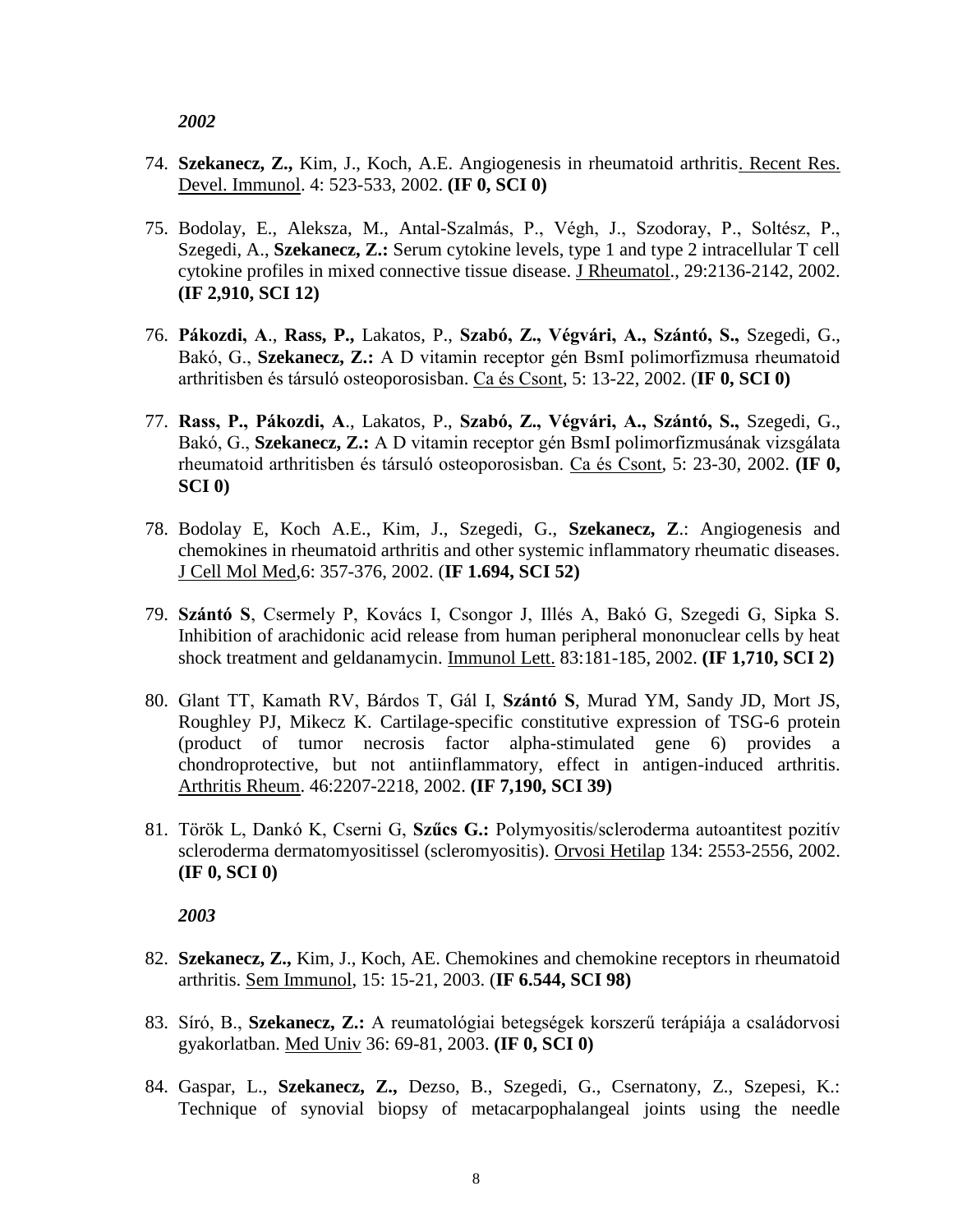- 74. **Szekanecz, Z.,** Kim, J., Koch, A.E. Angiogenesis in rheumatoid arthritis. Recent Res. Devel. Immunol. 4: 523-533, 2002. **(IF 0, SCI 0)**
- 75. Bodolay, E., Aleksza, M., Antal-Szalmás, P., Végh, J., Szodoray, P., Soltész, P., Szegedi, A., **Szekanecz, Z.:** Serum cytokine levels, type 1 and type 2 intracellular T cell cytokine profiles in mixed connective tissue disease. J Rheumatol., 29:2136-2142, 2002. **(IF 2,910, SCI 12)**
- 76. **Pákozdi, A**., **Rass, P.,** Lakatos, P., **Szabó, Z., Végvári, A., Szántó, S.,** Szegedi, G., Bakó, G., **Szekanecz, Z.:** A D vitamin receptor gén BsmI polimorfizmusa rheumatoid arthritisben és társuló osteoporosisban. Ca és Csont, 5: 13-22, 2002. (**IF 0, SCI 0)**
- 77. **Rass, P., Pákozdi, A**., Lakatos, P., **Szabó, Z., Végvári, A., Szántó, S.,** Szegedi, G., Bakó, G., **Szekanecz, Z.:** A D vitamin receptor gén BsmI polimorfizmusának vizsgálata rheumatoid arthritisben és társuló osteoporosisban. Ca és Csont, 5: 23-30, 2002. **(IF 0, SCI 0)**
- 78. Bodolay E, Koch A.E., Kim, J., Szegedi, G., **Szekanecz, Z**.: Angiogenesis and chemokines in rheumatoid arthritis and other systemic inflammatory rheumatic diseases. J Cell Mol Med,6: 357-376, 2002. (**IF 1.694, SCI 52)**
- 79. **Szántó S**, Csermely P, Kovács I, Csongor J, Illés A, Bakó G, Szegedi G, Sipka S. Inhibition of arachidonic acid release from human peripheral mononuclear cells by heat shock treatment and geldanamycin. Immunol Lett. 83:181-185, 2002. **(IF 1,710, SCI 2)**
- 80. Glant TT, Kamath RV, Bárdos T, Gál I, **Szántó S**, Murad YM, Sandy JD, Mort JS, Roughley PJ, Mikecz K. Cartilage-specific constitutive expression of TSG-6 protein (product of tumor necrosis factor alpha-stimulated gene 6) provides a chondroprotective, but not antiinflammatory, effect in antigen-induced arthritis. Arthritis Rheum. 46:2207-2218, 2002. **(IF 7,190, SCI 39)**
- 81. Török L, Dankó K, Cserni G, **Szűcs G.:** Polymyositis/scleroderma autoantitest pozitív scleroderma dermatomyositissel (scleromyositis). Orvosi Hetilap 134: 2553-2556, 2002. **(IF 0, SCI 0)**

- 82. **Szekanecz, Z.,** Kim, J., Koch, AE. Chemokines and chemokine receptors in rheumatoid arthritis. Sem Immunol, 15: 15-21, 2003. (**IF 6.544, SCI 98)**
- 83. Síró, B., **Szekanecz, Z.:** A reumatológiai betegségek korszerű terápiája a családorvosi gyakorlatban. Med Univ 36: 69-81, 2003. **(IF 0, SCI 0)**
- 84. Gaspar, L., **Szekanecz, Z.,** Dezso, B., Szegedi, G., Csernatony, Z., Szepesi, K.: Technique of synovial biopsy of metacarpophalangeal joints using the needle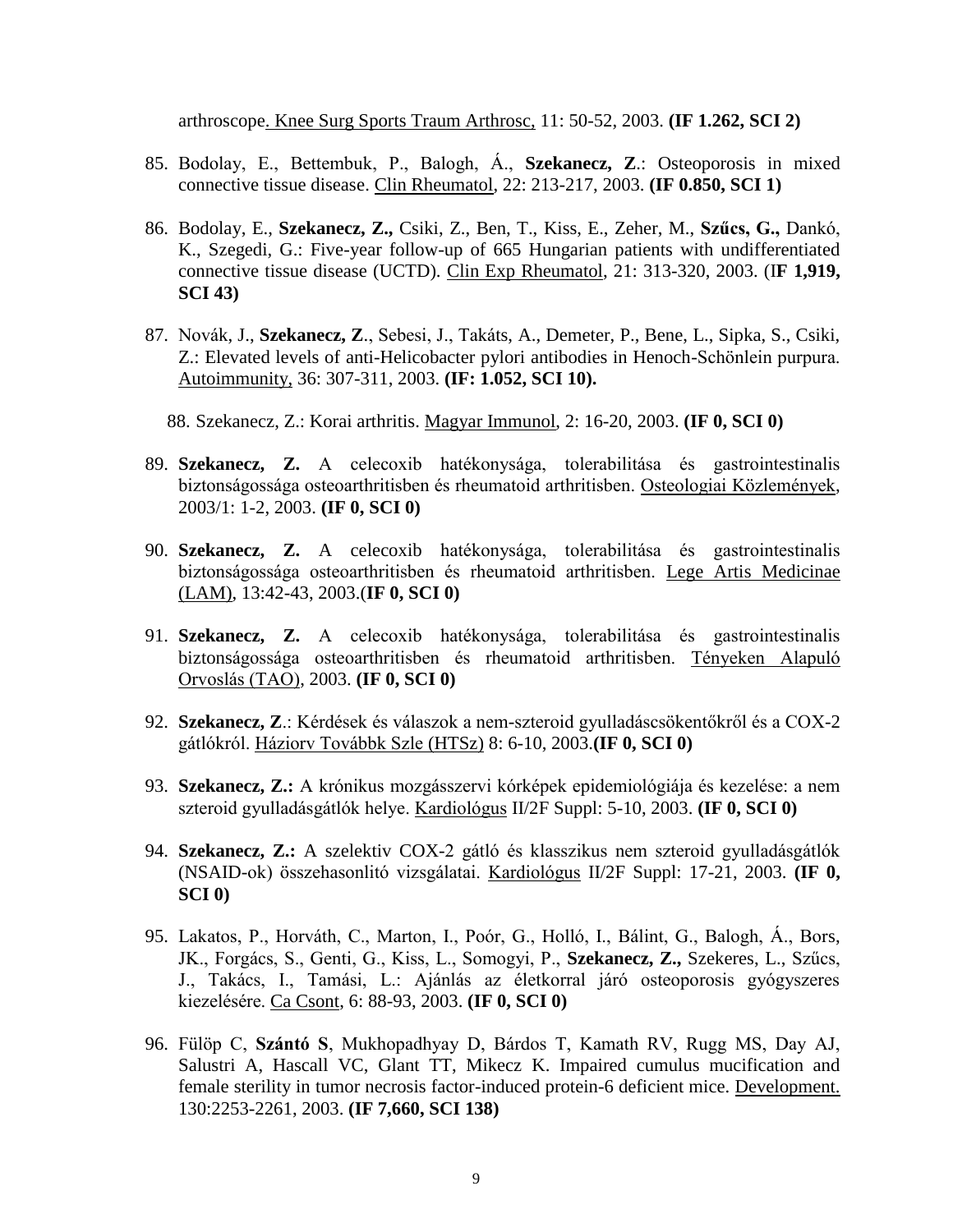arthroscope. Knee Surg Sports Traum Arthrosc, 11: 50-52, 2003. **(IF 1.262, SCI 2)**

- 85. Bodolay, E., Bettembuk, P., Balogh, Á., **Szekanecz, Z**.: Osteoporosis in mixed connective tissue disease. Clin Rheumatol, 22: 213-217, 2003. **(IF 0.850, SCI 1)**
- 86. Bodolay, E., **Szekanecz, Z.,** Csiki, Z., Ben, T., Kiss, E., Zeher, M., **Szűcs, G.,** Dankó, K., Szegedi, G.: Five-year follow-up of 665 Hungarian patients with undifferentiated connective tissue disease (UCTD). Clin Exp Rheumatol, 21: 313-320, 2003. (I**F 1,919, SCI 43)**
- 87. Novák, J., **Szekanecz, Z**., Sebesi, J., Takáts, A., Demeter, P., Bene, L., Sipka, S., Csiki, Z.: Elevated levels of anti-Helicobacter pylori antibodies in Henoch-Schönlein purpura. Autoimmunity, 36: 307-311, 2003. **(IF: 1.052, SCI 10).**
	- 88. Szekanecz, Z.: Korai arthritis. Magyar Immunol, 2: 16-20, 2003. **(IF 0, SCI 0)**
- 89. **Szekanecz, Z.** A celecoxib hatékonysága, tolerabilitása és gastrointestinalis biztonságossága osteoarthritisben és rheumatoid arthritisben. Osteologiai Közlemények, 2003/1: 1-2, 2003. **(IF 0, SCI 0)**
- 90. **Szekanecz, Z.** A celecoxib hatékonysága, tolerabilitása és gastrointestinalis biztonságossága osteoarthritisben és rheumatoid arthritisben. Lege Artis Medicinae (LAM), 13:42-43, 2003.(**IF 0, SCI 0)**
- 91. **Szekanecz, Z.** A celecoxib hatékonysága, tolerabilitása és gastrointestinalis biztonságossága osteoarthritisben és rheumatoid arthritisben. Tényeken Alapuló Orvoslás (TAO), 2003. **(IF 0, SCI 0)**
- 92. **Szekanecz, Z**.: Kérdések és válaszok a nem-szteroid gyulladáscsökentőkről és a COX-2 gátlókról. Háziorv Továbbk Szle (HTSz) 8: 6-10, 2003.**(IF 0, SCI 0)**
- 93. **Szekanecz, Z.:** A krónikus mozgásszervi kórképek epidemiológiája és kezelése: a nem szteroid gyulladásgátlók helye. Kardiológus II/2F Suppl: 5-10, 2003. **(IF 0, SCI 0)**
- 94. **Szekanecz, Z.:** A szelektiv COX-2 gátló és klasszikus nem szteroid gyulladásgátlók (NSAID-ok) összehasonlitó vizsgálatai. Kardiológus II/2F Suppl: 17-21, 2003. **(IF 0, SCI 0)**
- 95. Lakatos, P., Horváth, C., Marton, I., Poór, G., Holló, I., Bálint, G., Balogh, Á., Bors, JK., Forgács, S., Genti, G., Kiss, L., Somogyi, P., **Szekanecz, Z.,** Szekeres, L., Szűcs, J., Takács, I., Tamási, L.: Ajánlás az életkorral járó osteoporosis gyógyszeres kiezelésére. Ca Csont, 6: 88-93, 2003. **(IF 0, SCI 0)**
- 96. Fülöp C, **Szántó S**, Mukhopadhyay D, Bárdos T, Kamath RV, Rugg MS, Day AJ, Salustri A, Hascall VC, Glant TT, Mikecz K. Impaired cumulus mucification and female sterility in tumor necrosis factor-induced protein-6 deficient mice. Development. 130:2253-2261, 2003. **(IF 7,660, SCI 138)**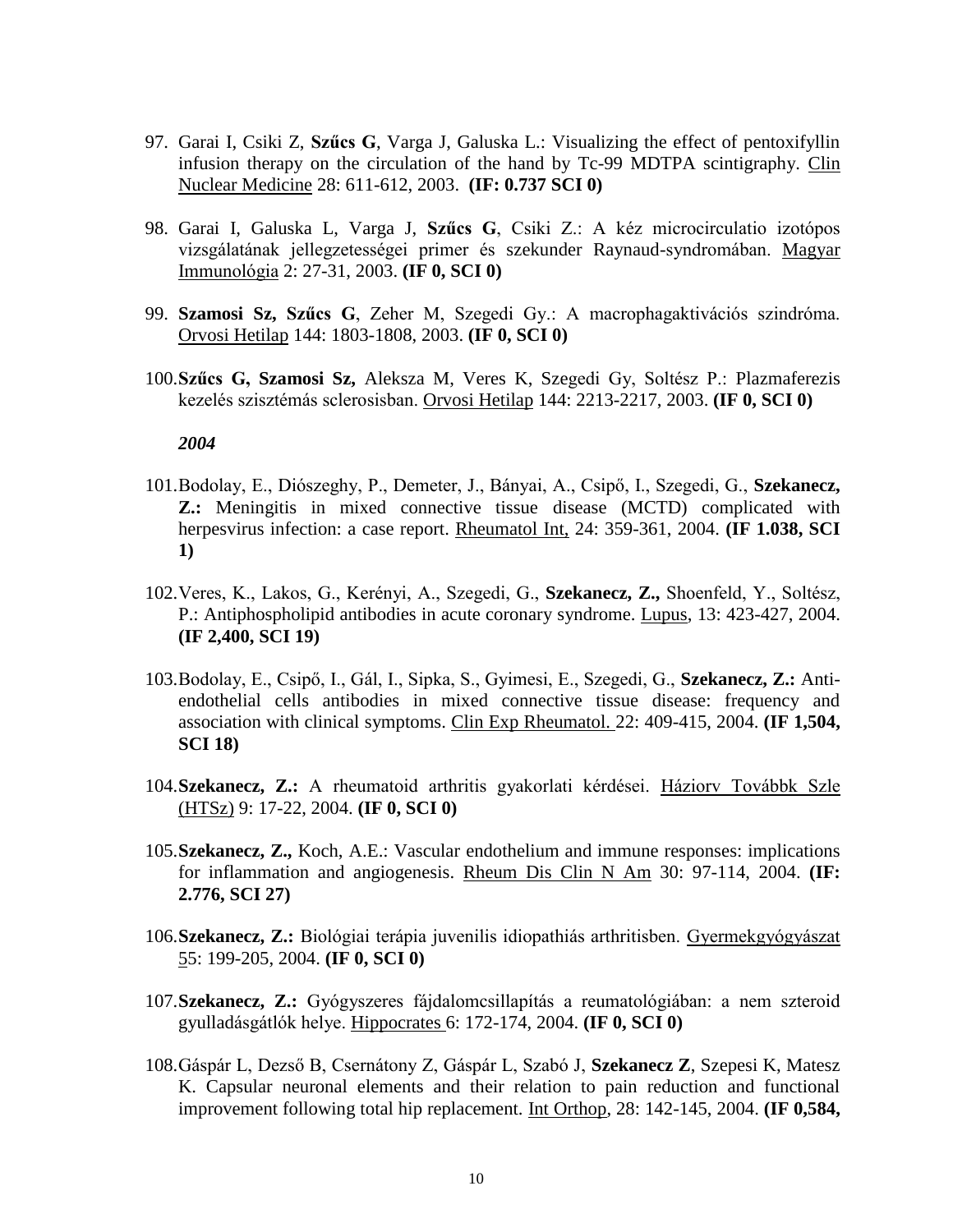- 97. Garai I, Csiki Z, **Szűcs G**, Varga J, Galuska L.: Visualizing the effect of pentoxifyllin infusion therapy on the circulation of the hand by Tc-99 MDTPA scintigraphy. Clin Nuclear Medicine 28: 611-612, 2003. **(IF: 0.737 SCI 0)**
- 98. Garai I, Galuska L, Varga J, **Szűcs G**, Csiki Z.: A kéz microcirculatio izotópos vizsgálatának jellegzetességei primer és szekunder Raynaud-syndromában. Magyar Immunológia 2: 27-31, 2003. **(IF 0, SCI 0)**
- 99. **Szamosi Sz, Szűcs G**, Zeher M, Szegedi Gy.: A macrophagaktivációs szindróma. Orvosi Hetilap 144: 1803-1808, 2003. **(IF 0, SCI 0)**
- 100.**Szűcs G, Szamosi Sz,** Aleksza M, Veres K, Szegedi Gy, Soltész P.: Plazmaferezis kezelés szisztémás sclerosisban. Orvosi Hetilap 144: 2213-2217, 2003. **(IF 0, SCI 0)**

- 101.Bodolay, E., Diószeghy, P., Demeter, J., Bányai, A., Csipő, I., Szegedi, G., **Szekanecz, Z.:** Meningitis in mixed connective tissue disease (MCTD) complicated with herpesvirus infection: a case report. Rheumatol Int, 24: 359-361, 2004. **(IF 1.038, SCI 1)**
- 102.Veres, K., Lakos, G., Kerényi, A., Szegedi, G., **Szekanecz, Z.,** Shoenfeld, Y., Soltész, P.: Antiphospholipid antibodies in acute coronary syndrome. Lupus, 13: 423-427, 2004. **(IF 2,400, SCI 19)**
- 103.Bodolay, E., Csipő, I., Gál, I., Sipka, S., Gyimesi, E., Szegedi, G., **Szekanecz, Z.:** Antiendothelial cells antibodies in mixed connective tissue disease: frequency and association with clinical symptoms. Clin Exp Rheumatol. 22: 409-415, 2004. **(IF 1,504, SCI 18)**
- 104.**Szekanecz, Z.:** A rheumatoid arthritis gyakorlati kérdései. Háziorv Továbbk Szle (HTSz) 9: 17-22, 2004. **(IF 0, SCI 0)**
- 105.**Szekanecz, Z.,** Koch, A.E.: Vascular endothelium and immune responses: implications for inflammation and angiogenesis. Rheum Dis Clin N Am 30: 97-114, 2004. **(IF: 2.776, SCI 27)**
- 106.**Szekanecz, Z.:** Biológiai terápia juvenilis idiopathiás arthritisben. Gyermekgyógyászat 55: 199-205, 2004. **(IF 0, SCI 0)**
- 107.**Szekanecz, Z.:** Gyógyszeres fájdalomcsillapítás a reumatológiában: a nem szteroid gyulladásgátlók helye. Hippocrates 6: 172-174, 2004. **(IF 0, SCI 0)**
- 108.Gáspár L, Dezső B, Csernátony Z, Gáspár L, Szabó J, **Szekanecz Z**, Szepesi K, Matesz K. Capsular neuronal elements and their relation to pain reduction and functional improvement following total hip replacement. Int Orthop, 28: 142-145, 2004. **(IF 0,584,**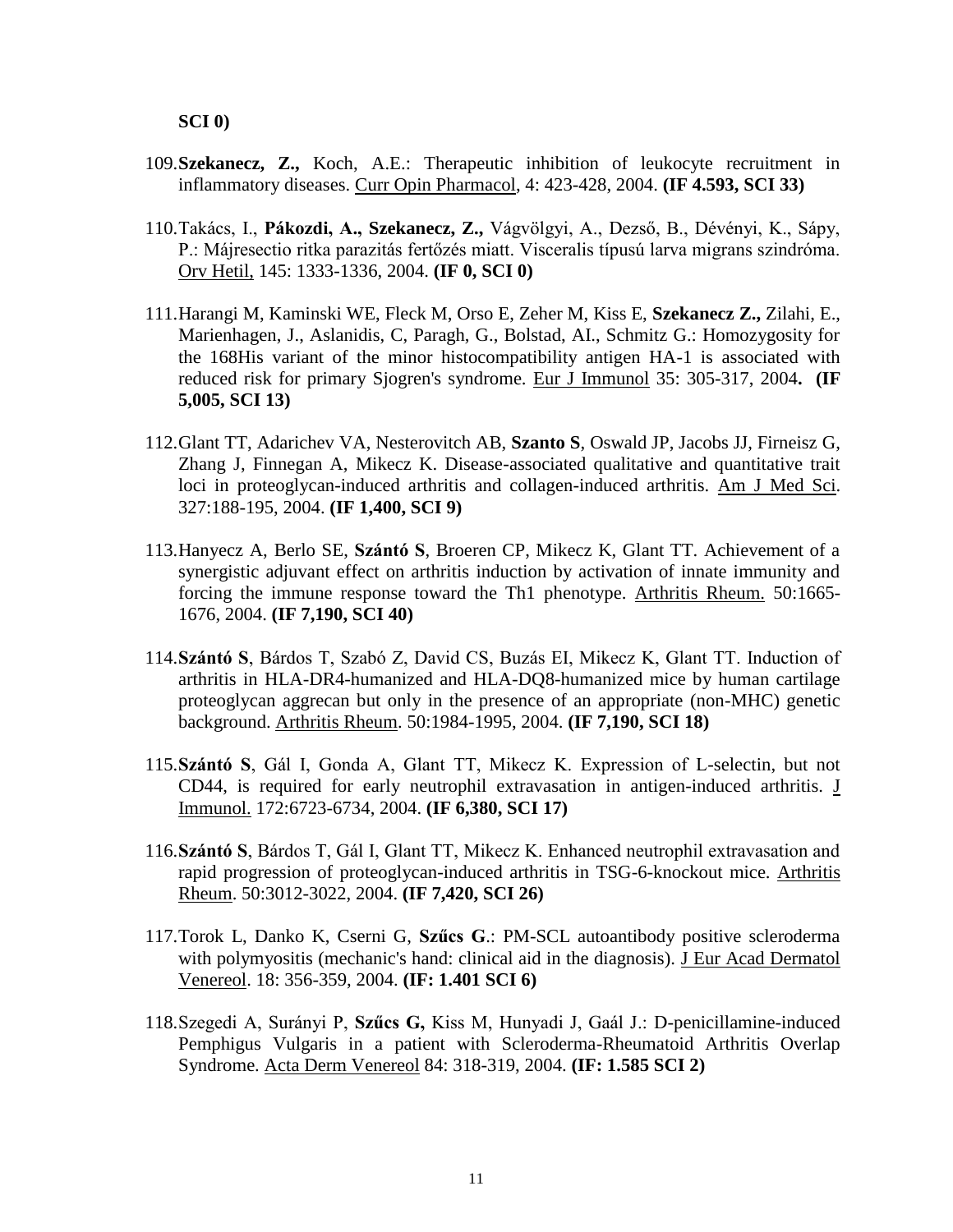- 109.**Szekanecz, Z.,** Koch, A.E.: Therapeutic inhibition of leukocyte recruitment in inflammatory diseases. Curr Opin Pharmacol, 4: 423-428, 2004. **(IF 4.593, SCI 33)**
- 110.Takács, I., **Pákozdi, A., Szekanecz, Z.,** Vágvölgyi, A., Dezső, B., Dévényi, K., Sápy, P.: Májresectio ritka parazitás fertőzés miatt. Visceralis típusú larva migrans szindróma. Orv Hetil, 145: 1333-1336, 2004. **(IF 0, SCI 0)**
- 111.Harangi M, Kaminski WE, Fleck M, Orso E, Zeher M, Kiss E, **Szekanecz Z.,** Zilahi, E., Marienhagen, J., Aslanidis, C, Paragh, G., Bolstad, AI., Schmitz G.: Homozygosity for the 168His variant of the minor histocompatibility antigen HA-1 is associated with reduced risk for primary Sjogren's syndrome. Eur J Immunol 35: 305-317, 2004**. (IF 5,005, SCI 13)**
- 112.Glant TT, Adarichev VA, Nesterovitch AB, **Szanto S**, Oswald JP, Jacobs JJ, Firneisz G, Zhang J, Finnegan A, Mikecz K. Disease-associated qualitative and quantitative trait loci in proteoglycan-induced arthritis and collagen-induced arthritis. Am J Med Sci. 327:188-195, 2004. **(IF 1,400, SCI 9)**
- 113.Hanyecz A, Berlo SE, **Szántó S**, Broeren CP, Mikecz K, Glant TT. Achievement of a synergistic adjuvant effect on arthritis induction by activation of innate immunity and forcing the immune response toward the Th1 phenotype. Arthritis Rheum. 50:1665- 1676, 2004. **(IF 7,190, SCI 40)**
- 114.**Szántó S**, Bárdos T, Szabó Z, David CS, Buzás EI, Mikecz K, Glant TT. Induction of arthritis in HLA-DR4-humanized and HLA-DQ8-humanized mice by human cartilage proteoglycan aggrecan but only in the presence of an appropriate (non-MHC) genetic background. Arthritis Rheum. 50:1984-1995, 2004. **(IF 7,190, SCI 18)**
- 115.**Szántó S**, Gál I, Gonda A, Glant TT, Mikecz K. Expression of L-selectin, but not CD44, is required for early neutrophil extravasation in antigen-induced arthritis. J Immunol. 172:6723-6734, 2004. **(IF 6,380, SCI 17)**
- 116.**Szántó S**, Bárdos T, Gál I, Glant TT, Mikecz K. Enhanced neutrophil extravasation and rapid progression of proteoglycan-induced arthritis in TSG-6-knockout mice. Arthritis Rheum. 50:3012-3022, 2004. **(IF 7,420, SCI 26)**
- 117.Torok L, Danko K, Cserni G, **Szűcs G**.: PM-SCL autoantibody positive scleroderma with polymyositis (mechanic's hand: clinical aid in the diagnosis). J Eur Acad Dermatol Venereol. 18: 356-359, 2004. **(IF: 1.401 SCI 6)**
- 118.Szegedi A, Surányi P, **Szűcs G,** Kiss M, Hunyadi J, Gaál J.: D-penicillamine-induced Pemphigus Vulgaris in a patient with Scleroderma-Rheumatoid Arthritis Overlap Syndrome. Acta Derm Venereol 84: 318-319, 2004. **(IF: 1.585 SCI 2)**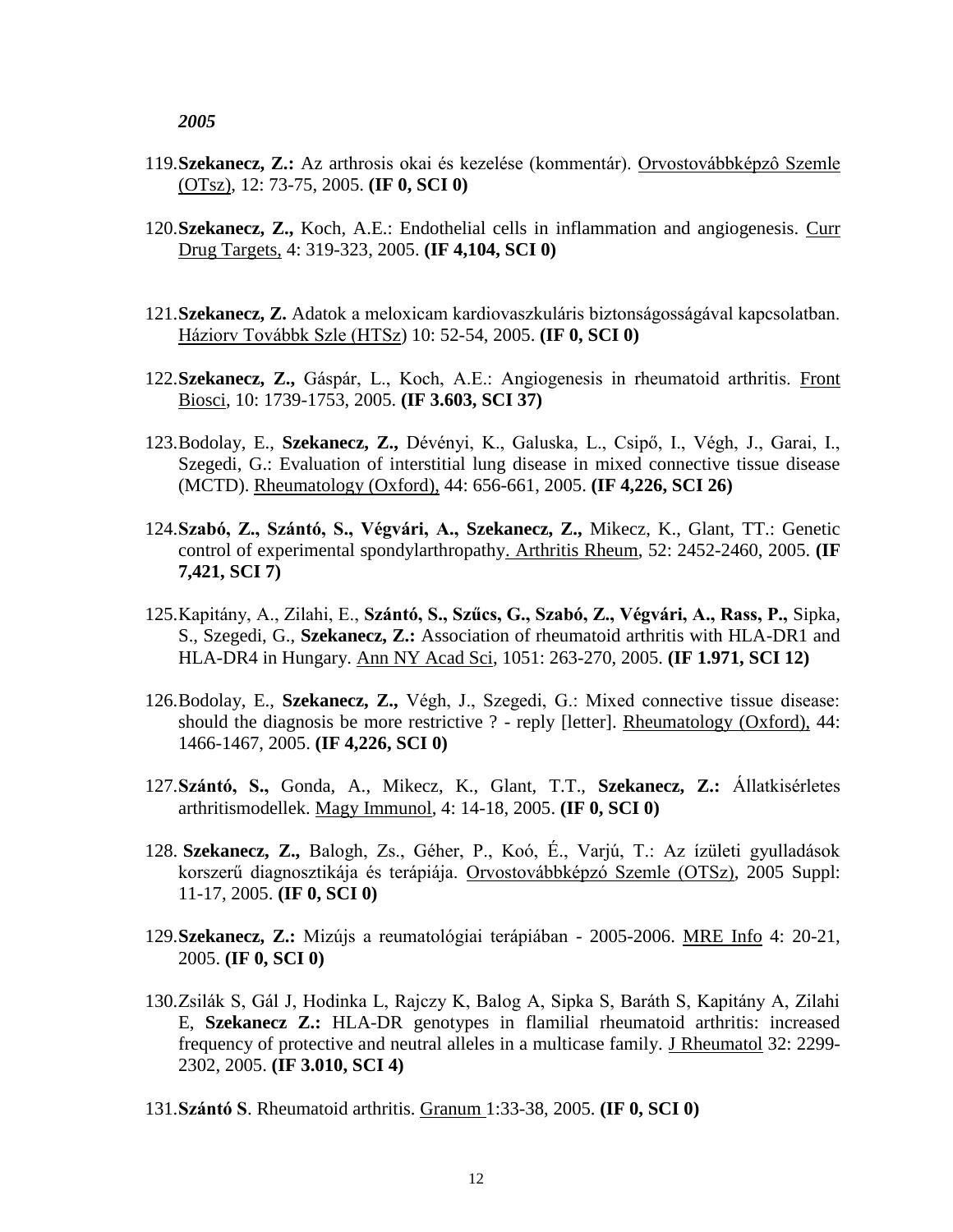- 119.**Szekanecz, Z.:** Az arthrosis okai és kezelése (kommentár). Orvostovábbképzô Szemle (OTsz), 12: 73-75, 2005. **(IF 0, SCI 0)**
- 120.**Szekanecz, Z.,** Koch, A.E.: Endothelial cells in inflammation and angiogenesis. Curr Drug Targets, 4: 319-323, 2005. **(IF 4,104, SCI 0)**
- 121.**Szekanecz, Z.** Adatok a meloxicam kardiovaszkuláris biztonságosságával kapcsolatban. Háziorv Továbbk Szle (HTSz) 10: 52-54, 2005. **(IF 0, SCI 0)**
- 122.**Szekanecz, Z.,** Gáspár, L., Koch, A.E.: Angiogenesis in rheumatoid arthritis. Front Biosci, 10: 1739-1753, 2005. **(IF 3.603, SCI 37)**
- 123.Bodolay, E., **Szekanecz, Z.,** Dévényi, K., Galuska, L., Csipő, I., Végh, J., Garai, I., Szegedi, G.: Evaluation of interstitial lung disease in mixed connective tissue disease (MCTD). Rheumatology (Oxford), 44: 656-661, 2005. **(IF 4,226, SCI 26)**
- 124.**Szabó, Z., Szántó, S., Végvári, A., Szekanecz, Z.,** Mikecz, K., Glant, TT.: Genetic control of experimental spondylarthropathy. Arthritis Rheum, 52: 2452-2460, 2005. **(IF 7,421, SCI 7)**
- 125.Kapitány, A., Zilahi, E., **Szántó, S., Szűcs, G., Szabó, Z., Végvári, A., Rass, P.,** Sipka, S., Szegedi, G., **Szekanecz, Z.:** Association of rheumatoid arthritis with HLA-DR1 and HLA-DR4 in Hungary. Ann NY Acad Sci, 1051: 263-270, 2005. **(IF 1.971, SCI 12)**
- 126.Bodolay, E., **Szekanecz, Z.,** Végh, J., Szegedi, G.: Mixed connective tissue disease: should the diagnosis be more restrictive ? - reply [letter]. Rheumatology (Oxford), 44: 1466-1467, 2005. **(IF 4,226, SCI 0)**
- 127.**Szántó, S.,** Gonda, A., Mikecz, K., Glant, T.T., **Szekanecz, Z.:** Állatkisérletes arthritismodellek. Magy Immunol, 4: 14-18, 2005. **(IF 0, SCI 0)**
- 128. **Szekanecz, Z.,** Balogh, Zs., Géher, P., Koó, É., Varjú, T.: Az ízületi gyulladások korszerű diagnosztikája és terápiája. Orvostovábbképzó Szemle (OTSz), 2005 Suppl: 11-17, 2005. **(IF 0, SCI 0)**
- 129.**Szekanecz, Z.:** Mizújs a reumatológiai terápiában 2005-2006. MRE Info 4: 20-21, 2005. **(IF 0, SCI 0)**
- 130.Zsilák S, Gál J, Hodinka L, Rajczy K, Balog A, Sipka S, Baráth S, Kapitány A, Zilahi E, **Szekanecz Z.:** HLA-DR genotypes in flamilial rheumatoid arthritis: increased frequency of protective and neutral alleles in a multicase family. J Rheumatol 32: 2299- 2302, 2005. **(IF 3.010, SCI 4)**
- 131.**Szántó S**. Rheumatoid arthritis. Granum 1:33-38, 2005. **(IF 0, SCI 0)**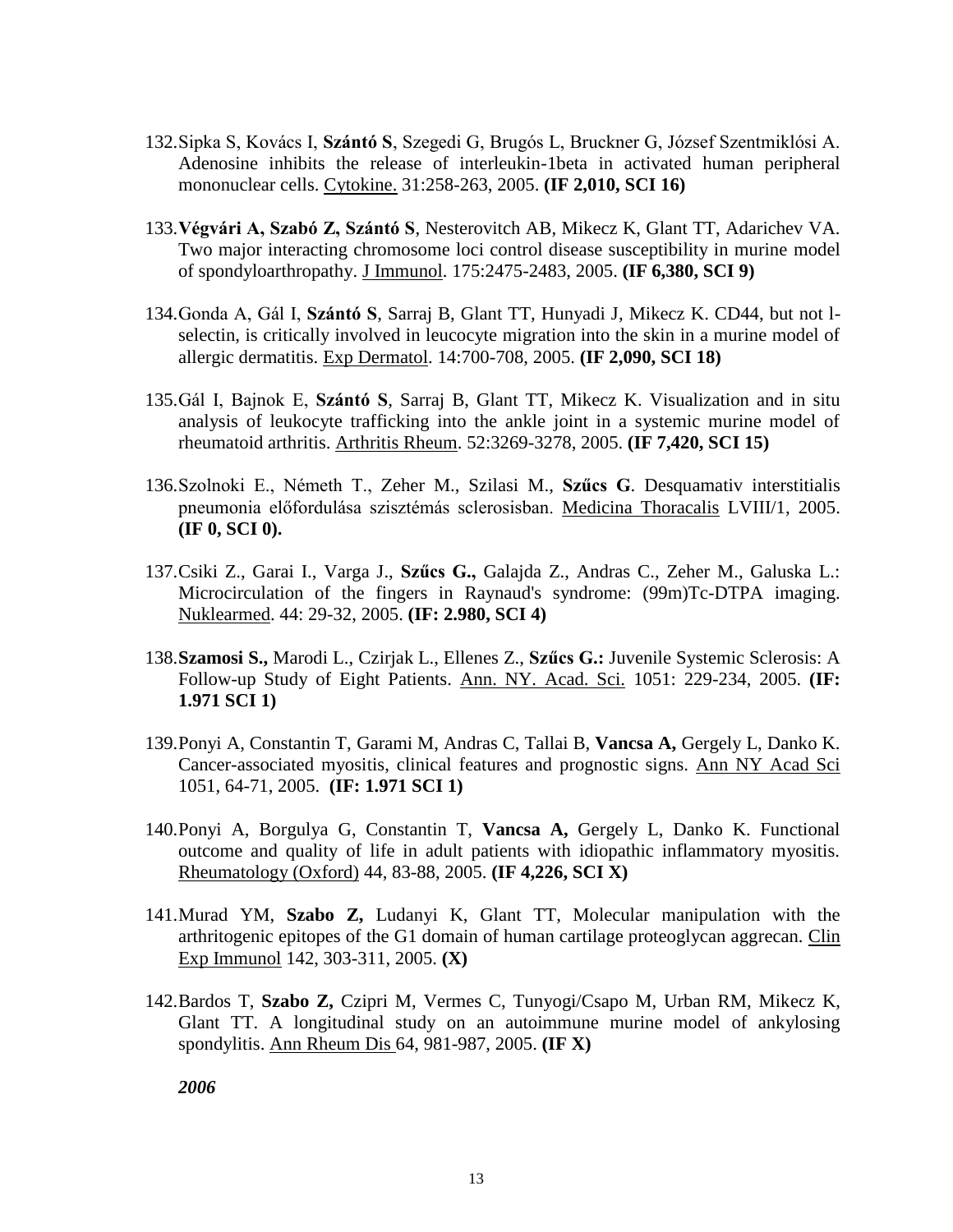- 132.Sipka S, Kovács I, **Szántó S**, Szegedi G, Brugós L, Bruckner G, József Szentmiklósi A. Adenosine inhibits the release of interleukin-1beta in activated human peripheral mononuclear cells. Cytokine. 31:258-263, 2005. **(IF 2,010, SCI 16)**
- 133.**Végvári A, Szabó Z, Szántó S**, Nesterovitch AB, Mikecz K, Glant TT, Adarichev VA. Two major interacting chromosome loci control disease susceptibility in murine model of spondyloarthropathy. J Immunol. 175:2475-2483, 2005. **(IF 6,380, SCI 9)**
- 134.Gonda A, Gál I, **Szántó S**, Sarraj B, Glant TT, Hunyadi J, Mikecz K. CD44, but not lselectin, is critically involved in leucocyte migration into the skin in a murine model of allergic dermatitis. Exp Dermatol. 14:700-708, 2005. **(IF 2,090, SCI 18)**
- 135.Gál I, Bajnok E, **Szántó S**, Sarraj B, Glant TT, Mikecz K. Visualization and in situ analysis of leukocyte trafficking into the ankle joint in a systemic murine model of rheumatoid arthritis. Arthritis Rheum. 52:3269-3278, 2005. **(IF 7,420, SCI 15)**
- 136.Szolnoki E., Németh T., Zeher M., Szilasi M., **Szűcs G**. Desquamativ interstitialis pneumonia előfordulása szisztémás sclerosisban. Medicina Thoracalis LVIII/1, 2005. **(IF 0, SCI 0).**
- 137.Csiki Z., Garai I., Varga J., **Szűcs G.,** Galajda Z., Andras C., Zeher M., Galuska L.: Microcirculation of the fingers in Raynaud's syndrome: (99m)Tc-DTPA imaging. Nuklearmed. 44: 29-32, 2005. **(IF: 2.980, SCI 4)**
- 138.**Szamosi S.,** Marodi L., Czirjak L., Ellenes Z., **Szűcs G.:** Juvenile Systemic Sclerosis: A Follow-up Study of Eight Patients. Ann. NY. Acad. Sci. 1051: 229-234, 2005. **(IF: 1.971 SCI 1)**
- 139.Ponyi A, Constantin T, Garami M, Andras C, Tallai B, **Vancsa A,** Gergely L, Danko K. Cancer-associated myositis, clinical features and prognostic signs. Ann NY Acad Sci 1051, 64-71, 2005. **(IF: 1.971 SCI 1)**
- 140.Ponyi A, Borgulya G, Constantin T, **Vancsa A,** Gergely L, Danko K. Functional outcome and quality of life in adult patients with idiopathic inflammatory myositis. Rheumatology (Oxford) 44, 83-88, 2005. **(IF 4,226, SCI X)**
- 141.Murad YM, **Szabo Z,** Ludanyi K, Glant TT, Molecular manipulation with the arthritogenic epitopes of the G1 domain of human cartilage proteoglycan aggrecan. Clin Exp Immunol 142, 303-311, 2005. **(X)**
- 142.Bardos T, **Szabo Z,** Czipri M, Vermes C, Tunyogi/Csapo M, Urban RM, Mikecz K, Glant TT. A longitudinal study on an autoimmune murine model of ankylosing spondylitis. Ann Rheum Dis 64, 981-987, 2005. **(IF X)**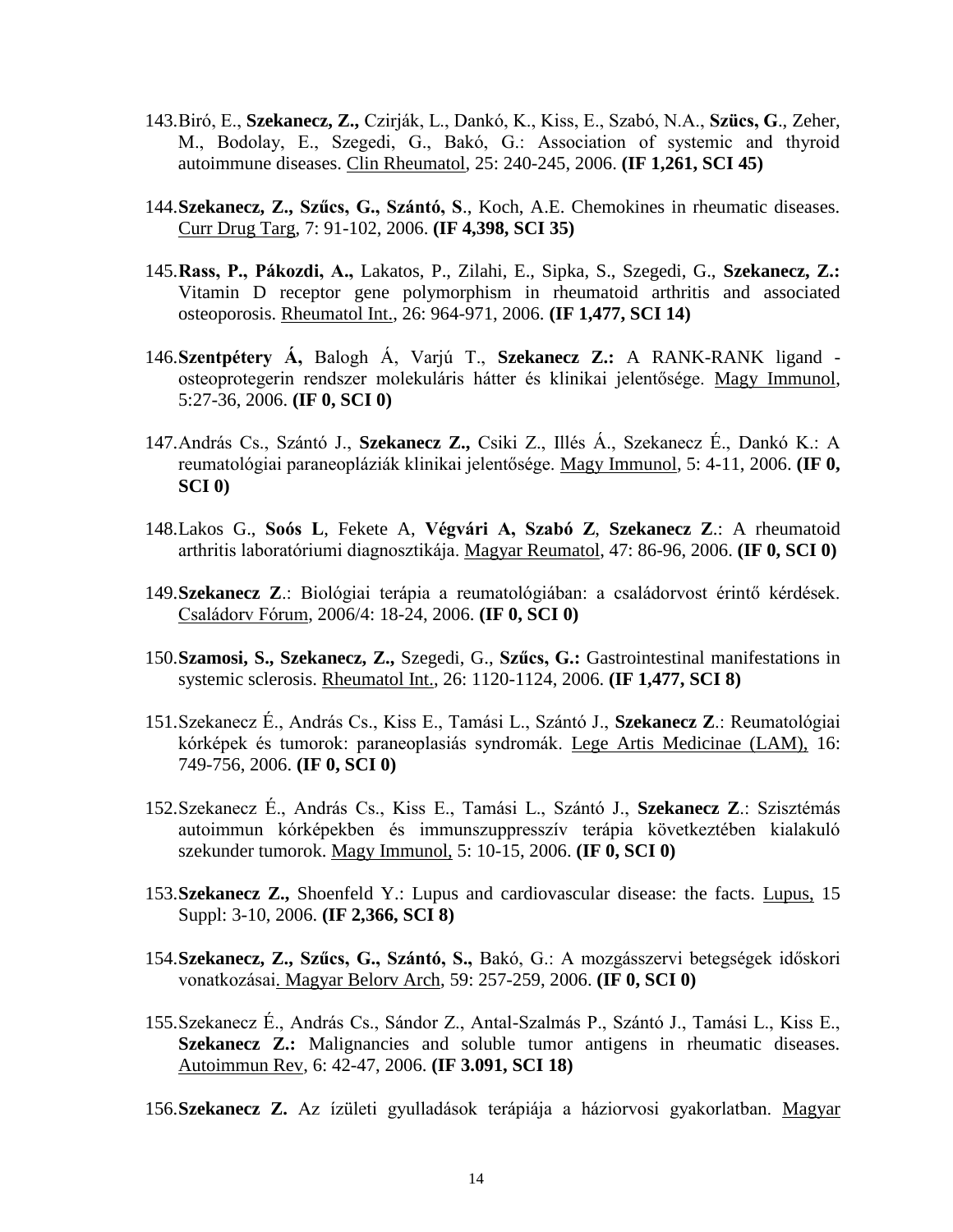- 143.Biró, E., **Szekanecz, Z.,** Czirják, L., Dankó, K., Kiss, E., Szabó, N.A., **Szücs, G**., Zeher, M., Bodolay, E., Szegedi, G., Bakó, G.: Association of systemic and thyroid autoimmune diseases. Clin Rheumatol, 25: 240-245, 2006. **(IF 1,261, SCI 45)**
- 144.**Szekanecz, Z., Szűcs, G., Szántó, S**., Koch, A.E. Chemokines in rheumatic diseases. Curr Drug Targ, 7: 91-102, 2006. **(IF 4,398, SCI 35)**
- 145.**Rass, P., Pákozdi, A.,** Lakatos, P., Zilahi, E., Sipka, S., Szegedi, G., **Szekanecz, Z.:** Vitamin D receptor gene polymorphism in rheumatoid arthritis and associated osteoporosis. Rheumatol Int., 26: 964-971, 2006. **(IF 1,477, SCI 14)**
- 146.**Szentpétery Á,** Balogh Á, Varjú T., **Szekanecz Z.:** A RANK-RANK ligand osteoprotegerin rendszer molekuláris hátter és klinikai jelentősége. Magy Immunol, 5:27-36, 2006. **(IF 0, SCI 0)**
- 147.András Cs., Szántó J., **Szekanecz Z.,** Csiki Z., Illés Á., Szekanecz É., Dankó K.: A reumatológiai paraneopláziák klinikai jelentősége. Magy Immunol, 5: 4-11, 2006. **(IF 0, SCI 0)**
- 148.Lakos G., **Soós L**, Fekete A, **Végvári A, Szabó Z**, **Szekanecz Z**.: A rheumatoid arthritis laboratóriumi diagnosztikája. Magyar Reumatol, 47: 86-96, 2006. **(IF 0, SCI 0)**
- 149.**Szekanecz Z**.: Biológiai terápia a reumatológiában: a családorvost érintő kérdések. Családorv Fórum, 2006/4: 18-24, 2006. **(IF 0, SCI 0)**
- 150.**Szamosi, S., Szekanecz, Z.,** Szegedi, G., **Szűcs, G.:** Gastrointestinal manifestations in systemic sclerosis. Rheumatol Int., 26: 1120-1124, 2006. **(IF 1,477, SCI 8)**
- 151.Szekanecz É., András Cs., Kiss E., Tamási L., Szántó J., **Szekanecz Z**.: Reumatológiai kórképek és tumorok: paraneoplasiás syndromák. Lege Artis Medicinae (LAM), 16: 749-756, 2006. **(IF 0, SCI 0)**
- 152.Szekanecz É., András Cs., Kiss E., Tamási L., Szántó J., **Szekanecz Z**.: Szisztémás autoimmun kórképekben és immunszuppresszív terápia következtében kialakuló szekunder tumorok. Magy Immunol, 5: 10-15, 2006. **(IF 0, SCI 0)**
- 153.**Szekanecz Z.,** Shoenfeld Y.: Lupus and cardiovascular disease: the facts. Lupus, 15 Suppl: 3-10, 2006. **(IF 2,366, SCI 8)**
- 154.**Szekanecz, Z., Szűcs, G., Szántó, S.,** Bakó, G.: A mozgásszervi betegségek időskori vonatkozásai. Magyar Belorv Arch, 59: 257-259, 2006. **(IF 0, SCI 0)**
- 155.Szekanecz É., András Cs., Sándor Z., Antal-Szalmás P., Szántó J., Tamási L., Kiss E., Szekanecz Z.: Malignancies and soluble tumor antigens in rheumatic diseases. Autoimmun Rev, 6: 42-47, 2006. **(IF 3.091, SCI 18)**
- 156.**Szekanecz Z.** Az ízületi gyulladások terápiája a háziorvosi gyakorlatban. Magyar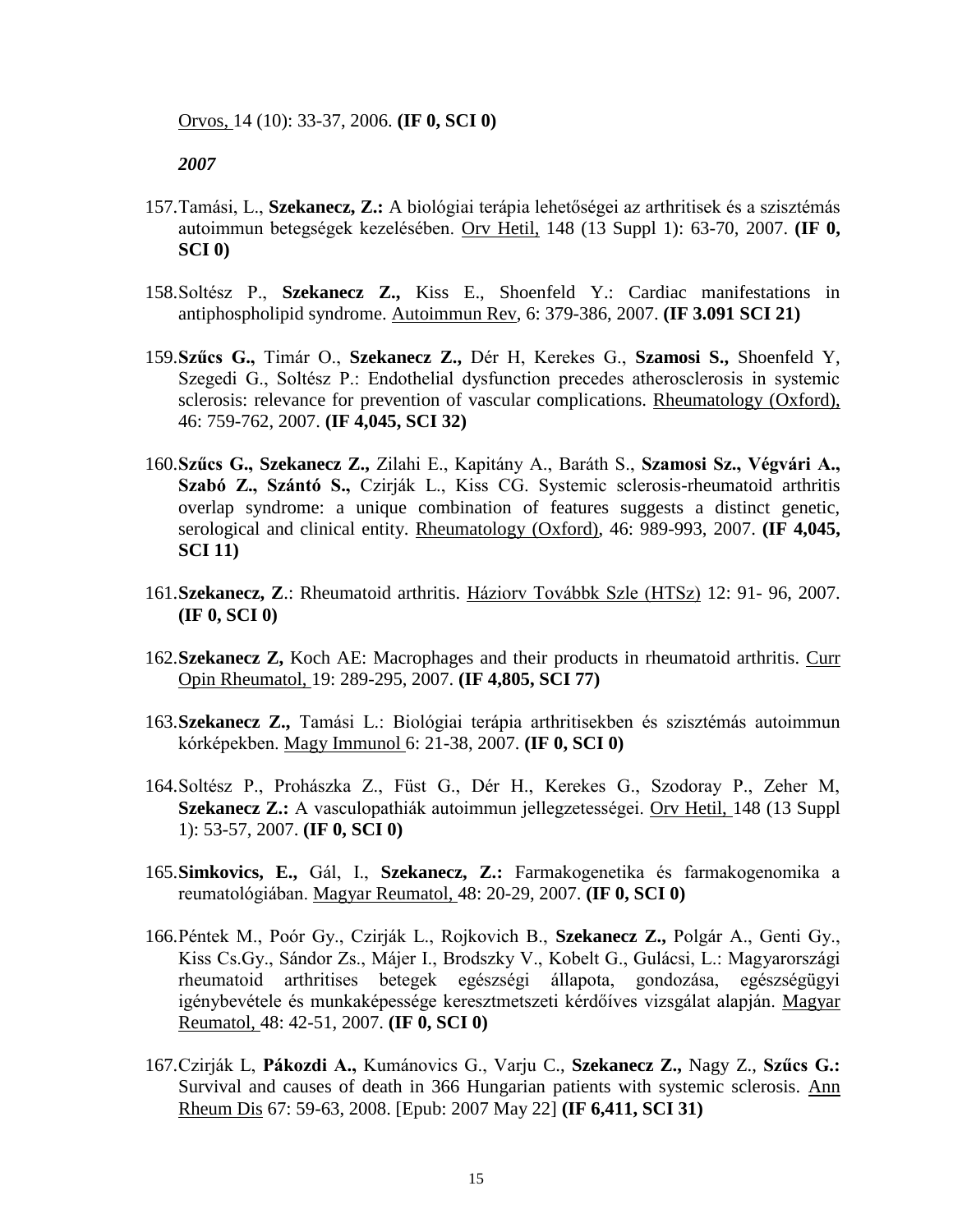Orvos, 14 (10): 33-37, 2006. **(IF 0, SCI 0)**

- 157.Tamási, L., **Szekanecz, Z.:** A biológiai terápia lehetőségei az arthritisek és a szisztémás autoimmun betegségek kezelésében. Orv Hetil, 148 (13 Suppl 1): 63-70, 2007. **(IF 0, SCI 0)**
- 158.Soltész P., **Szekanecz Z.,** Kiss E., Shoenfeld Y.: Cardiac manifestations in antiphospholipid syndrome. Autoimmun Rev, 6: 379-386, 2007. **(IF 3.091 SCI 21)**
- 159.**Szűcs G.,** Timár O., **Szekanecz Z.,** Dér H, Kerekes G., **Szamosi S.,** Shoenfeld Y, Szegedi G., Soltész P.: Endothelial dysfunction precedes atherosclerosis in systemic sclerosis: relevance for prevention of vascular complications. Rheumatology (Oxford), 46: 759-762, 2007. **(IF 4,045, SCI 32)**
- 160.**Szűcs G., Szekanecz Z.,** Zilahi E., Kapitány A., Baráth S., **Szamosi Sz., Végvári A., Szabó Z., Szántó S.,** Czirják L., Kiss CG. Systemic sclerosis-rheumatoid arthritis overlap syndrome: a unique combination of features suggests a distinct genetic, serological and clinical entity. Rheumatology (Oxford), 46: 989-993, 2007. **(IF 4,045, SCI 11)**
- 161.**Szekanecz, Z**.: Rheumatoid arthritis. Háziorv Továbbk Szle (HTSz) 12: 91- 96, 2007. **(IF 0, SCI 0)**
- 162.**Szekanecz Z,** Koch AE: Macrophages and their products in rheumatoid arthritis. Curr Opin Rheumatol, 19: 289-295, 2007. **(IF 4,805, SCI 77)**
- 163.**Szekanecz Z.,** Tamási L.: Biológiai terápia arthritisekben és szisztémás autoimmun kórképekben. Magy Immunol 6: 21-38, 2007. **(IF 0, SCI 0)**
- 164.Soltész P., Prohászka Z., Füst G., Dér H., Kerekes G., Szodoray P., Zeher M, **Szekanecz Z.:** A vasculopathiák autoimmun jellegzetességei. Orv Hetil, 148 (13 Suppl 1): 53-57, 2007. **(IF 0, SCI 0)**
- 165.**Simkovics, E.,** Gál, I., **Szekanecz, Z.:** Farmakogenetika és farmakogenomika a reumatológiában. Magyar Reumatol, 48: 20-29, 2007. **(IF 0, SCI 0)**
- 166.Péntek M., Poór Gy., Czirják L., Rojkovich B., **Szekanecz Z.,** Polgár A., Genti Gy., Kiss Cs.Gy., Sándor Zs., Májer I., Brodszky V., Kobelt G., Gulácsi, L.: Magyarországi rheumatoid arthritises betegek egészségi állapota, gondozása, egészségügyi igénybevétele és munkaképessége keresztmetszeti kérdőíves vizsgálat alapján. Magyar Reumatol, 48: 42-51, 2007. **(IF 0, SCI 0)**
- 167.Czirják L, **Pákozdi A.,** Kumánovics G., Varju C., **Szekanecz Z.,** Nagy Z., **Szűcs G.:** Survival and causes of death in 366 Hungarian patients with systemic sclerosis. Ann Rheum Dis 67: 59-63, 2008. [Epub: 2007 May 22] **(IF 6,411, SCI 31)**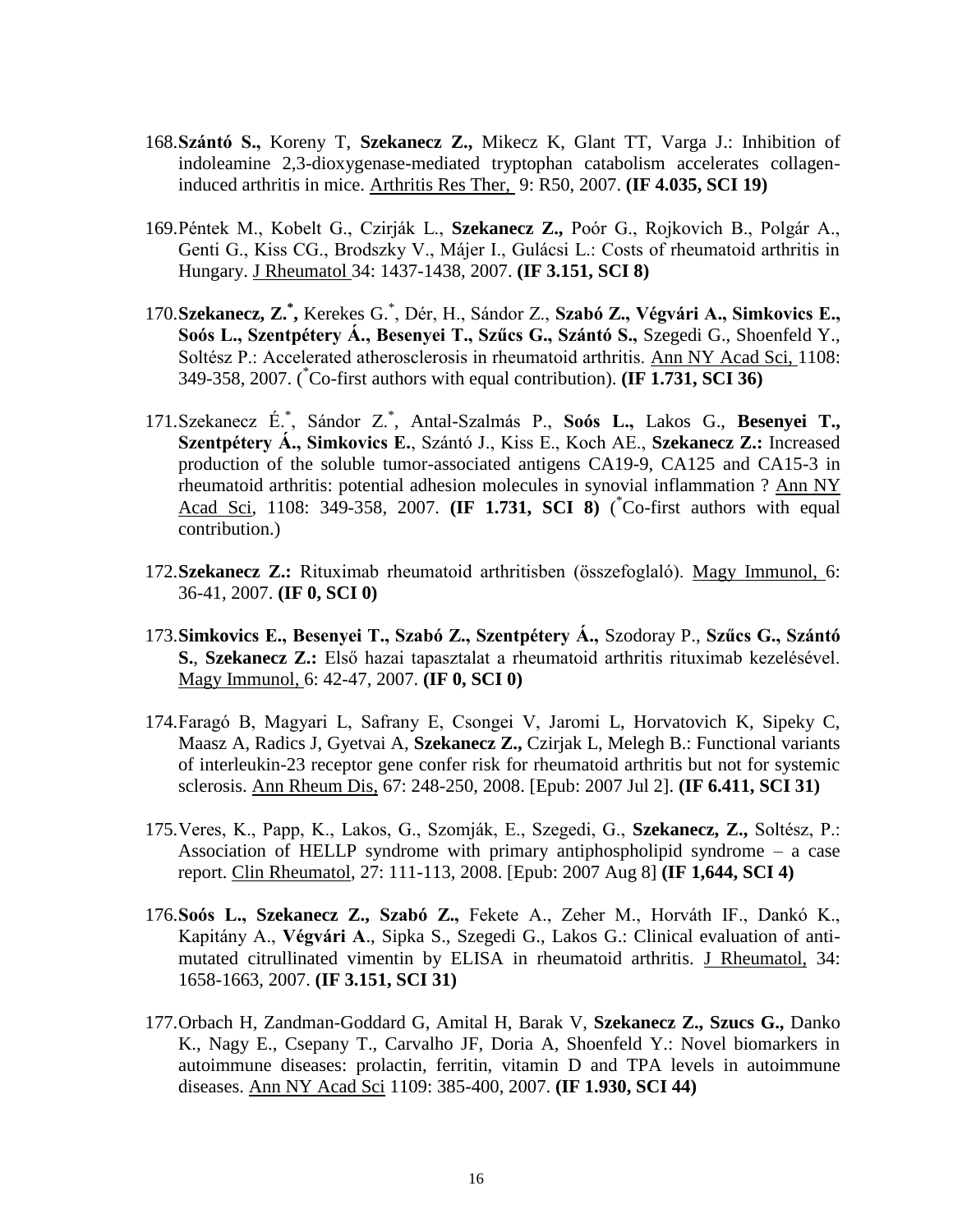- 168.**Szántó S.,** Koreny T, **Szekanecz Z.,** Mikecz K, Glant TT, Varga J.: Inhibition of indoleamine 2,3-dioxygenase-mediated tryptophan catabolism accelerates collageninduced arthritis in mice. Arthritis Res Ther, 9: R50, 2007. **(IF 4.035, SCI 19)**
- 169.Péntek M., Kobelt G., Czirják L., **Szekanecz Z.,** Poór G., Rojkovich B., Polgár A., Genti G., Kiss CG., Brodszky V., Májer I., Gulácsi L.: Costs of rheumatoid arthritis in Hungary. J Rheumatol 34: 1437-1438, 2007. **(IF 3.151, SCI 8)**
- 170.**Szekanecz, Z.\* ,** Kerekes G.\* , Dér, H., Sándor Z., **Szabó Z., Végvári A., Simkovics E., Soós L., Szentpétery Á., Besenyei T., Szűcs G., Szántó S.,** Szegedi G., Shoenfeld Y., Soltész P.: Accelerated atherosclerosis in rheumatoid arthritis. Ann NY Acad Sci, 1108: 349-358, 2007. ( \*Co-first authors with equal contribution). **(IF 1.731, SCI 36)**
- 171.Szekanecz É.\* , Sándor Z.\* , Antal-Szalmás P., **Soós L.,** Lakos G., **Besenyei T., Szentpétery Á., Simkovics E.**, Szántó J., Kiss E., Koch AE., **Szekanecz Z.:** Increased production of the soluble tumor-associated antigens CA19-9, CA125 and CA15-3 in rheumatoid arthritis: potential adhesion molecules in synovial inflammation ? Ann NY Acad Sci, 1108: 349-358, 2007. **(IF 1.731, SCI 8)** ( \*Co-first authors with equal contribution.)
- 172.**Szekanecz Z.:** Rituximab rheumatoid arthritisben (összefoglaló). Magy Immunol, 6: 36-41, 2007. **(IF 0, SCI 0)**
- 173.**Simkovics E., Besenyei T., Szabó Z., Szentpétery Á.,** Szodoray P., **Szűcs G., Szántó S.**, **Szekanecz Z.:** Első hazai tapasztalat a rheumatoid arthritis rituximab kezelésével. Magy Immunol, 6: 42-47, 2007. **(IF 0, SCI 0)**
- 174.Faragó B, Magyari L, Safrany E, Csongei V, Jaromi L, Horvatovich K, Sipeky C, Maasz A, Radics J, Gyetvai A, **Szekanecz Z.,** Czirjak L, Melegh B.: Functional variants of interleukin-23 receptor gene confer risk for rheumatoid arthritis but not for systemic sclerosis. Ann Rheum Dis, 67: 248-250, 2008. [Epub: 2007 Jul 2]. **(IF 6.411, SCI 31)**
- 175.Veres, K., Papp, K., Lakos, G., Szomják, E., Szegedi, G., **Szekanecz, Z.,** Soltész, P.: Association of HELLP syndrome with primary antiphospholipid syndrome – a case report. Clin Rheumatol, 27: 111-113, 2008. [Epub: 2007 Aug 8] **(IF 1,644, SCI 4)**
- 176.**Soós L., Szekanecz Z., Szabó Z.,** Fekete A., Zeher M., Horváth IF., Dankó K., Kapitány A., **Végvári A**., Sipka S., Szegedi G., Lakos G.: Clinical evaluation of antimutated citrullinated vimentin by ELISA in rheumatoid arthritis. J Rheumatol, 34: 1658-1663, 2007. **(IF 3.151, SCI 31)**
- 177.Orbach H, Zandman-Goddard G, Amital H, Barak V, **Szekanecz Z., Szucs G.,** Danko K., Nagy E., Csepany T., Carvalho JF, Doria A, Shoenfeld Y.: Novel biomarkers in autoimmune diseases: prolactin, ferritin, vitamin D and TPA levels in autoimmune diseases. Ann NY Acad Sci 1109: 385-400, 2007. **(IF 1.930, SCI 44)**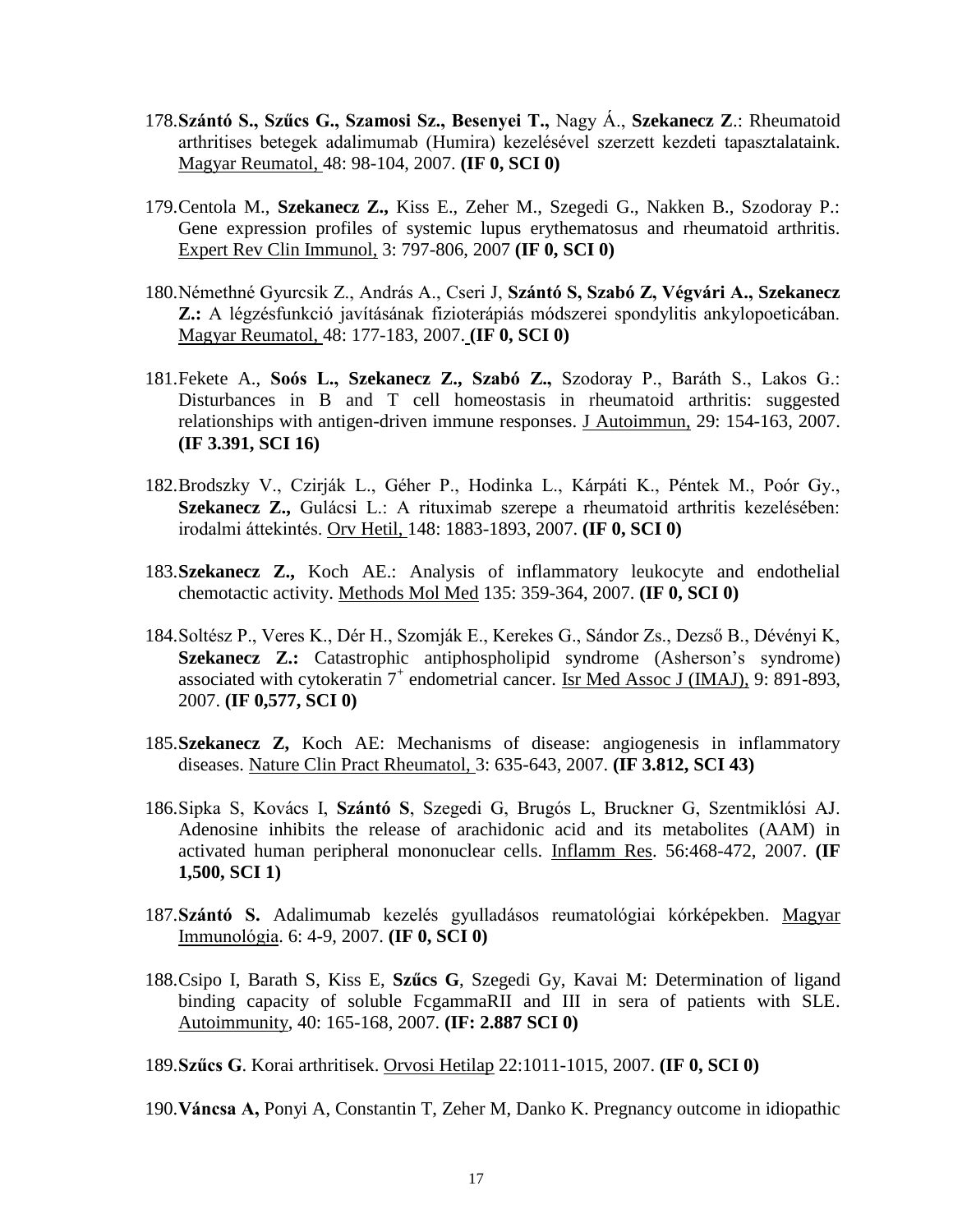- 178.**Szántó S., Szűcs G., Szamosi Sz., Besenyei T.,** Nagy Á., **Szekanecz Z**.: Rheumatoid arthritises betegek adalimumab (Humira) kezelésével szerzett kezdeti tapasztalataink. Magyar Reumatol, 48: 98-104, 2007. **(IF 0, SCI 0)**
- 179.Centola M., **Szekanecz Z.,** Kiss E., Zeher M., Szegedi G., Nakken B., Szodoray P.: Gene expression profiles of systemic lupus erythematosus and rheumatoid arthritis. Expert Rev Clin Immunol, 3: 797-806, 2007 **(IF 0, SCI 0)**
- 180.Némethné Gyurcsik Z., András A., Cseri J, **Szántó S, Szabó Z, Végvári A., Szekanecz Z.:** A légzésfunkció javításának fizioterápiás módszerei spondylitis ankylopoeticában. Magyar Reumatol, 48: 177-183, 2007. **(IF 0, SCI 0)**
- 181.Fekete A., **Soós L., Szekanecz Z., Szabó Z.,** Szodoray P., Baráth S., Lakos G.: Disturbances in B and T cell homeostasis in rheumatoid arthritis: suggested relationships with antigen-driven immune responses. J Autoimmun, 29: 154-163, 2007. **(IF 3.391, SCI 16)**
- 182.Brodszky V., Czirják L., Géher P., Hodinka L., Kárpáti K., Péntek M., Poór Gy., **Szekanecz Z.,** Gulácsi L.: A rituximab szerepe a rheumatoid arthritis kezelésében: irodalmi áttekintés. Orv Hetil, 148: 1883-1893, 2007. **(IF 0, SCI 0)**
- 183.**Szekanecz Z.,** Koch AE.: Analysis of inflammatory leukocyte and endothelial chemotactic activity. Methods Mol Med 135: 359-364, 2007. **(IF 0, SCI 0)**
- 184.Soltész P., Veres K., Dér H., Szomják E., Kerekes G., Sándor Zs., Dezső B., Dévényi K, **Szekanecz Z.:** Catastrophic antiphospholipid syndrome (Asherson's syndrome) associated with cytokeratin  $7^+$  endometrial cancer. Isr Med Assoc J (IMAJ), 9: 891-893, 2007. **(IF 0,577, SCI 0)**
- 185.**Szekanecz Z,** Koch AE: Mechanisms of disease: angiogenesis in inflammatory diseases. Nature Clin Pract Rheumatol, 3: 635-643, 2007. **(IF 3.812, SCI 43)**
- 186.Sipka S, Kovács I, **Szántó S**, Szegedi G, Brugós L, Bruckner G, Szentmiklósi AJ. Adenosine inhibits the release of arachidonic acid and its metabolites (AAM) in activated human peripheral mononuclear cells. Inflamm Res. 56:468-472, 2007. **(IF 1,500, SCI 1)**
- 187.**Szántó S.** Adalimumab kezelés gyulladásos reumatológiai kórképekben. Magyar Immunológia. 6: 4-9, 2007. **(IF 0, SCI 0)**
- 188.Csipo I, Barath S, Kiss E, **Szűcs G**, Szegedi Gy, Kavai M: Determination of ligand binding capacity of soluble FcgammaRII and III in sera of patients with SLE. Autoimmunity, 40: 165-168, 2007. **(IF: 2.887 SCI 0)**
- 189.**Szűcs G**. Korai arthritisek. Orvosi Hetilap 22:1011-1015, 2007. **(IF 0, SCI 0)**

190.**Váncsa A,** Ponyi A, Constantin T, Zeher M, Danko K. Pregnancy outcome in idiopathic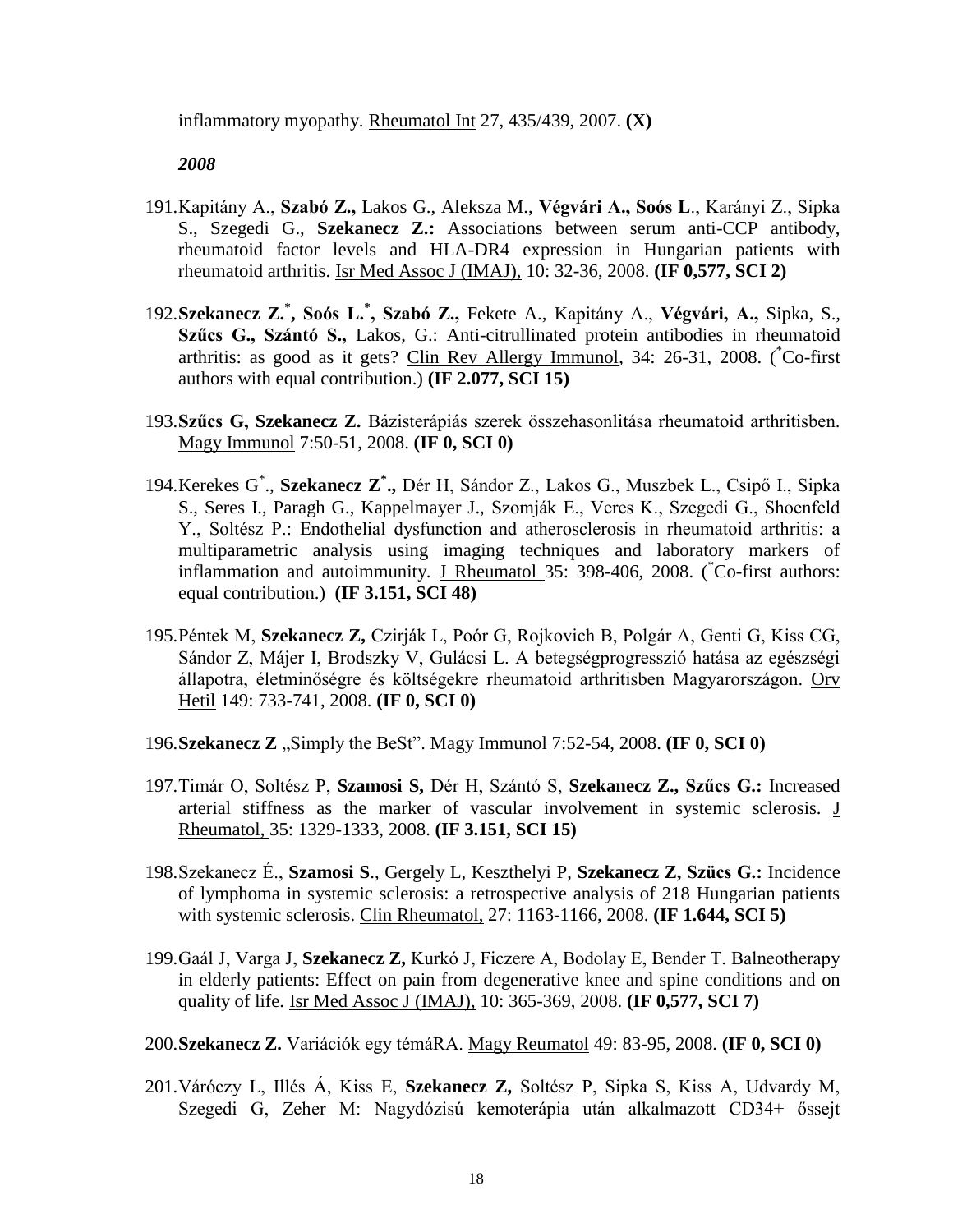inflammatory myopathy. Rheumatol Int 27, 435/439, 2007. **(X)**

- 191.Kapitány A., **Szabó Z.,** Lakos G., Aleksza M., **Végvári A., Soós L**., Karányi Z., Sipka S., Szegedi G., **Szekanecz Z.:** Associations between serum anti-CCP antibody, rheumatoid factor levels and HLA-DR4 expression in Hungarian patients with rheumatoid arthritis. Isr Med Assoc J (IMAJ), 10: 32-36, 2008. **(IF 0,577, SCI 2)**
- 192.**Szekanecz Z.\* , Soós L.\* , Szabó Z.,** Fekete A., Kapitány A., **Végvári, A.,** Sipka, S., **Szűcs G., Szántó S.,** Lakos, G.: Anti-citrullinated protein antibodies in rheumatoid arthritis: as good as it gets? Clin Rev Allergy Immunol, 34: 26-31, 2008. (\*Co-first authors with equal contribution.) **(IF 2.077, SCI 15)**
- 193.**Szűcs G, Szekanecz Z.** Bázisterápiás szerek összehasonlitása rheumatoid arthritisben. Magy Immunol 7:50-51, 2008. **(IF 0, SCI 0)**
- 194.Kerekes G\* ., **Szekanecz Z\* .,** Dér H, Sándor Z., Lakos G., Muszbek L., Csipő I., Sipka S., Seres I., Paragh G., Kappelmayer J., Szomják E., Veres K., Szegedi G., Shoenfeld Y., Soltész P.: Endothelial dysfunction and atherosclerosis in rheumatoid arthritis: a multiparametric analysis using imaging techniques and laboratory markers of inflammation and autoimmunity. J Rheumatol 35: 398-406, 2008. (\*Co-first authors: equal contribution.) **(IF 3.151, SCI 48)**
- 195.Péntek M, **Szekanecz Z,** Czirják L, Poór G, Rojkovich B, Polgár A, Genti G, Kiss CG, Sándor Z, Májer I, Brodszky V, Gulácsi L. A betegségprogresszió hatása az egészségi állapotra, életminőségre és költségekre rheumatoid arthritisben Magyarországon. Orv Hetil 149: 733-741, 2008. **(IF 0, SCI 0)**
- 196. Szekanecz **Z** "Simply the BeSt". Magy Immunol 7:52-54, 2008. **(IF 0, SCI 0)**
- 197.Timár O, Soltész P, **Szamosi S,** Dér H, Szántó S, **Szekanecz Z., Szűcs G.:** Increased arterial stiffness as the marker of vascular involvement in systemic sclerosis. J Rheumatol, 35: 1329-1333, 2008. **(IF 3.151, SCI 15)**
- 198.Szekanecz É., **Szamosi S**., Gergely L, Keszthelyi P, **Szekanecz Z, Szücs G.:** Incidence of lymphoma in systemic sclerosis: a retrospective analysis of 218 Hungarian patients with systemic sclerosis. Clin Rheumatol, 27: 1163-1166, 2008. **(IF 1.644, SCI 5)**
- 199.Gaál J, Varga J, **Szekanecz Z,** Kurkó J, Ficzere A, Bodolay E, Bender T. Balneotherapy in elderly patients: Effect on pain from degenerative knee and spine conditions and on quality of life. Isr Med Assoc J (IMAJ), 10: 365-369, 2008. **(IF 0,577, SCI 7)**
- 200.**Szekanecz Z.** Variációk egy témáRA. Magy Reumatol 49: 83-95, 2008. **(IF 0, SCI 0)**
- 201.Váróczy L, Illés Á, Kiss E, **Szekanecz Z,** Soltész P, Sipka S, Kiss A, Udvardy M, Szegedi G, Zeher M: Nagydózisú kemoterápia után alkalmazott CD34+ őssejt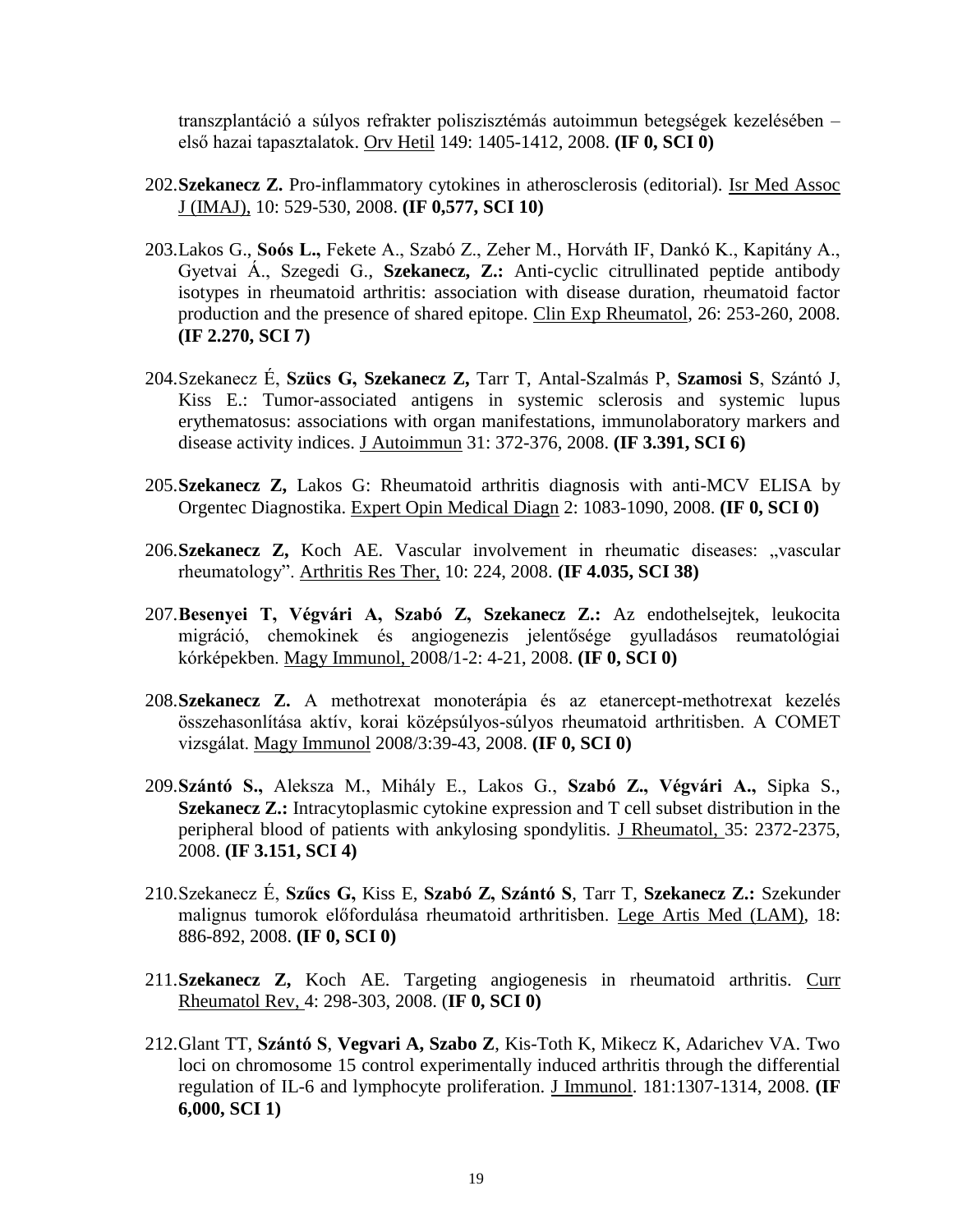transzplantáció a súlyos refrakter poliszisztémás autoimmun betegségek kezelésében – első hazai tapasztalatok. Orv Hetil 149: 1405-1412, 2008. **(IF 0, SCI 0)**

- 202.**Szekanecz Z.** Pro-inflammatory cytokines in atherosclerosis (editorial). Isr Med Assoc J (IMAJ), 10: 529-530, 2008. **(IF 0,577, SCI 10)**
- 203.Lakos G., **Soós L.,** Fekete A., Szabó Z., Zeher M., Horváth IF, Dankó K., Kapitány A., Gyetvai Á., Szegedi G., **Szekanecz, Z.:** Anti-cyclic citrullinated peptide antibody isotypes in rheumatoid arthritis: association with disease duration, rheumatoid factor production and the presence of shared epitope. Clin Exp Rheumatol, 26: 253-260, 2008. **(IF 2.270, SCI 7)**
- 204.Szekanecz É, **Szücs G, Szekanecz Z,** Tarr T, Antal-Szalmás P, **Szamosi S**, Szántó J, Kiss E.: Tumor-associated antigens in systemic sclerosis and systemic lupus erythematosus: associations with organ manifestations, immunolaboratory markers and disease activity indices. J Autoimmun 31: 372-376, 2008. **(IF 3.391, SCI 6)**
- 205.**Szekanecz Z,** Lakos G: Rheumatoid arthritis diagnosis with anti-MCV ELISA by Orgentec Diagnostika. Expert Opin Medical Diagn 2: 1083-1090, 2008. **(IF 0, SCI 0)**
- 206.Szekanecz Z, Koch AE. Vascular involvement in rheumatic diseases: "vascular rheumatology". Arthritis Res Ther, 10: 224, 2008. **(IF 4.035, SCI 38)**
- 207.**Besenyei T, Végvári A, Szabó Z, Szekanecz Z.:** Az endothelsejtek, leukocita migráció, chemokinek és angiogenezis jelentősége gyulladásos reumatológiai kórképekben. Magy Immunol, 2008/1-2: 4-21, 2008. **(IF 0, SCI 0)**
- 208.**Szekanecz Z.** A methotrexat monoterápia és az etanercept-methotrexat kezelés összehasonlítása aktív, korai középsúlyos-súlyos rheumatoid arthritisben. A COMET vizsgálat. Magy Immunol 2008/3:39-43, 2008. **(IF 0, SCI 0)**
- 209.**Szántó S.,** Aleksza M., Mihály E., Lakos G., **Szabó Z., Végvári A.,** Sipka S., **Szekanecz Z.:** Intracytoplasmic cytokine expression and T cell subset distribution in the peripheral blood of patients with ankylosing spondylitis. J Rheumatol, 35: 2372-2375, 2008. **(IF 3.151, SCI 4)**
- 210.Szekanecz É, **Szűcs G,** Kiss E, **Szabó Z, Szántó S**, Tarr T, **Szekanecz Z.:** Szekunder malignus tumorok előfordulása rheumatoid arthritisben. Lege Artis Med (LAM), 18: 886-892, 2008. **(IF 0, SCI 0)**
- 211.**Szekanecz Z,** Koch AE. Targeting angiogenesis in rheumatoid arthritis. Curr Rheumatol Rev, 4: 298-303, 2008. (**IF 0, SCI 0)**
- 212.Glant TT, **Szántó S**, **Vegvari A, Szabo Z**, Kis-Toth K, Mikecz K, Adarichev VA. Two loci on chromosome 15 control experimentally induced arthritis through the differential regulation of IL-6 and lymphocyte proliferation. J Immunol. 181:1307-1314, 2008. **(IF 6,000, SCI 1)**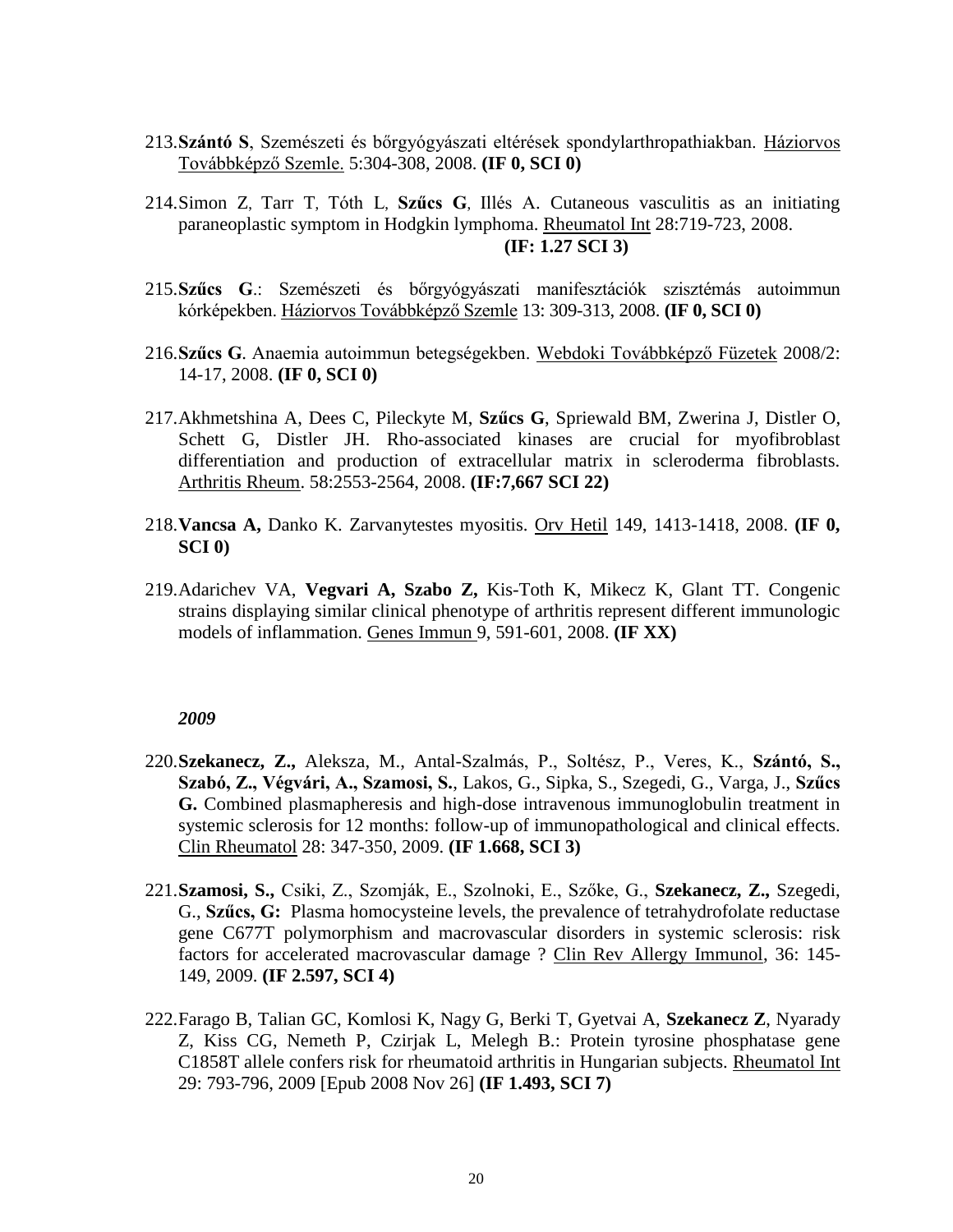- 213.**Szántó S**, Szemészeti és bőrgyógyászati eltérések spondylarthropathiakban. Háziorvos Továbbképző Szemle. 5:304-308, 2008. **(IF 0, SCI 0)**
- 214[.Simon Z](http://www.ncbi.nlm.nih.gov/sites/entrez?Db=pubmed&Cmd=Search&Term=%22Simon%20Z%22%5BAuthor%5D&itool=EntrezSystem2.PEntrez.Pubmed.Pubmed_ResultsPanel.Pubmed_RVAbstractPlus), [Tarr T](http://www.ncbi.nlm.nih.gov/sites/entrez?Db=pubmed&Cmd=Search&Term=%22Tarr%20T%22%5BAuthor%5D&itool=EntrezSystem2.PEntrez.Pubmed.Pubmed_ResultsPanel.Pubmed_RVAbstractPlus), [Tóth L](http://www.ncbi.nlm.nih.gov/sites/entrez?Db=pubmed&Cmd=Search&Term=%22T%C3%B3th%20L%22%5BAuthor%5D&itool=EntrezSystem2.PEntrez.Pubmed.Pubmed_ResultsPanel.Pubmed_RVAbstractPlus), **[Szűcs G](http://www.ncbi.nlm.nih.gov/sites/entrez?Db=pubmed&Cmd=Search&Term=%22Sz%C5%B1cs%20G%22%5BAuthor%5D&itool=EntrezSystem2.PEntrez.Pubmed.Pubmed_ResultsPanel.Pubmed_RVAbstractPlus)**, [Illés A.](http://www.ncbi.nlm.nih.gov/sites/entrez?Db=pubmed&Cmd=Search&Term=%22Ill%C3%A9s%20A%22%5BAuthor%5D&itool=EntrezSystem2.PEntrez.Pubmed.Pubmed_ResultsPanel.Pubmed_RVAbstractPlus) Cutaneous vasculitis as an initiating paraneoplastic symptom in Hodgkin lymphoma. Rheumatol Int 28:719-723, 2008. **(IF: 1.27 SCI 3)**
- 215.**Szűcs G**.: Szemészeti és bőrgyógyászati manifesztációk szisztémás autoimmun kórképekben. Háziorvos Továbbképző Szemle 13: 309-313, 2008. **(IF 0, SCI 0)**
- 216.**Szűcs G**. Anaemia autoimmun betegségekben. Webdoki Továbbképző Füzetek 2008/2: 14-17, 2008. **(IF 0, SCI 0)**
- 217[.Akhmetshina A,](http://www.ncbi.nlm.nih.gov/sites/entrez?Db=pubmed&Cmd=Search&Term=%22Akhmetshina%20A%22%5BAuthor%5D&itool=EntrezSystem2.PEntrez.Pubmed.Pubmed_ResultsPanel.Pubmed_DiscoveryPanel.Pubmed_RVAbstractPlus) [Dees C,](http://www.ncbi.nlm.nih.gov/sites/entrez?Db=pubmed&Cmd=Search&Term=%22Dees%20C%22%5BAuthor%5D&itool=EntrezSystem2.PEntrez.Pubmed.Pubmed_ResultsPanel.Pubmed_DiscoveryPanel.Pubmed_RVAbstractPlus) [Pileckyte M,](http://www.ncbi.nlm.nih.gov/sites/entrez?Db=pubmed&Cmd=Search&Term=%22Pileckyte%20M%22%5BAuthor%5D&itool=EntrezSystem2.PEntrez.Pubmed.Pubmed_ResultsPanel.Pubmed_DiscoveryPanel.Pubmed_RVAbstractPlus) **[Szűcs G](http://www.ncbi.nlm.nih.gov/sites/entrez?Db=pubmed&Cmd=Search&Term=%22Szucs%20G%22%5BAuthor%5D&itool=EntrezSystem2.PEntrez.Pubmed.Pubmed_ResultsPanel.Pubmed_DiscoveryPanel.Pubmed_RVAbstractPlus)**, [Spriewald BM,](http://www.ncbi.nlm.nih.gov/sites/entrez?Db=pubmed&Cmd=Search&Term=%22Spriewald%20BM%22%5BAuthor%5D&itool=EntrezSystem2.PEntrez.Pubmed.Pubmed_ResultsPanel.Pubmed_DiscoveryPanel.Pubmed_RVAbstractPlus) [Zwerina J,](http://www.ncbi.nlm.nih.gov/sites/entrez?Db=pubmed&Cmd=Search&Term=%22Zwerina%20J%22%5BAuthor%5D&itool=EntrezSystem2.PEntrez.Pubmed.Pubmed_ResultsPanel.Pubmed_DiscoveryPanel.Pubmed_RVAbstractPlus) [Distler O,](http://www.ncbi.nlm.nih.gov/sites/entrez?Db=pubmed&Cmd=Search&Term=%22Distler%20O%22%5BAuthor%5D&itool=EntrezSystem2.PEntrez.Pubmed.Pubmed_ResultsPanel.Pubmed_DiscoveryPanel.Pubmed_RVAbstractPlus) [Schett G,](http://www.ncbi.nlm.nih.gov/sites/entrez?Db=pubmed&Cmd=Search&Term=%22Schett%20G%22%5BAuthor%5D&itool=EntrezSystem2.PEntrez.Pubmed.Pubmed_ResultsPanel.Pubmed_DiscoveryPanel.Pubmed_RVAbstractPlus) [Distler JH.](http://www.ncbi.nlm.nih.gov/sites/entrez?Db=pubmed&Cmd=Search&Term=%22Distler%20JH%22%5BAuthor%5D&itool=EntrezSystem2.PEntrez.Pubmed.Pubmed_ResultsPanel.Pubmed_DiscoveryPanel.Pubmed_RVAbstractPlus) Rho-associated kinases are crucial for myofibroblast differentiation and production of extracellular matrix in scleroderma fibroblasts. Arthritis Rheum. 58:2553-2564, 2008. **(IF:7,667 SCI 22)**
- 218.**Vancsa A,** Danko K. Zarvanytestes myositis. Orv Hetil 149, 1413-1418, 2008. **(IF 0, SCI 0)**
- 219.Adarichev VA, **Vegvari A, Szabo Z,** Kis-Toth K, Mikecz K, Glant TT. Congenic strains displaying similar clinical phenotype of arthritis represent different immunologic models of inflammation. Genes Immun 9, 591-601, 2008. **(IF XX)**

- 220.**Szekanecz, Z.,** Aleksza, M., Antal-Szalmás, P., Soltész, P., Veres, K., **Szántó, S., Szabó, Z., Végvári, A., Szamosi, S.**, Lakos, G., Sipka, S., Szegedi, G., Varga, J., **Szűcs G.** Combined plasmapheresis and high-dose intravenous immunoglobulin treatment in systemic sclerosis for 12 months: follow-up of immunopathological and clinical effects. Clin Rheumatol 28: 347-350, 2009. **(IF 1.668, SCI 3)**
- 221.**Szamosi, S.,** Csiki, Z., Szomják, E., Szolnoki, E., Szőke, G., **Szekanecz, Z.,** Szegedi, G., **Szűcs, G:** Plasma homocysteine levels, the prevalence of tetrahydrofolate reductase gene C677T polymorphism and macrovascular disorders in systemic sclerosis: risk factors for accelerated macrovascular damage ? Clin Rev Allergy Immunol, 36: 145- 149, 2009. **(IF 2.597, SCI 4)**
- 222.Farago B, Talian GC, Komlosi K, Nagy G, Berki T, Gyetvai A, **Szekanecz Z**, Nyarady Z, Kiss CG, Nemeth P, Czirjak L, Melegh B.: Protein tyrosine phosphatase gene C1858T allele confers risk for rheumatoid arthritis in Hungarian subjects. Rheumatol Int 29: 793-796, 2009 [Epub 2008 Nov 26] **(IF 1.493, SCI 7)**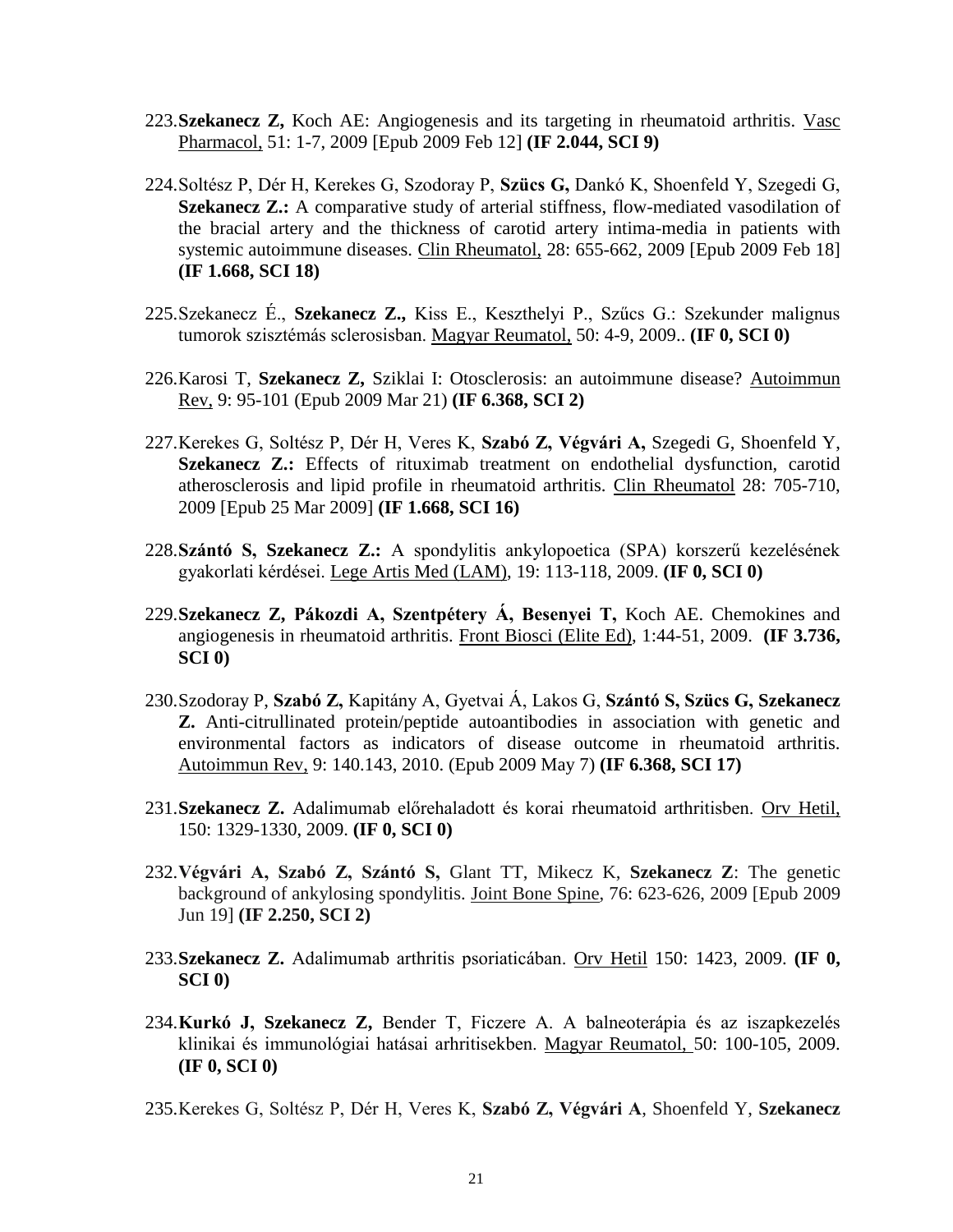- 223.**Szekanecz Z,** Koch AE: Angiogenesis and its targeting in rheumatoid arthritis. Vasc Pharmacol, 51: 1-7, 2009 [Epub 2009 Feb 12] **(IF 2.044, SCI 9)**
- 224.Soltész P, Dér H, Kerekes G, Szodoray P, **Szücs G,** Dankó K, Shoenfeld Y, Szegedi G, **Szekanecz Z.:** A comparative study of arterial stiffness, flow-mediated vasodilation of the bracial artery and the thickness of carotid artery intima-media in patients with systemic autoimmune diseases. Clin Rheumatol, 28: 655-662, 2009 [Epub 2009 Feb 18] **(IF 1.668, SCI 18)**
- 225.Szekanecz É., **Szekanecz Z.,** Kiss E., Keszthelyi P., Szűcs G.: Szekunder malignus tumorok szisztémás sclerosisban. Magyar Reumatol, 50: 4-9, 2009.. **(IF 0, SCI 0)**
- 226.Karosi T, **Szekanecz Z,** Sziklai I: Otosclerosis: an autoimmune disease? Autoimmun Rev, 9: 95-101 (Epub 2009 Mar 21) **(IF 6.368, SCI 2)**
- 227.Kerekes G, Soltész P, Dér H, Veres K, **Szabó Z, Végvári A,** Szegedi G, Shoenfeld Y, **Szekanecz Z.:** Effects of rituximab treatment on endothelial dysfunction, carotid atherosclerosis and lipid profile in rheumatoid arthritis. Clin Rheumatol 28: 705-710, 2009 [Epub 25 Mar 2009] **(IF 1.668, SCI 16)**
- 228.**Szántó S, Szekanecz Z.:** A spondylitis ankylopoetica (SPA) korszerű kezelésének gyakorlati kérdései. Lege Artis Med (LAM), 19: 113-118, 2009. **(IF 0, SCI 0)**
- 229.**Szekanecz Z, Pákozdi A, Szentpétery Á, Besenyei T,** Koch AE. Chemokines and angiogenesis in rheumatoid arthritis. Front Biosci (Elite Ed), 1:44-51, 2009. **(IF 3.736, SCI 0)**
- 230.Szodoray P, **Szabó Z,** Kapitány A, Gyetvai Á, Lakos G, **Szántó S, Szücs G, Szekanecz Z.** Anti-citrullinated protein/peptide autoantibodies in association with genetic and environmental factors as indicators of disease outcome in rheumatoid arthritis. Autoimmun Rev, 9: 140.143, 2010. (Epub 2009 May 7) **(IF 6.368, SCI 17)**
- 231.**Szekanecz Z.** Adalimumab előrehaladott és korai rheumatoid arthritisben. Orv Hetil, 150: 1329-1330, 2009. **(IF 0, SCI 0)**
- 232.**Végvári A, Szabó Z, Szántó S,** Glant TT, Mikecz K, **Szekanecz Z**: The genetic background of ankylosing spondylitis. Joint Bone Spine, 76: 623-626, 2009 [Epub 2009 Jun 19] **(IF 2.250, SCI 2)**
- 233.**Szekanecz Z.** Adalimumab arthritis psoriaticában. Orv Hetil 150: 1423, 2009. **(IF 0, SCI 0)**
- 234.**Kurkó J, Szekanecz Z,** Bender T, Ficzere A. A balneoterápia és az iszapkezelés klinikai és immunológiai hatásai arhritisekben. Magyar Reumatol, 50: 100-105, 2009. **(IF 0, SCI 0)**
- 235.Kerekes G, Soltész P, Dér H, Veres K, **Szabó Z, Végvári A**, Shoenfeld Y, **Szekanecz**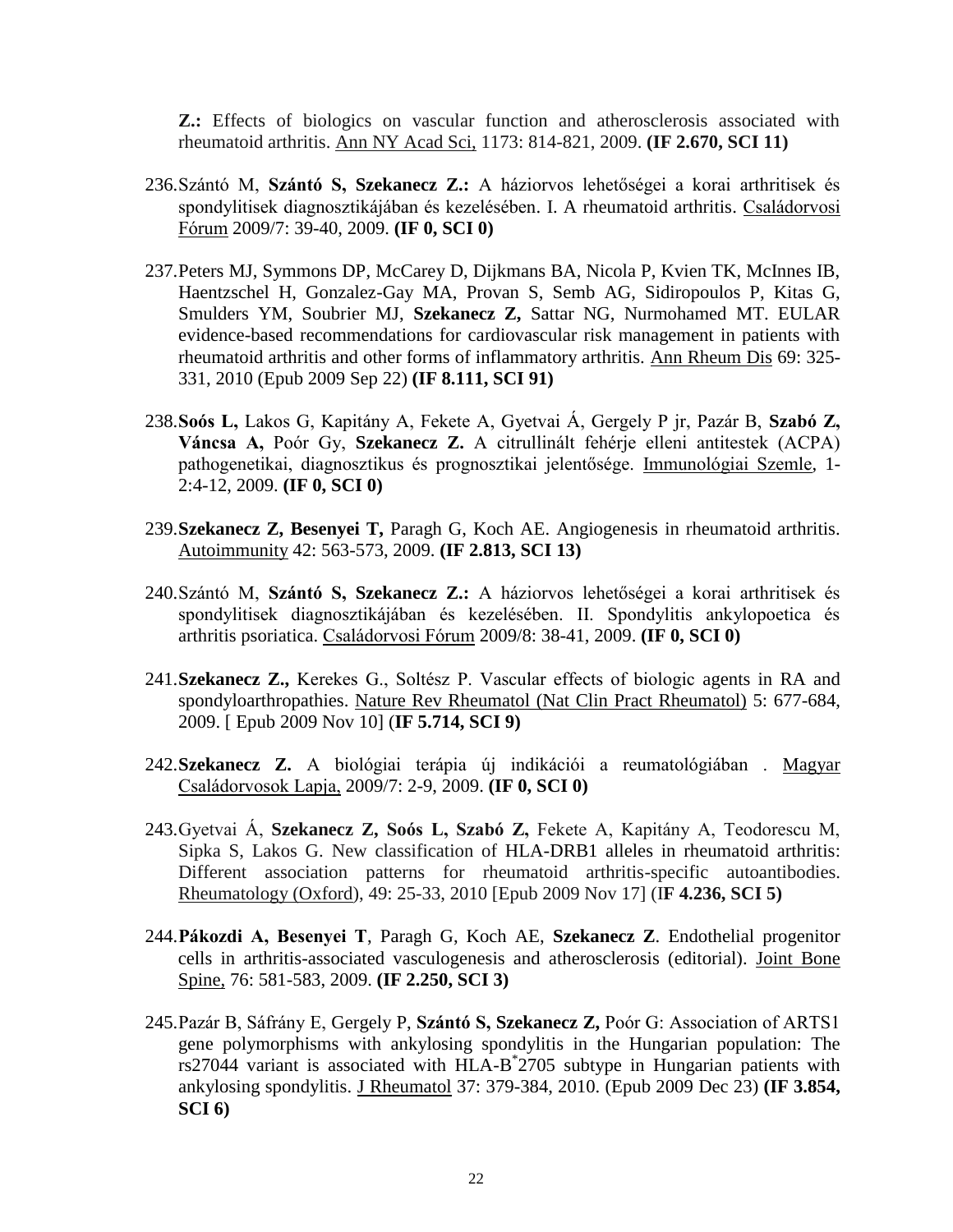**Z.:** Effects of biologics on vascular function and atherosclerosis associated with rheumatoid arthritis. Ann NY Acad Sci, 1173: 814-821, 2009. **(IF 2.670, SCI 11)**

- 236.Szántó M, **Szántó S, Szekanecz Z.:** A háziorvos lehetőségei a korai arthritisek és spondylitisek diagnosztikájában és kezelésében. I. A rheumatoid arthritis. Családorvosi Fórum 2009/7: 39-40, 2009. **(IF 0, SCI 0)**
- 237.Peters MJ, Symmons DP, McCarey D, Dijkmans BA, Nicola P, Kvien TK, McInnes IB, Haentzschel H, Gonzalez-Gay MA, Provan S, Semb AG, Sidiropoulos P, Kitas G, Smulders YM, Soubrier MJ, **Szekanecz Z,** Sattar NG, Nurmohamed MT. EULAR evidence-based recommendations for cardiovascular risk management in patients with rheumatoid arthritis and other forms of inflammatory arthritis. Ann Rheum Dis 69: 325- 331, 2010 (Epub 2009 Sep 22) **(IF 8.111, SCI 91)**
- 238.**Soós L,** Lakos G, Kapitány A, Fekete A, Gyetvai Á, Gergely P jr, Pazár B, **Szabó Z, Váncsa A,** Poór Gy, **Szekanecz Z.** A citrullinált fehérje elleni antitestek (ACPA) pathogenetikai, diagnosztikus és prognosztikai jelentősége. Immunológiai Szemle, 1- 2:4-12, 2009. **(IF 0, SCI 0)**
- 239.**Szekanecz Z, Besenyei T,** Paragh G, Koch AE. Angiogenesis in rheumatoid arthritis. Autoimmunity 42: 563-573, 2009. **(IF 2.813, SCI 13)**
- 240.Szántó M, **Szántó S, Szekanecz Z.:** A háziorvos lehetőségei a korai arthritisek és spondylitisek diagnosztikájában és kezelésében. II. Spondylitis ankylopoetica és arthritis psoriatica. Családorvosi Fórum 2009/8: 38-41, 2009. **(IF 0, SCI 0)**
- 241.**Szekanecz Z.,** Kerekes G., Soltész P. Vascular effects of biologic agents in RA and spondyloarthropathies. Nature Rev Rheumatol (Nat Clin Pract Rheumatol) 5: 677-684, 2009. [ Epub 2009 Nov 10] (**IF 5.714, SCI 9)**
- 242.**Szekanecz Z.** A biológiai terápia új indikációi a reumatológiában . Magyar Családorvosok Lapja, 2009/7: 2-9, 2009. **(IF 0, SCI 0)**
- 243.Gyetvai Á, **Szekanecz Z, Soós L, Szabó Z,** Fekete A, Kapitány A, Teodorescu M, Sipka S, Lakos G. New classification of HLA-DRB1 alleles in rheumatoid arthritis: Different association patterns for rheumatoid arthritis-specific autoantibodies. Rheumatology (Oxford), 49: 25-33, 2010 [Epub 2009 Nov 17] (I**F 4.236, SCI 5)**
- 244.**Pákozdi A, Besenyei T**, Paragh G, Koch AE, **Szekanecz Z**. Endothelial progenitor cells in arthritis-associated vasculogenesis and atherosclerosis (editorial). Joint Bone Spine, 76: 581-583, 2009. **(IF 2.250, SCI 3)**
- 245.Pazár B, Sáfrány E, Gergely P, **Szántó S, Szekanecz Z,** Poór G: Association of ARTS1 gene polymorphisms with ankylosing spondylitis in the Hungarian population: The rs27044 variant is associated with HLA-B<sup>\*</sup>2705 subtype in Hungarian patients with ankylosing spondylitis. J Rheumatol 37: 379-384, 2010. (Epub 2009 Dec 23) **(IF 3.854, SCI 6)**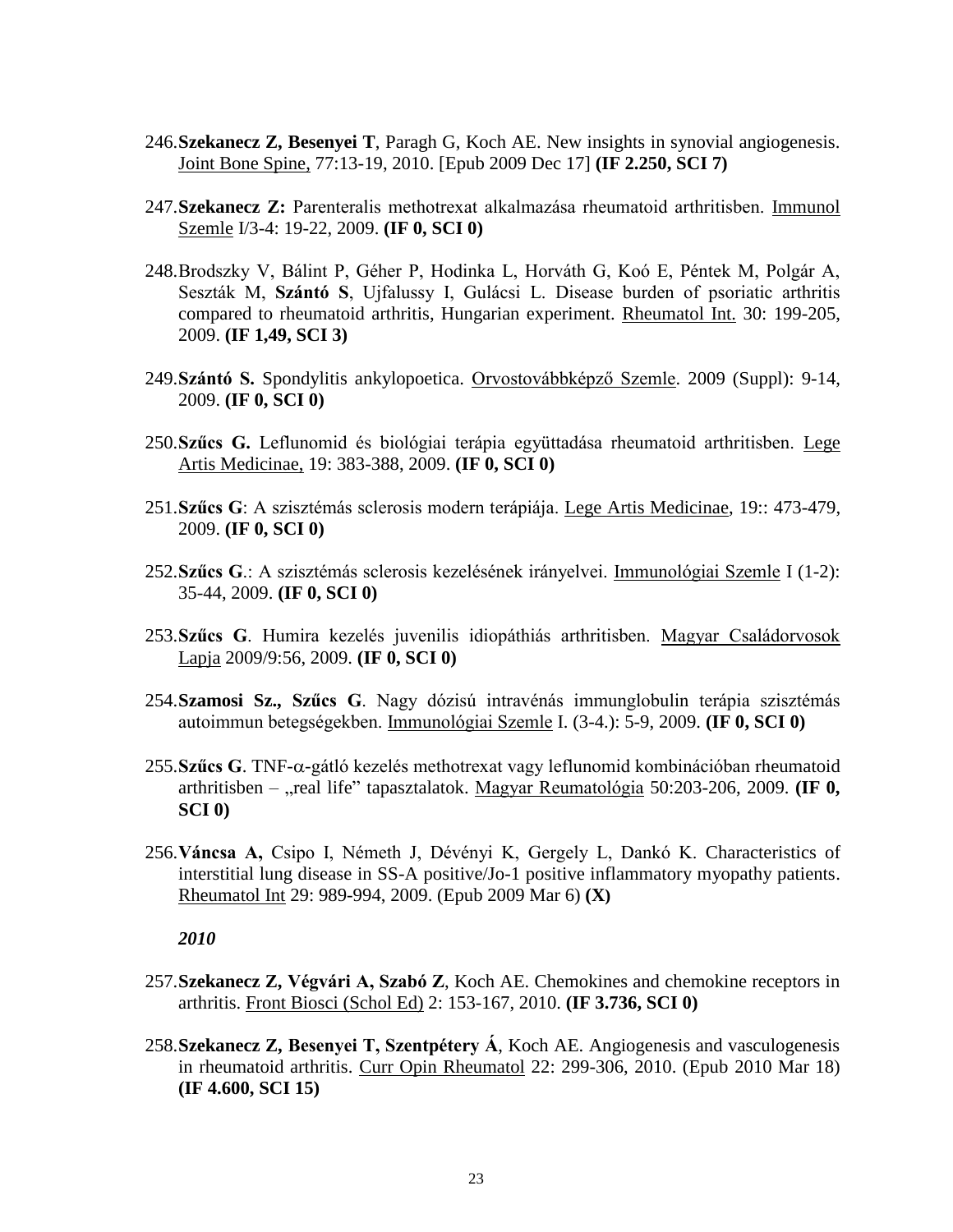- 246.**Szekanecz Z, Besenyei T**, Paragh G, Koch AE. New insights in synovial angiogenesis. Joint Bone Spine, 77:13-19, 2010. [Epub 2009 Dec 17] **(IF 2.250, SCI 7)**
- 247.**Szekanecz Z:** Parenteralis methotrexat alkalmazása rheumatoid arthritisben. Immunol Szemle I/3-4: 19-22, 2009. **(IF 0, SCI 0)**
- 248.Brodszky V, Bálint P, Géher P, Hodinka L, Horváth G, Koó E, Péntek M, Polgár A, Seszták M, **Szántó S**, Ujfalussy I, Gulácsi L. Disease burden of psoriatic arthritis compared to rheumatoid arthritis, Hungarian experiment. Rheumatol Int. 30: 199-205, 2009. **(IF 1,49, SCI 3)**
- 249.**Szántó S.** Spondylitis ankylopoetica. Orvostovábbképző Szemle. 2009 (Suppl): 9-14, 2009. **(IF 0, SCI 0)**
- 250.**Szűcs G.** Leflunomid és biológiai terápia együttadása rheumatoid arthritisben. Lege Artis Medicinae, 19: 383-388, 2009. **(IF 0, SCI 0)**
- 251.**Szűcs G**: A szisztémás sclerosis modern terápiája. Lege Artis Medicinae, 19:: 473-479, 2009. **(IF 0, SCI 0)**
- 252.**Szűcs G**.: A szisztémás sclerosis kezelésének irányelvei. Immunológiai Szemle I (1-2): 35-44, 2009. **(IF 0, SCI 0)**
- 253.**Szűcs G**. Humira kezelés juvenilis idiopáthiás arthritisben. Magyar Családorvosok Lapja 2009/9:56, 2009. **(IF 0, SCI 0)**
- 254.**Szamosi Sz., Szűcs G**. Nagy dózisú intravénás immunglobulin terápia szisztémás autoimmun betegségekben. Immunológiai Szemle I. (3-4.): 5-9, 2009. **(IF 0, SCI 0)**
- $255.$ **Szűcs G**. TNF- $\alpha$ -gátló kezelés methotrexat vagy leflunomid kombinációban rheumatoid arthritisben – "real life" tapasztalatok. Magyar Reumatológia 50:203-206, 2009. **(IF 0, SCI 0)**
- 256.**Váncsa A,** Csipo I, Németh J, Dévényi K, Gergely L, Dankó K. Characteristics of interstitial lung disease in SS-A positive/Jo-1 positive inflammatory myopathy patients. Rheumatol Int 29: 989-994, 2009. (Epub 2009 Mar 6) **(X)**

- 257.**Szekanecz Z, Végvári A, Szabó Z**, Koch AE. Chemokines and chemokine receptors in arthritis. Front Biosci (Schol Ed) 2: 153-167, 2010. **(IF 3.736, SCI 0)**
- 258.**Szekanecz Z, Besenyei T, Szentpétery Á**, Koch AE. Angiogenesis and vasculogenesis in rheumatoid arthritis. Curr Opin Rheumatol 22: 299-306, 2010. (Epub 2010 Mar 18) **(IF 4.600, SCI 15)**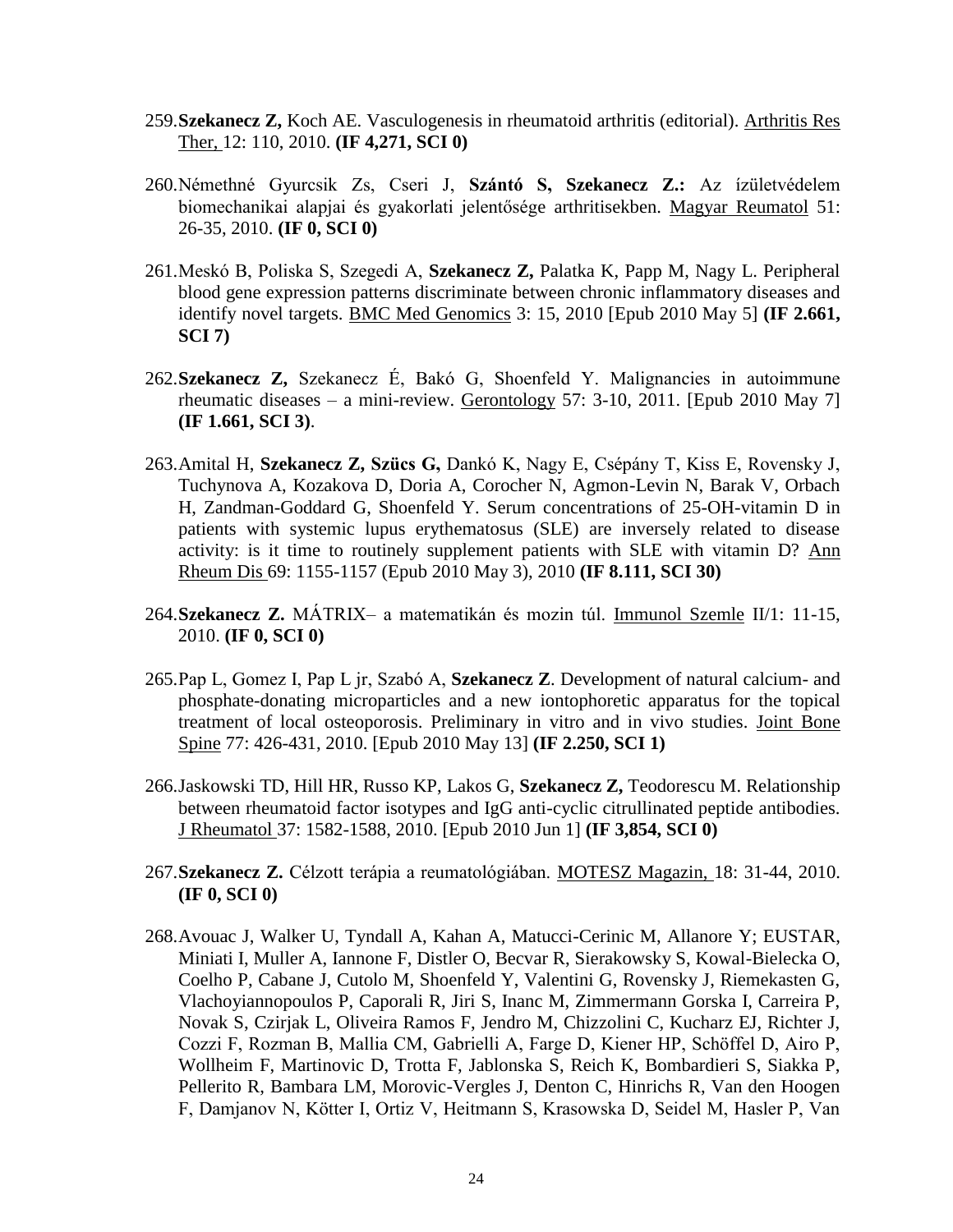- 259.**Szekanecz Z,** Koch AE. Vasculogenesis in rheumatoid arthritis (editorial). Arthritis Res Ther, 12: 110, 2010. **(IF 4,271, SCI 0)**
- 260.Némethné Gyurcsik Zs, Cseri J, **Szántó S, Szekanecz Z.:** Az ízületvédelem biomechanikai alapjai és gyakorlati jelentősége arthritisekben. Magyar Reumatol 51: 26-35, 2010. **(IF 0, SCI 0)**
- 261.Meskó B, Poliska S, Szegedi A, **Szekanecz Z,** Palatka K, Papp M, Nagy L. Peripheral blood gene expression patterns discriminate between chronic inflammatory diseases and identify novel targets. BMC Med Genomics 3: 15, 2010 [Epub 2010 May 5] **(IF 2.661, SCI 7)**
- 262.**Szekanecz Z,** Szekanecz É, Bakó G, Shoenfeld Y. Malignancies in autoimmune rheumatic diseases – a mini-review. Gerontology 57: 3-10, 2011. [Epub 2010 May 7] **(IF 1.661, SCI 3)**.
- 263.Amital H, **Szekanecz Z, Szücs G,** Dankó K, Nagy E, Csépány T, Kiss E, Rovensky J, Tuchynova A, Kozakova D, Doria A, Corocher N, Agmon-Levin N, Barak V, Orbach H, Zandman-Goddard G, Shoenfeld Y. Serum concentrations of 25-OH-vitamin D in patients with systemic lupus erythematosus (SLE) are inversely related to disease activity: is it time to routinely supplement patients with SLE with vitamin D? Ann Rheum Dis 69: 1155-1157 (Epub 2010 May 3), 2010 **(IF 8.111, SCI 30)**
- 264.**Szekanecz Z.** MÁTRIX– a matematikán és mozin túl. Immunol Szemle II/1: 11-15, 2010. **(IF 0, SCI 0)**
- 265.Pap L, Gomez I, Pap L jr, Szabó A, **Szekanecz Z**. Development of natural calcium- and phosphate-donating microparticles and a new iontophoretic apparatus for the topical treatment of local osteoporosis. Preliminary in vitro and in vivo studies. Joint Bone Spine 77: 426-431, 2010. [Epub 2010 May 13] **(IF 2.250, SCI 1)**
- 266.Jaskowski TD, Hill HR, Russo KP, Lakos G, **Szekanecz Z,** Teodorescu M. Relationship between rheumatoid factor isotypes and IgG anti-cyclic citrullinated peptide antibodies. J Rheumatol 37: 1582-1588, 2010. [Epub 2010 Jun 1] **(IF 3,854, SCI 0)**
- 267.**Szekanecz Z.** Célzott terápia a reumatológiában. MOTESZ Magazin, 18: 31-44, 2010. **(IF 0, SCI 0)**
- 268.Avouac J, Walker U, Tyndall A, Kahan A, Matucci-Cerinic M, Allanore Y; EUSTAR, Miniati I, Muller A, Iannone F, Distler O, Becvar R, Sierakowsky S, Kowal-Bielecka O, Coelho P, Cabane J, Cutolo M, Shoenfeld Y, Valentini G, Rovensky J, Riemekasten G, Vlachoyiannopoulos P, Caporali R, Jiri S, Inanc M, Zimmermann Gorska I, Carreira P, Novak S, Czirjak L, Oliveira Ramos F, Jendro M, Chizzolini C, Kucharz EJ, Richter J, Cozzi F, Rozman B, Mallia CM, Gabrielli A, Farge D, Kiener HP, Schöffel D, Airo P, Wollheim F, Martinovic D, Trotta F, Jablonska S, Reich K, Bombardieri S, Siakka P, Pellerito R, Bambara LM, Morovic-Vergles J, Denton C, Hinrichs R, Van den Hoogen F, Damjanov N, Kötter I, Ortiz V, Heitmann S, Krasowska D, Seidel M, Hasler P, Van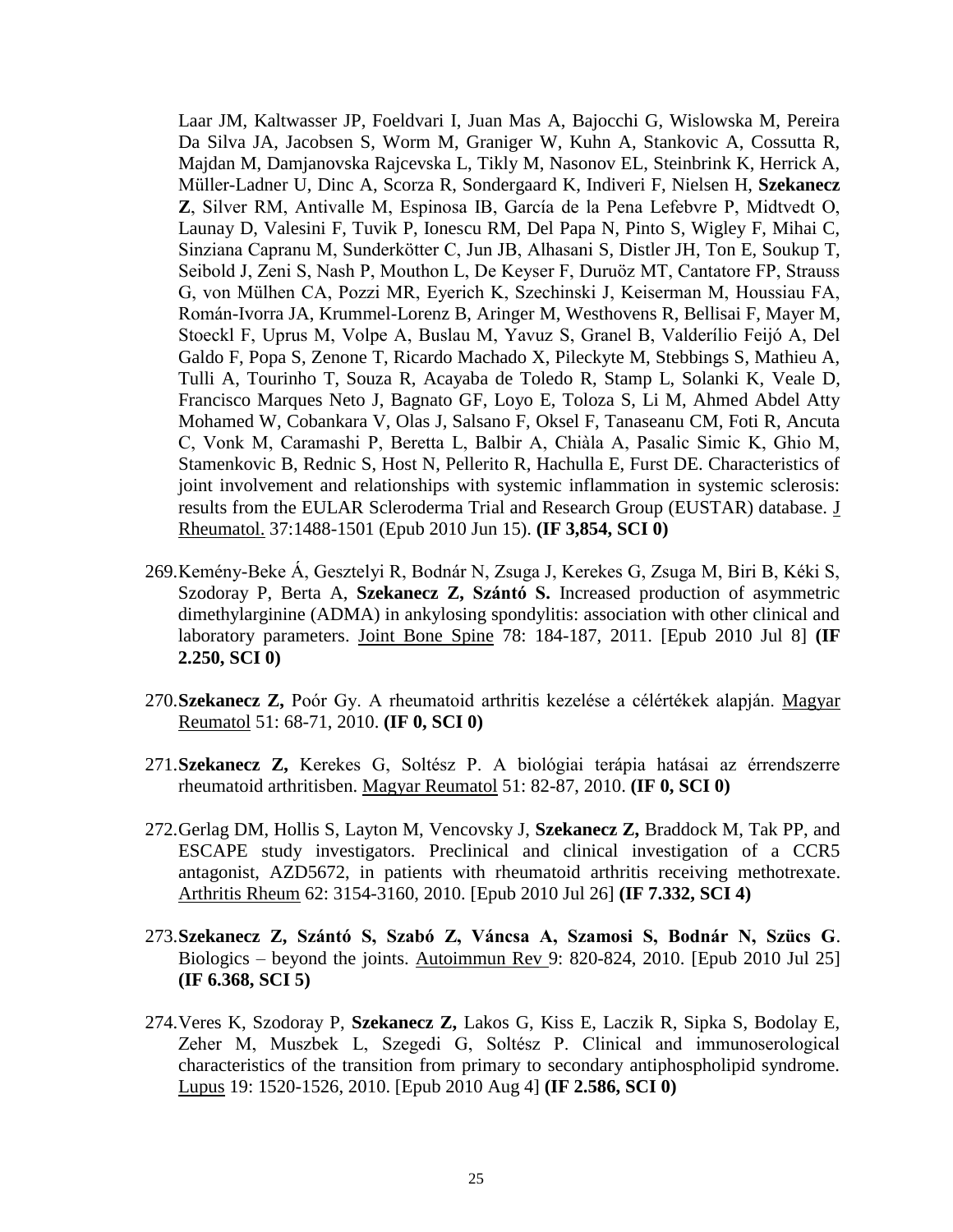Laar JM, Kaltwasser JP, Foeldvari I, Juan Mas A, Bajocchi G, Wislowska M, Pereira Da Silva JA, Jacobsen S, Worm M, Graniger W, Kuhn A, Stankovic A, Cossutta R, Majdan M, Damjanovska Rajcevska L, Tikly M, Nasonov EL, Steinbrink K, Herrick A, Müller-Ladner U, Dinc A, Scorza R, Sondergaard K, Indiveri F, Nielsen H, **Szekanecz Z**, Silver RM, Antivalle M, Espinosa IB, García de la Pena Lefebvre P, Midtvedt O, Launay D, Valesini F, Tuvik P, Ionescu RM, Del Papa N, Pinto S, Wigley F, Mihai C, Sinziana Capranu M, Sunderkötter C, Jun JB, Alhasani S, Distler JH, Ton E, Soukup T, Seibold J, Zeni S, Nash P, Mouthon L, De Keyser F, Duruöz MT, Cantatore FP, Strauss G, von Mülhen CA, Pozzi MR, Eyerich K, Szechinski J, Keiserman M, Houssiau FA, Román-Ivorra JA, Krummel-Lorenz B, Aringer M, Westhovens R, Bellisai F, Mayer M, Stoeckl F, Uprus M, Volpe A, Buslau M, Yavuz S, Granel B, Valderílio Feijó A, Del Galdo F, Popa S, Zenone T, Ricardo Machado X, Pileckyte M, Stebbings S, Mathieu A, Tulli A, Tourinho T, Souza R, Acayaba de Toledo R, Stamp L, Solanki K, Veale D, Francisco Marques Neto J, Bagnato GF, Loyo E, Toloza S, Li M, Ahmed Abdel Atty Mohamed W, Cobankara V, Olas J, Salsano F, Oksel F, Tanaseanu CM, Foti R, Ancuta C, Vonk M, Caramashi P, Beretta L, Balbir A, Chiàla A, Pasalic Simic K, Ghio M, Stamenkovic B, Rednic S, Host N, Pellerito R, Hachulla E, Furst DE. Characteristics of joint involvement and relationships with systemic inflammation in systemic sclerosis: results from the EULAR Scleroderma Trial and Research Group (EUSTAR) database. [J](javascript:AL_get(this,%20)  [Rheumatol.](javascript:AL_get(this,%20) 37:1488-1501 (Epub 2010 Jun 15). **(IF 3,854, SCI 0)**

- 269.Kemény-Beke Á, Gesztelyi R, Bodnár N, Zsuga J, Kerekes G, Zsuga M, Biri B, Kéki S, Szodoray P, Berta A, **Szekanecz Z, Szántó S.** Increased production of asymmetric dimethylarginine (ADMA) in ankylosing spondylitis: association with other clinical and laboratory parameters. Joint Bone Spine 78: 184-187, 2011. [Epub 2010 Jul 8] **(IF 2.250, SCI 0)**
- 270.**Szekanecz Z,** Poór Gy. A rheumatoid arthritis kezelése a célértékek alapján. Magyar Reumatol 51: 68-71, 2010. **(IF 0, SCI 0)**
- 271.**Szekanecz Z,** Kerekes G, Soltész P. A biológiai terápia hatásai az érrendszerre rheumatoid arthritisben. Magyar Reumatol 51: 82-87, 2010. **(IF 0, SCI 0)**
- 272.Gerlag DM, Hollis S, Layton M, Vencovsky J, **Szekanecz Z,** Braddock M, Tak PP, and ESCAPE study investigators. Preclinical and clinical investigation of a CCR5 antagonist, AZD5672, in patients with rheumatoid arthritis receiving methotrexate. Arthritis Rheum 62: 3154-3160, 2010. [Epub 2010 Jul 26] **(IF 7.332, SCI 4)**
- 273.**Szekanecz Z, Szántó S, Szabó Z, Váncsa A, Szamosi S, Bodnár N, Szücs G**. Biologics – beyond the joints. Autoimmun Rev 9: 820-824, 2010. [Epub 2010 Jul 25] **(IF 6.368, SCI 5)**
- 274.Veres K, Szodoray P, **Szekanecz Z,** Lakos G, Kiss E, Laczik R, Sipka S, Bodolay E, Zeher M, Muszbek L, Szegedi G, Soltész P. Clinical and immunoserological characteristics of the transition from primary to secondary antiphospholipid syndrome. Lupus 19: 1520-1526, 2010. [Epub 2010 Aug 4] **(IF 2.586, SCI 0)**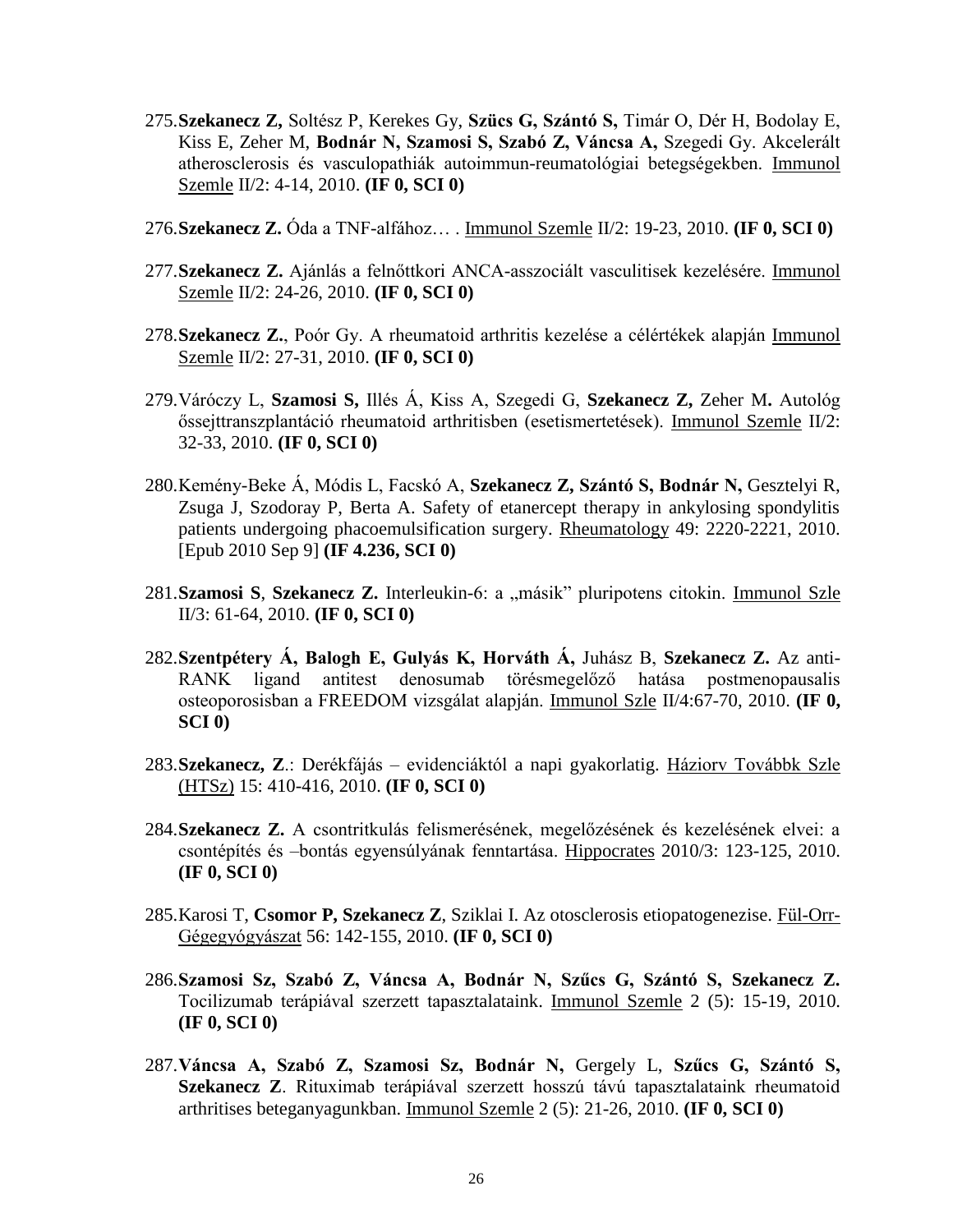- 275.**Szekanecz Z,** Soltész P, Kerekes Gy, **Szücs G, Szántó S,** Timár O, Dér H, Bodolay E, Kiss E, Zeher M, **Bodnár N, Szamosi S, Szabó Z, Váncsa A,** Szegedi Gy. Akcelerált atherosclerosis és vasculopathiák autoimmun-reumatológiai betegségekben. Immunol Szemle II/2: 4-14, 2010. **(IF 0, SCI 0)**
- 276.**Szekanecz Z.** Óda a TNF-alfához… . Immunol Szemle II/2: 19-23, 2010. **(IF 0, SCI 0)**
- 277.**Szekanecz Z.** Ajánlás a felnőttkori ANCA-asszociált vasculitisek kezelésére. Immunol Szemle II/2: 24-26, 2010. **(IF 0, SCI 0)**
- 278.**Szekanecz Z.**, Poór Gy. A rheumatoid arthritis kezelése a célértékek alapján Immunol Szemle II/2: 27-31, 2010. **(IF 0, SCI 0)**
- 279.Váróczy L, **Szamosi S,** Illés Á, Kiss A, Szegedi G, **Szekanecz Z,** Zeher M**.** Autológ őssejttranszplantáció rheumatoid arthritisben (esetismertetések). Immunol Szemle II/2: 32-33, 2010. **(IF 0, SCI 0)**
- 280.Kemény-Beke Á, Módis L, Facskó A, **Szekanecz Z, Szántó S, Bodnár N,** Gesztelyi R, Zsuga J, Szodoray P, Berta A. Safety of etanercept therapy in ankylosing spondylitis patients undergoing phacoemulsification surgery. Rheumatology 49: 2220-2221, 2010. [Epub 2010 Sep 9] **(IF 4.236, SCI 0)**
- 281. Szamosi S, Szekanecz Z. Interleukin-6: a "másik" pluripotens citokin. Immunol Szle II/3: 61-64, 2010. **(IF 0, SCI 0)**
- 282.**Szentpétery Á, Balogh E, Gulyás K, Horváth Á,** Juhász B, **Szekanecz Z.** Az anti-RANK ligand antitest denosumab törésmegelőző hatása postmenopausalis osteoporosisban a FREEDOM vizsgálat alapján. Immunol Szle II/4:67-70, 2010. **(IF 0, SCI 0)**
- 283.**Szekanecz, Z**.: Derékfájás evidenciáktól a napi gyakorlatig. Háziorv Továbbk Szle (HTSz) 15: 410-416, 2010. **(IF 0, SCI 0)**
- 284.**Szekanecz Z.** A csontritkulás felismerésének, megelőzésének és kezelésének elvei: a csontépítés és –bontás egyensúlyának fenntartása. Hippocrates 2010/3: 123-125, 2010. **(IF 0, SCI 0)**
- 285.Karosi T, **Csomor P, Szekanecz Z**, Sziklai I. Az otosclerosis etiopatogenezise. Fül-Orr-Gégegyógyászat 56: 142-155, 2010. **(IF 0, SCI 0)**
- 286.**Szamosi Sz, Szabó Z, Váncsa A, Bodnár N, Szűcs G, Szántó S, Szekanecz Z.**  Tocilizumab terápiával szerzett tapasztalataink. Immunol Szemle 2 (5): 15-19, 2010. **(IF 0, SCI 0)**
- 287.**Váncsa A, Szabó Z, Szamosi Sz, Bodnár N,** Gergely L, **Szűcs G, Szántó S, Szekanecz Z**. Rituximab terápiával szerzett hosszú távú tapasztalataink rheumatoid arthritises beteganyagunkban. Immunol Szemle 2 (5): 21-26, 2010. **(IF 0, SCI 0)**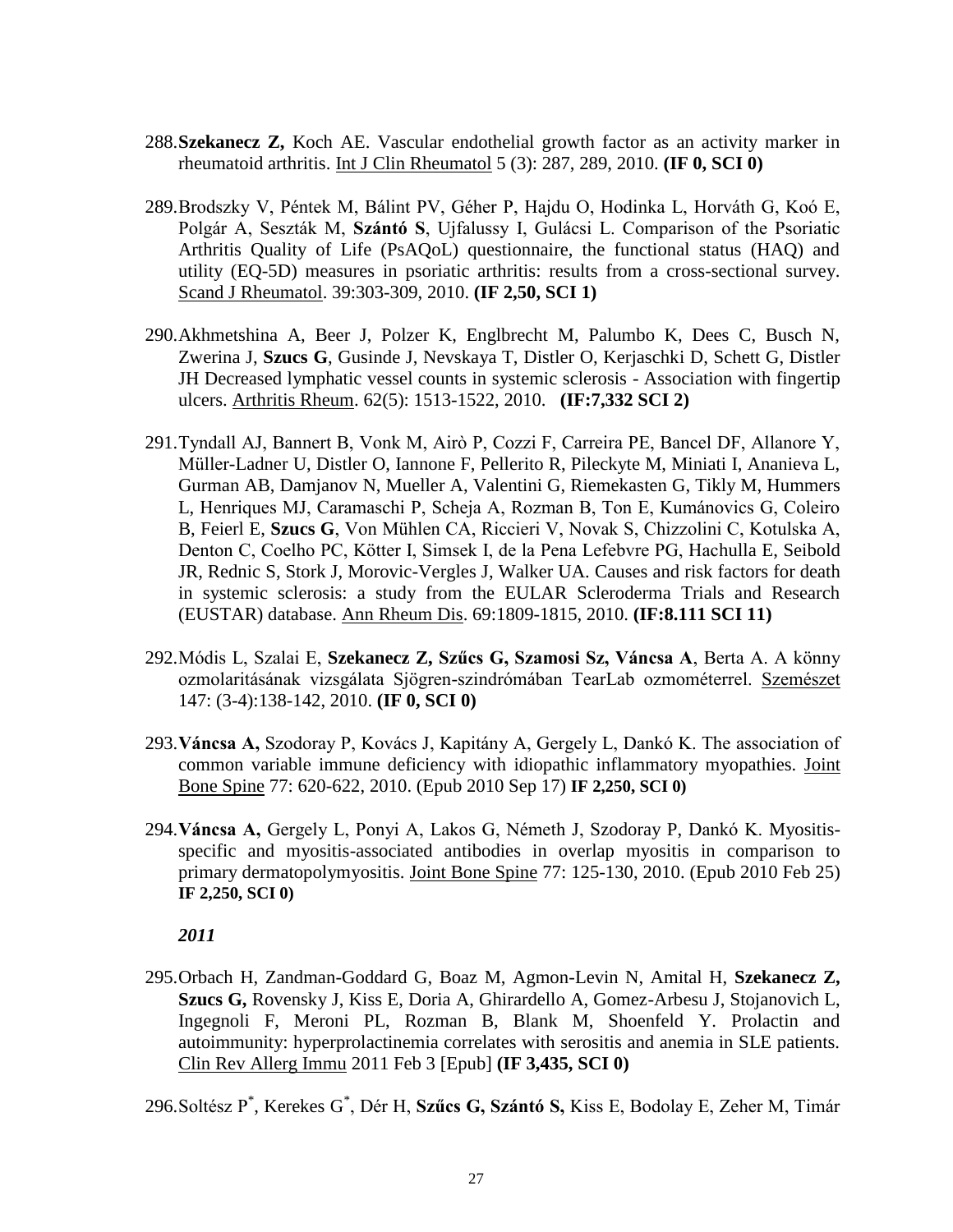- 288.**Szekanecz Z,** Koch AE. Vascular endothelial growth factor as an activity marker in rheumatoid arthritis. Int J Clin Rheumatol 5 (3): 287, 289, 2010. **(IF 0, SCI 0)**
- 289.Brodszky V, Péntek M, Bálint PV, Géher P, Hajdu O, Hodinka L, Horváth G, Koó E, Polgár A, Seszták M, **Szántó S**, Ujfalussy I, Gulácsi L. Comparison of the Psoriatic Arthritis Quality of Life (PsAQoL) questionnaire, the functional status (HAQ) and utility (EQ-5D) measures in psoriatic arthritis: results from a cross-sectional survey. Scand J Rheumatol. 39:303-309, 2010. **(IF 2,50, SCI 1)**
- 290.Akhmetshina A, Beer J, Polzer K, Englbrecht M, Palumbo K, Dees C, Busch N, Zwerina J, **Szucs G**, Gusinde J, Nevskaya T, Distler O, Kerjaschki D, Schett G, Distler JH [Decreased lymphatic vessel counts in systemic sclerosis -](http://www.ncbi.nlm.nih.gov/pubmed/20155824) Association with fingertip [ulcers.](http://www.ncbi.nlm.nih.gov/pubmed/20155824) Arthritis Rheum. 62(5): 1513-1522, 2010. **(IF:7,332 SCI 2)**
- 291.Tyndall AJ, Bannert B, Vonk M, Airò P, Cozzi F, Carreira PE, Bancel DF, Allanore Y, Müller-Ladner U, Distler O, Iannone F, Pellerito R, Pileckyte M, Miniati I, Ananieva L, Gurman AB, Damjanov N, Mueller A, Valentini G, Riemekasten G, Tikly M, Hummers L, Henriques MJ, Caramaschi P, Scheja A, Rozman B, Ton E, Kumánovics G, Coleiro B, Feierl E, **Szucs G**, Von Mühlen CA, Riccieri V, Novak S, Chizzolini C, Kotulska A, Denton C, Coelho PC, Kötter I, Simsek I, de la Pena Lefebvre PG, Hachulla E, Seibold JR, Rednic S, Stork J, Morovic-Vergles J, Walker UA. Causes and risk factors for death in systemic sclerosis: a study from the EULAR Scleroderma Trials and Research (EUSTAR) database. Ann Rheum Dis. 69:1809-1815, 2010. **(IF:8.111 SCI 11)**
- 292.Módis L, Szalai E, **Szekanecz Z, Szűcs G, Szamosi Sz, Váncsa A**, Berta A. A könny ozmolaritásának vizsgálata Sjögren-szindrómában TearLab ozmométerrel. Szemészet 147: (3-4):138-142, 2010. **(IF 0, SCI 0)**
- 293.**Váncsa A,** Szodoray P, Kovács J, Kapitány A, Gergely L, Dankó K. The association of common variable immune deficiency with idiopathic inflammatory myopathies. Joint Bone Spine 77: 620-622, 2010. (Epub 2010 Sep 17) **IF 2,250, SCI 0)**
- 294.**Váncsa A,** Gergely L, Ponyi A, Lakos G, Németh J, Szodoray P, Dankó K. Myositisspecific and myositis-associated antibodies in overlap myositis in comparison to primary dermatopolymyositis. Joint Bone Spine 77: 125-130, 2010. (Epub 2010 Feb 25) **IF 2,250, SCI 0)**

295.Orbach H, Zandman-Goddard G, Boaz M, Agmon-Levin N, Amital H, **Szekanecz Z, Szucs G,** Rovensky J, Kiss E, Doria A, Ghirardello A, Gomez-Arbesu J, Stojanovich L, Ingegnoli F, Meroni PL, Rozman B, Blank M, Shoenfeld Y. Prolactin and autoimmunity: hyperprolactinemia correlates with serositis and anemia in SLE patients. Clin Rev Allerg Immu 2011 Feb 3 [Epub] **(IF 3,435, SCI 0)**

296.Soltész P\* , Kerekes G\* , Dér H, **Szűcs G, Szántó S,** Kiss E, Bodolay E, Zeher M, Timár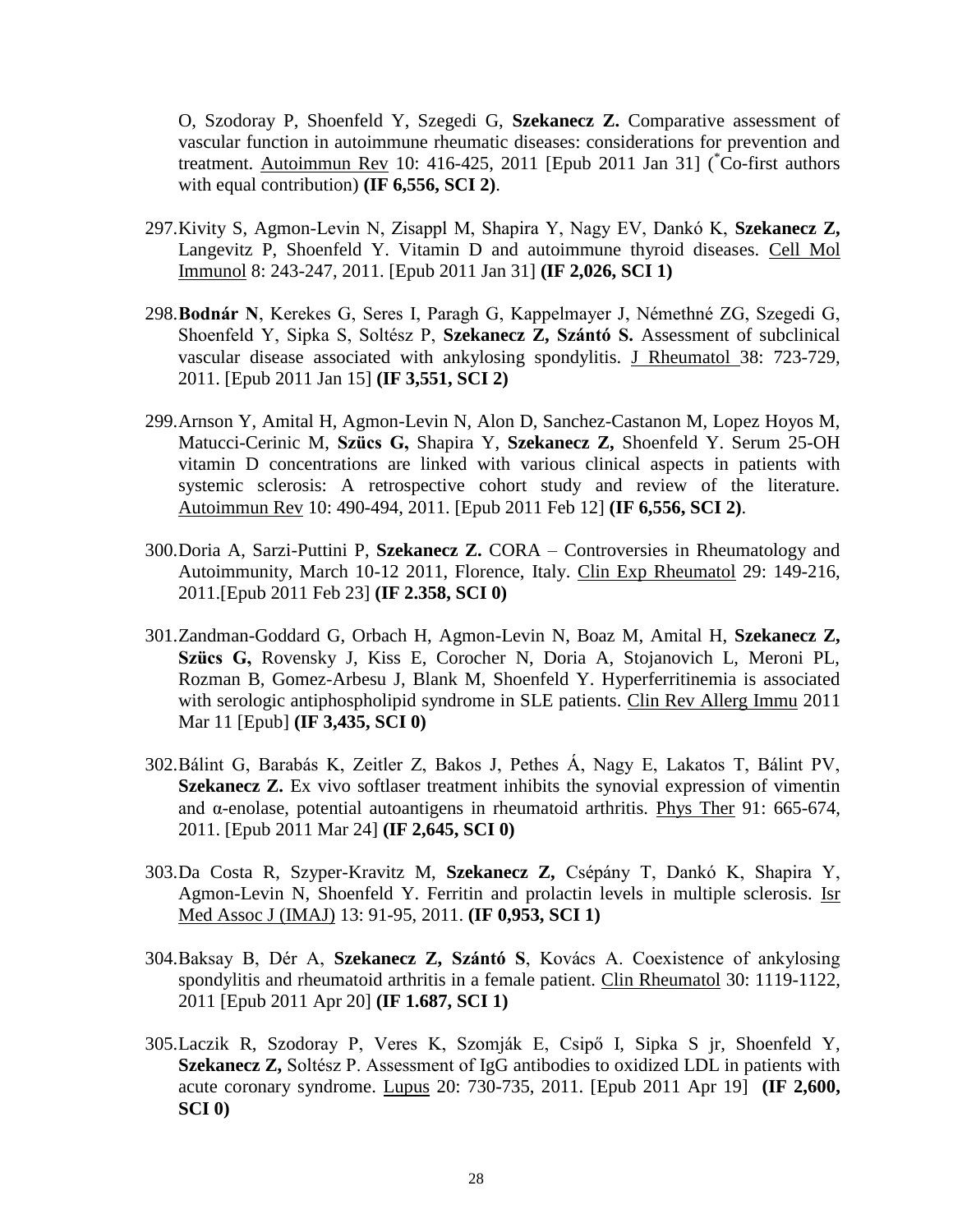O, Szodoray P, Shoenfeld Y, Szegedi G, **Szekanecz Z.** Comparative assessment of vascular function in autoimmune rheumatic diseases: considerations for prevention and treatment. Autoimmun Rev 10: 416-425, 2011 [Epub 2011 Jan 31] ( $\overline{C}$ O-first authors with equal contribution) **(IF 6,556, SCI 2)**.

- 297.Kivity S, Agmon-Levin N, Zisappl M, Shapira Y, Nagy EV, Dankó K, **Szekanecz Z,**  Langevitz P, Shoenfeld Y. Vitamin D and autoimmune thyroid diseases. Cell Mol Immunol 8: 243-247, 2011. [Epub 2011 Jan 31] **(IF 2,026, SCI 1)**
- 298.**Bodnár N**, Kerekes G, Seres I, Paragh G, Kappelmayer J, Némethné ZG, Szegedi G, Shoenfeld Y, Sipka S, Soltész P, **Szekanecz Z, Szántó S.** Assessment of subclinical vascular disease associated with ankylosing spondylitis. J Rheumatol 38: 723-729, 2011. [Epub 2011 Jan 15] **(IF 3,551, SCI 2)**
- 299.Arnson Y, Amital H, Agmon-Levin N, Alon D, Sanchez-Castanon M, Lopez Hoyos M, Matucci-Cerinic M, **Szücs G,** Shapira Y, **Szekanecz Z,** Shoenfeld Y. Serum 25-OH vitamin D concentrations are linked with various clinical aspects in patients with systemic sclerosis: A retrospective cohort study and review of the literature. Autoimmun Rev 10: 490-494, 2011. [Epub 2011 Feb 12] **(IF 6,556, SCI 2)**.
- 300.Doria A, Sarzi-Puttini P, **Szekanecz Z.** CORA Controversies in Rheumatology and Autoimmunity, March 10-12 2011, Florence, Italy. Clin Exp Rheumatol 29: 149-216, 2011.[Epub 2011 Feb 23] **(IF 2.358, SCI 0)**
- 301.Zandman-Goddard G, Orbach H, Agmon-Levin N, Boaz M, Amital H, **Szekanecz Z, Szücs G,** Rovensky J, Kiss E, Corocher N, Doria A, Stojanovich L, Meroni PL, Rozman B, Gomez-Arbesu J, Blank M, Shoenfeld Y. Hyperferritinemia is associated with serologic antiphospholipid syndrome in SLE patients. Clin Rev Allerg Immu 2011 Mar 11 [Epub] **(IF 3,435, SCI 0)**
- 302.Bálint G, Barabás K, Zeitler Z, Bakos J, Pethes Á, Nagy E, Lakatos T, Bálint PV, **Szekanecz Z.** Ex vivo softlaser treatment inhibits the synovial expression of vimentin and α-enolase, potential autoantigens in rheumatoid arthritis. Phys Ther 91: 665-674, 2011. [Epub 2011 Mar 24] **(IF 2,645, SCI 0)**
- 303.Da Costa R, Szyper-Kravitz M, **Szekanecz Z,** Csépány T, Dankó K, Shapira Y, Agmon-Levin N, Shoenfeld Y. Ferritin and prolactin levels in multiple sclerosis. Isr Med Assoc J (IMAJ) 13: 91-95, 2011. **(IF 0,953, SCI 1)**
- 304.Baksay B, Dér A, **Szekanecz Z, Szántó S**, Kovács A. Coexistence of ankylosing spondylitis and rheumatoid arthritis in a female patient. Clin Rheumatol 30: 1119-1122, 2011 [Epub 2011 Apr 20] **(IF 1.687, SCI 1)**
- 305.Laczik R, Szodoray P, Veres K, Szomják E, Csipő I, Sipka S jr, Shoenfeld Y, **Szekanecz Z,** Soltész P. Assessment of IgG antibodies to oxidized LDL in patients with acute coronary syndrome. Lupus 20: 730-735, 2011. [Epub 2011 Apr 19] **(IF 2,600, SCI 0)**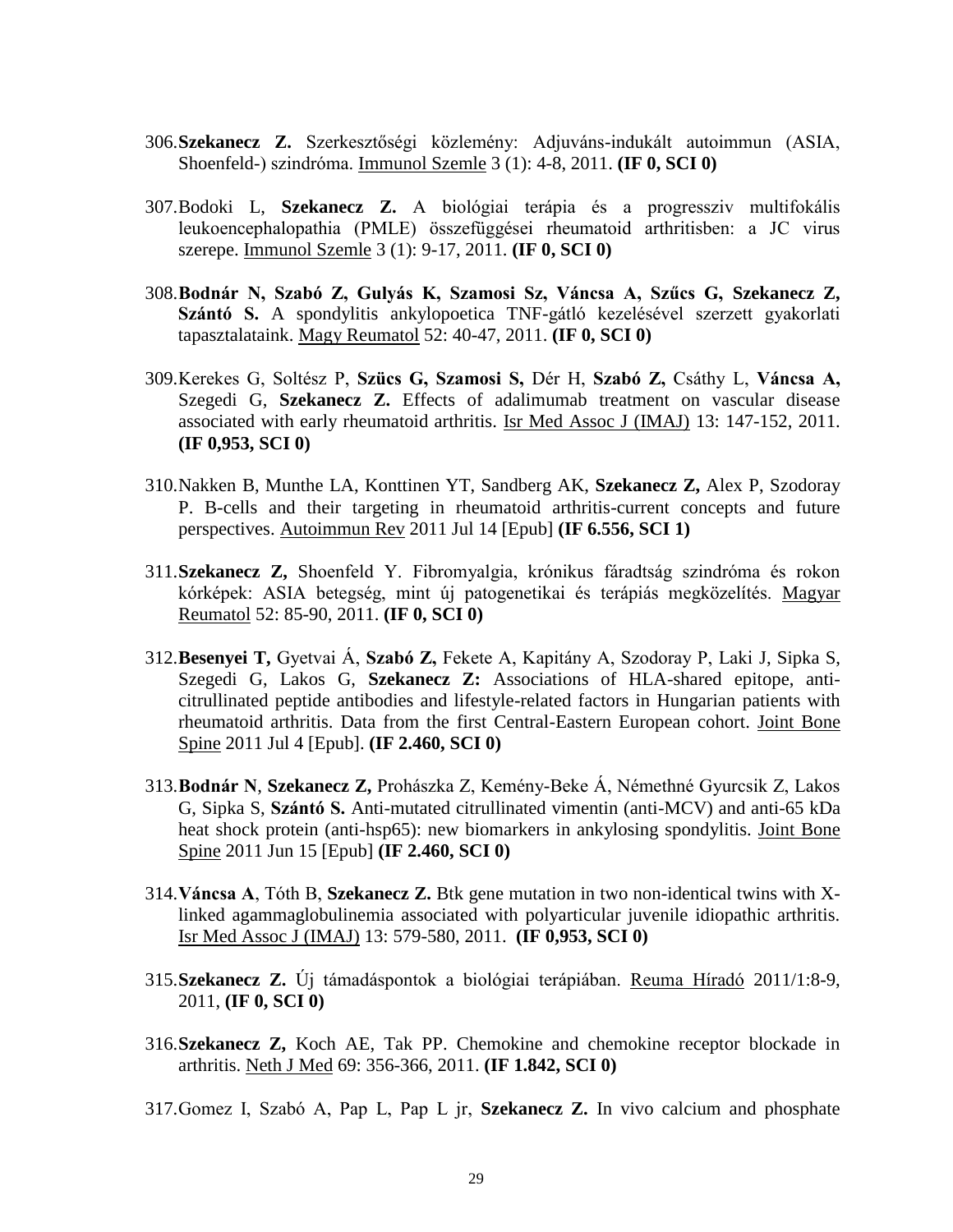- 306.**Szekanecz Z.** Szerkesztőségi közlemény: Adjuváns-indukált autoimmun (ASIA, Shoenfeld-) szindróma. Immunol Szemle 3 (1): 4-8, 2011. **(IF 0, SCI 0)**
- 307.Bodoki L, **Szekanecz Z.** A biológiai terápia és a progressziv multifokális leukoencephalopathia (PMLE) összefüggései rheumatoid arthritisben: a JC virus szerepe. Immunol Szemle 3 (1): 9-17, 2011. **(IF 0, SCI 0)**
- 308.**Bodnár N, Szabó Z, Gulyás K, Szamosi Sz, Váncsa A, Szűcs G, Szekanecz Z, Szántó S.** A spondylitis ankylopoetica TNF-gátló kezelésével szerzett gyakorlati tapasztalataink. Magy Reumatol 52: 40-47, 2011. **(IF 0, SCI 0)**
- 309.Kerekes G, Soltész P, **Szücs G, Szamosi S,** Dér H, **Szabó Z,** Csáthy L, **Váncsa A,** Szegedi G, **Szekanecz Z.** Effects of adalimumab treatment on vascular disease associated with early rheumatoid arthritis. Isr Med Assoc J (IMAJ) 13: 147-152, 2011. **(IF 0,953, SCI 0)**
- 310.Nakken B, Munthe LA, Konttinen YT, Sandberg AK, **Szekanecz Z,** Alex P, Szodoray P. B-cells and their targeting in rheumatoid arthritis-current concepts and future perspectives. Autoimmun Rev 2011 Jul 14 [Epub] **(IF 6.556, SCI 1)**
- 311.**Szekanecz Z,** Shoenfeld Y. Fibromyalgia, krónikus fáradtság szindróma és rokon kórképek: ASIA betegség, mint új patogenetikai és terápiás megközelítés. Magyar Reumatol 52: 85-90, 2011. **(IF 0, SCI 0)**
- 312.**Besenyei T,** Gyetvai Á, **Szabó Z,** Fekete A, Kapitány A, Szodoray P, Laki J, Sipka S, Szegedi G, Lakos G, **Szekanecz Z:** Associations of HLA-shared epitope, anticitrullinated peptide antibodies and lifestyle-related factors in Hungarian patients with rheumatoid arthritis. Data from the first Central-Eastern European cohort. Joint Bone Spine 2011 Jul 4 [Epub]. **(IF 2.460, SCI 0)**
- 313.**Bodnár N**, **Szekanecz Z,** Prohászka Z, Kemény-Beke Á, Némethné Gyurcsik Z, Lakos G, Sipka S, **Szántó S.** Anti-mutated citrullinated vimentin (anti-MCV) and anti-65 kDa heat shock protein (anti-hsp65): new biomarkers in ankylosing spondylitis. Joint Bone Spine 2011 Jun 15 [Epub] **(IF 2.460, SCI 0)**
- 314.**Váncsa A**, Tóth B, **Szekanecz Z.** Btk gene mutation in two non-identical twins with Xlinked agammaglobulinemia associated with polyarticular juvenile idiopathic arthritis. Isr Med Assoc J (IMAJ) 13: 579-580, 2011. **(IF 0,953, SCI 0)**
- 315.**Szekanecz Z.** Új támadáspontok a biológiai terápiában. Reuma Híradó 2011/1:8-9, 2011, **(IF 0, SCI 0)**
- 316.**Szekanecz Z,** Koch AE, Tak PP. Chemokine and chemokine receptor blockade in arthritis. Neth J Med 69: 356-366, 2011. **(IF 1.842, SCI 0)**
- 317.Gomez I, Szabó A, Pap L, Pap L jr, **Szekanecz Z.** In vivo calcium and phosphate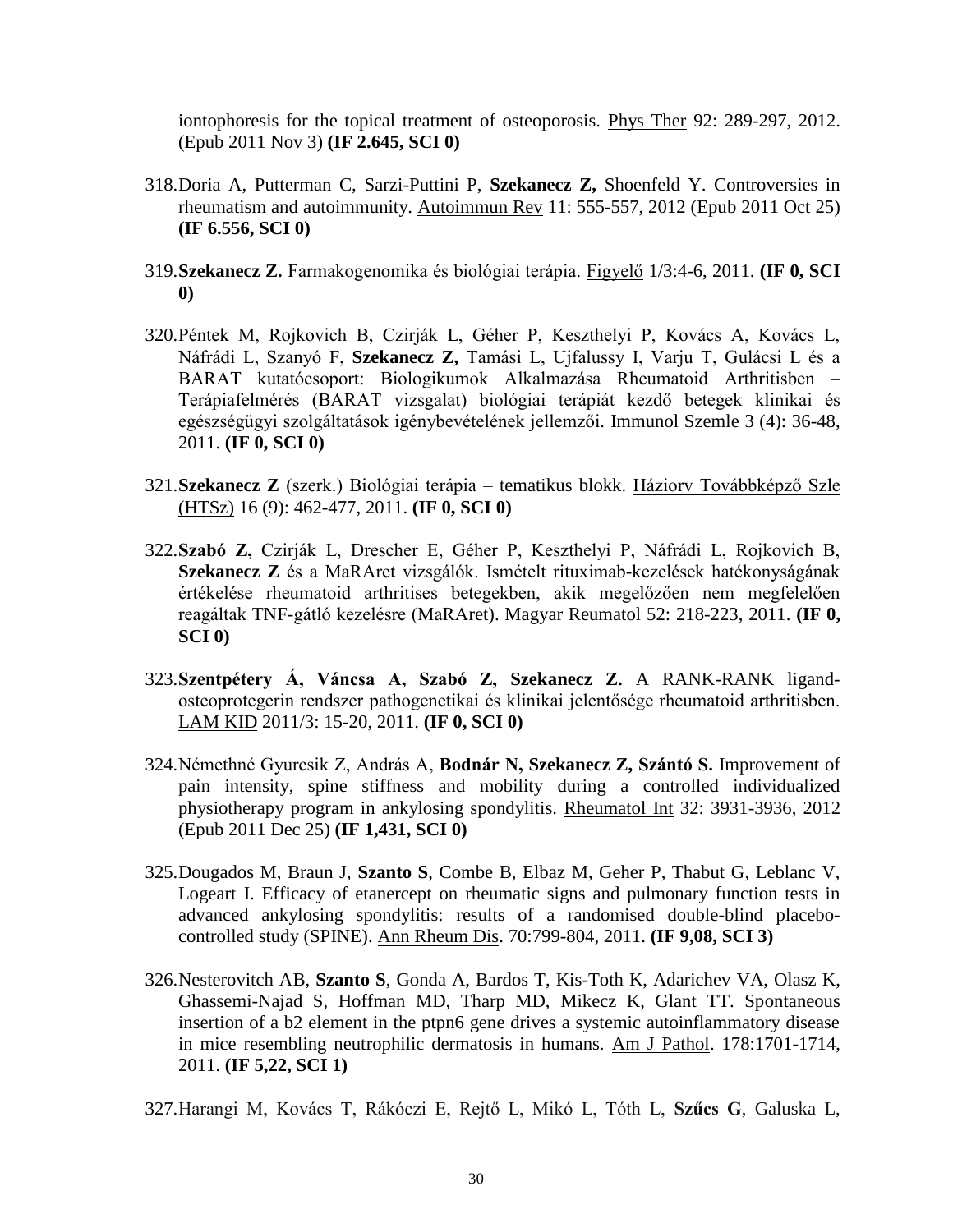iontophoresis for the topical treatment of osteoporosis. Phys Ther 92: 289-297, 2012. (Epub 2011 Nov 3) **(IF 2.645, SCI 0)**

- 318.Doria A, Putterman C, Sarzi-Puttini P, **Szekanecz Z,** Shoenfeld Y. Controversies in rheumatism and autoimmunity. Autoimmun Rev 11: 555-557, 2012 (Epub 2011 Oct 25) **(IF 6.556, SCI 0)**
- 319.**Szekanecz Z.** Farmakogenomika és biológiai terápia. Figyelő 1/3:4-6, 2011. **(IF 0, SCI 0)**
- 320.Péntek M, Rojkovich B, Czirják L, Géher P, Keszthelyi P, Kovács A, Kovács L, Náfrádi L, Szanyó F, **Szekanecz Z,** Tamási L, Ujfalussy I, Varju T, Gulácsi L és a BARAT kutatócsoport: Biologikumok Alkalmazása Rheumatoid Arthritisben – Terápiafelmérés (BARAT vizsgalat) biológiai terápiát kezdő betegek klinikai és egészségügyi szolgáltatások igénybevételének jellemzői. Immunol Szemle 3 (4): 36-48, 2011. **(IF 0, SCI 0)**
- 321.**Szekanecz Z** (szerk.) Biológiai terápia tematikus blokk. Háziorv Továbbképző Szle (HTSz) 16 (9): 462-477, 2011. **(IF 0, SCI 0)**
- 322.**Szabó Z,** Czirják L, Drescher E, Géher P, Keszthelyi P, Náfrádi L, Rojkovich B, **Szekanecz Z** és a MaRAret vizsgálók. Ismételt rituximab-kezelések hatékonyságának értékelése rheumatoid arthritises betegekben, akik megelőzően nem megfelelően reagáltak TNF-gátló kezelésre (MaRAret). Magyar Reumatol 52: 218-223, 2011. **(IF 0, SCI 0)**
- 323.**Szentpétery Á, Váncsa A, Szabó Z, Szekanecz Z.** A RANK-RANK ligandosteoprotegerin rendszer pathogenetikai és klinikai jelentősége rheumatoid arthritisben. LAM KID 2011/3: 15-20, 2011. **(IF 0, SCI 0)**
- 324.Némethné Gyurcsik Z, András A, **Bodnár N, Szekanecz Z, Szántó S.** Improvement of pain intensity, spine stiffness and mobility during a controlled individualized physiotherapy program in ankylosing spondylitis. Rheumatol Int 32: 3931-3936, 2012 (Epub 2011 Dec 25) **(IF 1,431, SCI 0)**
- 325.Dougados M, Braun J, **Szanto S**, Combe B, Elbaz M, Geher P, Thabut G, Leblanc V, Logeart I. Efficacy of etanercept on rheumatic signs and pulmonary function tests in advanced ankylosing spondylitis: results of a randomised double-blind placebocontrolled study (SPINE). Ann Rheum Dis. 70:799-804, 2011. **(IF 9,08, SCI 3)**
- 326.Nesterovitch AB, **Szanto S**, Gonda A, Bardos T, Kis-Toth K, Adarichev VA, Olasz K, Ghassemi-Najad S, Hoffman MD, Tharp MD, Mikecz K, Glant TT. Spontaneous insertion of a b2 element in the ptpn6 gene drives a systemic autoinflammatory disease in mice resembling neutrophilic dermatosis in humans. Am J Pathol. 178:1701-1714, 2011. **(IF 5,22, SCI 1)**
- 327.Harangi M, Kovács T, Rákóczi E, Rejtő L, Mikó L, Tóth L, **Szűcs G**, Galuska L,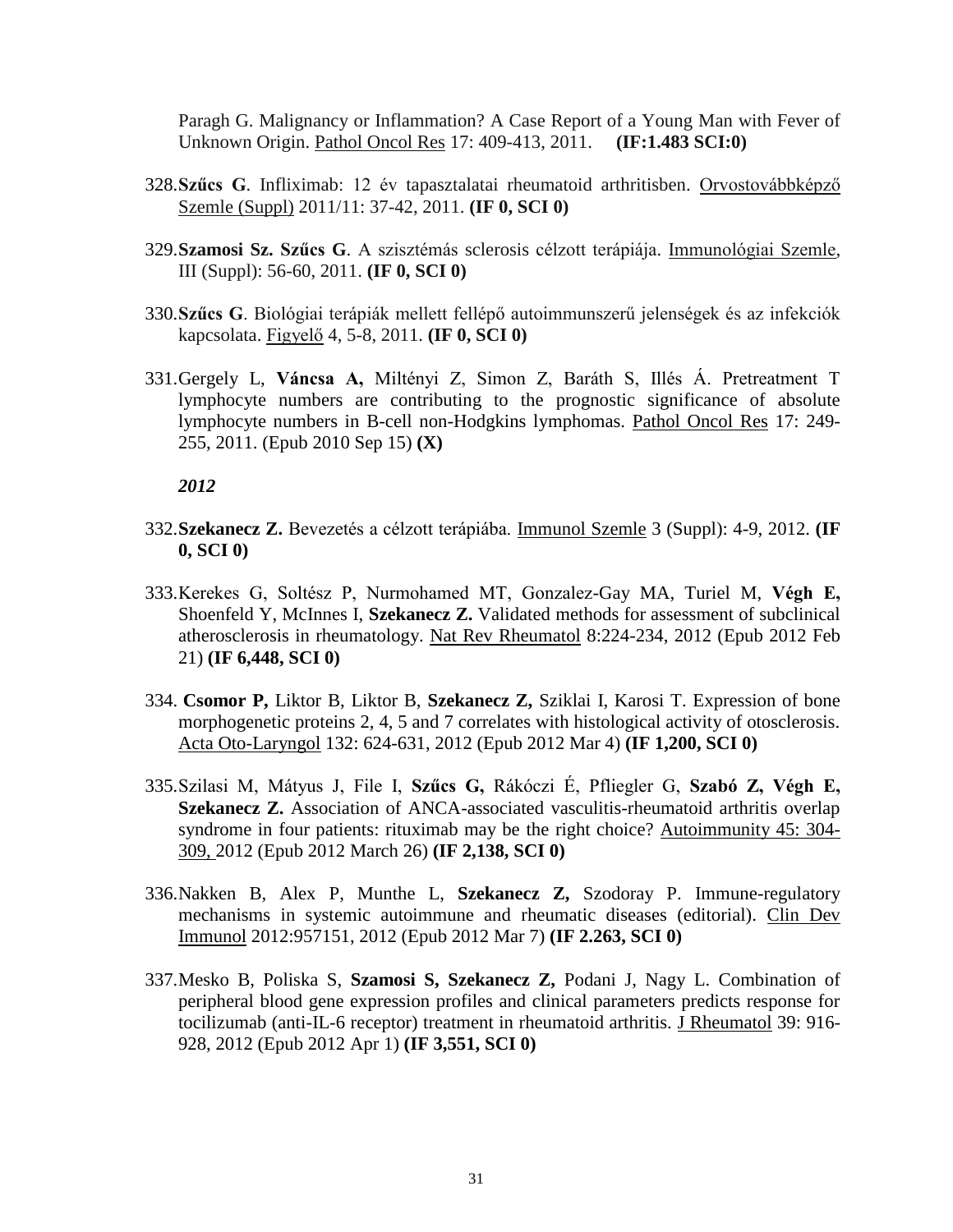Paragh G. Malignancy or Inflammation? A Case Report of a Young Man with Fever of Unknown Origin. Pathol Oncol Res 17: 409-413, 2011. **(IF:1.483 SCI:0)**

- 328.**Szűcs G**. Infliximab: 12 év tapasztalatai rheumatoid arthritisben. Orvostovábbképző Szemle (Suppl) 2011/11: 37-42, 2011. **(IF 0, SCI 0)**
- 329.**Szamosi Sz. Szűcs G**. A szisztémás sclerosis célzott terápiája. Immunológiai Szemle, III (Suppl): 56-60, 2011. **(IF 0, SCI 0)**
- 330.**Szűcs G**. Biológiai terápiák mellett fellépő autoimmunszerű jelenségek és az infekciók kapcsolata. Figyelő 4, 5-8, 2011. **(IF 0, SCI 0)**
- 331.Gergely L, **Váncsa A,** Miltényi Z, Simon Z, Baráth S, Illés Á. Pretreatment T lymphocyte numbers are contributing to the prognostic significance of absolute lymphocyte numbers in B-cell non-Hodgkins lymphomas. Pathol Oncol Res 17: 249- 255, 2011. (Epub 2010 Sep 15) **(X)**

- 332.**Szekanecz Z.** Bevezetés a célzott terápiába. Immunol Szemle 3 (Suppl): 4-9, 2012. **(IF 0, SCI 0)**
- 333.Kerekes G, Soltész P, Nurmohamed MT, Gonzalez-Gay MA, Turiel M, **Végh E,** Shoenfeld Y, McInnes I, **Szekanecz Z.** Validated methods for assessment of subclinical atherosclerosis in rheumatology. Nat Rev Rheumatol 8:224-234, 2012 (Epub 2012 Feb 21) **(IF 6,448, SCI 0)**
- 334. **Csomor P,** Liktor B, Liktor B, **Szekanecz Z,** Sziklai I, Karosi T. Expression of bone morphogenetic proteins 2, 4, 5 and 7 correlates with histological activity of otosclerosis. Acta Oto-Laryngol 132: 624-631, 2012 (Epub 2012 Mar 4) **(IF 1,200, SCI 0)**
- 335.Szilasi M, Mátyus J, File I, **Szűcs G,** Rákóczi É, Pfliegler G, **Szabó Z, Végh E, Szekanecz Z.** Association of ANCA-associated vasculitis-rheumatoid arthritis overlap syndrome in four patients: rituximab may be the right choice? Autoimmunity 45: 304- 309, 2012 (Epub 2012 March 26) **(IF 2,138, SCI 0)**
- 336.Nakken B, Alex P, Munthe L, **Szekanecz Z,** Szodoray P. Immune-regulatory mechanisms in systemic autoimmune and rheumatic diseases (editorial). Clin Dev Immunol 2012:957151, 2012 (Epub 2012 Mar 7) **(IF 2.263, SCI 0)**
- 337.Mesko B, Poliska S, **Szamosi S, Szekanecz Z,** Podani J, Nagy L. Combination of peripheral blood gene expression profiles and clinical parameters predicts response for tocilizumab (anti-IL-6 receptor) treatment in rheumatoid arthritis. J Rheumatol 39: 916- 928, 2012 (Epub 2012 Apr 1) **(IF 3,551, SCI 0)**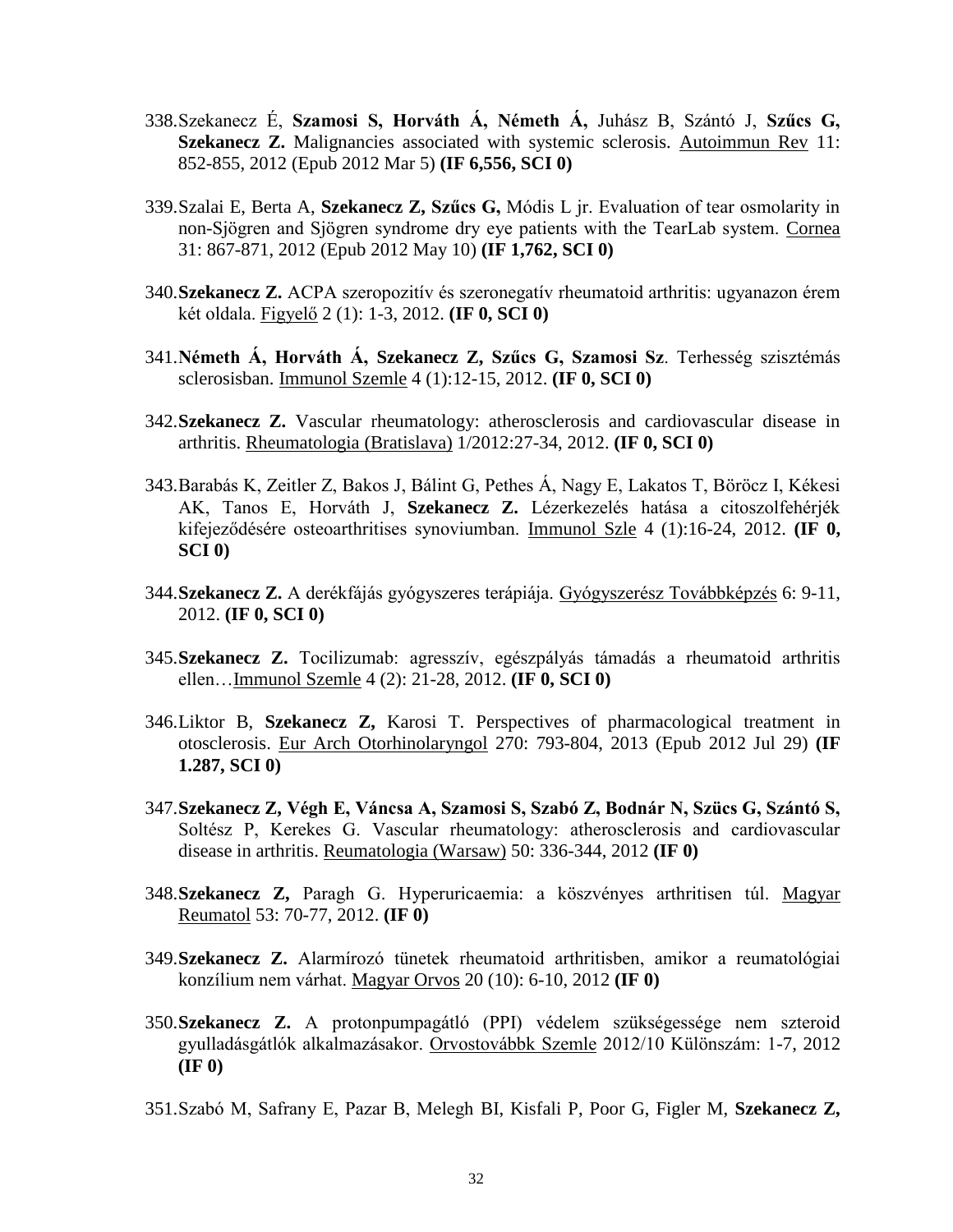- 338.Szekanecz É, **Szamosi S, Horváth Á, Németh Á,** Juhász B, Szántó J, **Szűcs G, Szekanecz Z.** Malignancies associated with systemic sclerosis. Autoimmun Rev 11: 852-855, 2012 (Epub 2012 Mar 5) **(IF 6,556, SCI 0)**
- 339.Szalai E, Berta A, **Szekanecz Z, Szűcs G,** Módis L jr. Evaluation of tear osmolarity in non-Sjögren and Sjögren syndrome dry eye patients with the TearLab system. Cornea 31: 867-871, 2012 (Epub 2012 May 10) **(IF 1,762, SCI 0)**
- 340.**Szekanecz Z.** ACPA szeropozitív és szeronegatív rheumatoid arthritis: ugyanazon érem két oldala. Figyelő 2 (1): 1-3, 2012. **(IF 0, SCI 0)**
- 341.**Németh Á, Horváth Á, Szekanecz Z, Szűcs G, Szamosi Sz**. Terhesség szisztémás sclerosisban. Immunol Szemle 4 (1):12-15, 2012. **(IF 0, SCI 0)**
- 342.**Szekanecz Z.** Vascular rheumatology: atherosclerosis and cardiovascular disease in arthritis. Rheumatologia (Bratislava) 1/2012:27-34, 2012. **(IF 0, SCI 0)**
- 343.Barabás K, Zeitler Z, Bakos J, Bálint G, Pethes Á, Nagy E, Lakatos T, Böröcz I, Kékesi AK, Tanos E, Horváth J, **Szekanecz Z.** Lézerkezelés hatása a citoszolfehérjék kifejeződésére osteoarthritises synoviumban. Immunol Szle 4 (1):16-24, 2012. **(IF 0, SCI 0)**
- 344.**Szekanecz Z.** A derékfájás gyógyszeres terápiája. Gyógyszerész Továbbképzés 6: 9-11, 2012. **(IF 0, SCI 0)**
- 345.**Szekanecz Z.** Tocilizumab: agresszív, egészpályás támadás a rheumatoid arthritis ellen…Immunol Szemle 4 (2): 21-28, 2012. **(IF 0, SCI 0)**
- 346.Liktor B, **Szekanecz Z,** Karosi T. Perspectives of pharmacological treatment in otosclerosis. Eur Arch Otorhinolaryngol 270: 793-804, 2013 (Epub 2012 Jul 29) **(IF 1.287, SCI 0)**
- 347.**Szekanecz Z, Végh E, Váncsa A, Szamosi S, Szabó Z, Bodnár N, Szücs G, Szántó S,** Soltész P, Kerekes G. Vascular rheumatology: atherosclerosis and cardiovascular disease in arthritis. Reumatologia (Warsaw) 50: 336-344, 2012 **(IF 0)**
- 348.**Szekanecz Z,** Paragh G. Hyperuricaemia: a köszvényes arthritisen túl. Magyar Reumatol 53: 70-77, 2012. **(IF 0)**
- 349.**Szekanecz Z.** Alarmírozó tünetek rheumatoid arthritisben, amikor a reumatológiai konzílium nem várhat. Magyar Orvos 20 (10): 6-10, 2012 **(IF 0)**
- 350.**Szekanecz Z.** A protonpumpagátló (PPI) védelem szükségessége nem szteroid gyulladásgátlók alkalmazásakor. Orvostovábbk Szemle 2012/10 Különszám: 1-7, 2012 **(IF 0)**
- 351.Szabó M, Safrany E, Pazar B, Melegh BI, Kisfali P, Poor G, Figler M, **Szekanecz Z,**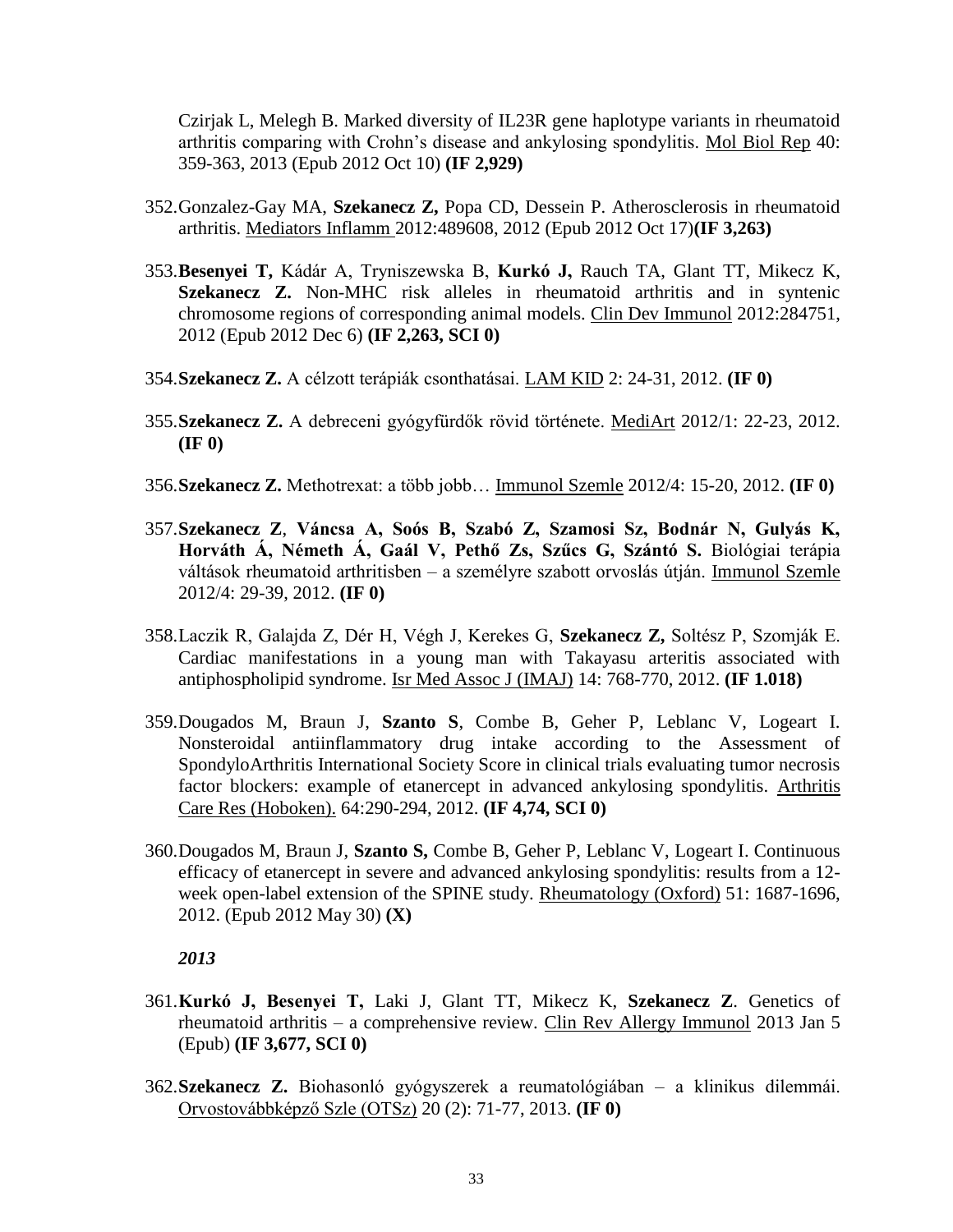Czirjak L, Melegh B. Marked diversity of IL23R gene haplotype variants in rheumatoid arthritis comparing with Crohn's disease and ankylosing spondylitis. Mol Biol Rep 40: 359-363, 2013 (Epub 2012 Oct 10) **(IF 2,929)**

- 352.Gonzalez-Gay MA, **Szekanecz Z,** Popa CD, Dessein P. Atherosclerosis in rheumatoid arthritis. Mediators Inflamm 2012:489608, 2012 (Epub 2012 Oct 17)**(IF 3,263)**
- 353.**Besenyei T,** Kádár A, Tryniszewska B, **Kurkó J,** Rauch TA, Glant TT, Mikecz K, **Szekanecz Z.** Non-MHC risk alleles in rheumatoid arthritis and in syntenic chromosome regions of corresponding animal models. Clin Dev Immunol 2012:284751, 2012 (Epub 2012 Dec 6) **(IF 2,263, SCI 0)**
- 354.**Szekanecz Z.** A célzott terápiák csonthatásai. LAM KID 2: 24-31, 2012. **(IF 0)**
- 355.**Szekanecz Z.** A debreceni gyógyfürdők rövid története. MediArt 2012/1: 22-23, 2012. **(IF 0)**
- 356.**Szekanecz Z.** Methotrexat: a több jobb… Immunol Szemle 2012/4: 15-20, 2012. **(IF 0)**
- 357.**Szekanecz Z**, **Váncsa A, Soós B, Szabó Z, Szamosi Sz, Bodnár N, Gulyás K, Horváth Á, Németh Á, Gaál V, Pethő Zs, Szűcs G, Szántó S.** Biológiai terápia váltások rheumatoid arthritisben – a személyre szabott orvoslás útján. Immunol Szemle 2012/4: 29-39, 2012. **(IF 0)**
- 358.Laczik R, Galajda Z, Dér H, Végh J, Kerekes G, **Szekanecz Z,** Soltész P, Szomják E. Cardiac manifestations in a young man with Takayasu arteritis associated with antiphospholipid syndrome. Isr Med Assoc J (IMAJ) 14: 768-770, 2012. **(IF 1.018)**
- 359.Dougados M, Braun J, **Szanto S**, Combe B, Geher P, Leblanc V, Logeart I. Nonsteroidal antiinflammatory drug intake according to the Assessment of SpondyloArthritis International Society Score in clinical trials evaluating tumor necrosis factor blockers: example of etanercept in advanced ankylosing spondylitis. Arthritis Care Res (Hoboken). 64:290-294, 2012. **(IF 4,74, SCI 0)**
- 360.Dougados M, Braun J, **Szanto S,** Combe B, Geher P, Leblanc V, Logeart I. Continuous efficacy of etanercept in severe and advanced ankylosing spondylitis: results from a 12 week open-label extension of the SPINE study. Rheumatology (Oxford) 51: 1687-1696, 2012. (Epub 2012 May 30) **(X)**

- 361.**Kurkó J, Besenyei T,** Laki J, Glant TT, Mikecz K, **Szekanecz Z**. Genetics of rheumatoid arthritis – a comprehensive review. Clin Rev Allergy Immunol 2013 Jan 5 (Epub) **(IF 3,677, SCI 0)**
- 362.**Szekanecz Z.** Biohasonló gyógyszerek a reumatológiában a klinikus dilemmái. Orvostovábbképző Szle (OTSz) 20 (2): 71-77, 2013. **(IF 0)**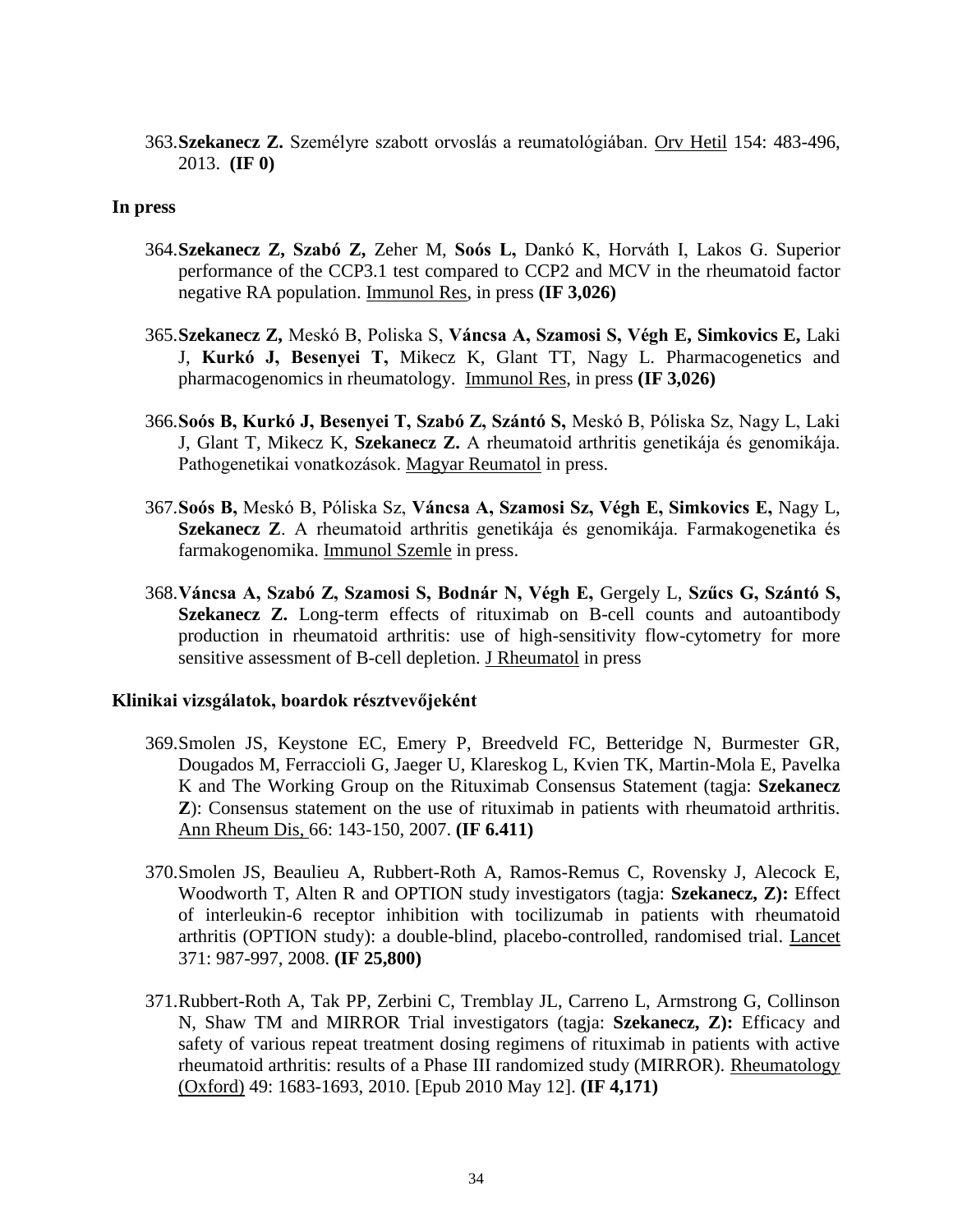363.**Szekanecz Z.** Személyre szabott orvoslás a reumatológiában. Orv Hetil 154: 483-496, 2013. **(IF 0)**

## **In press**

- 364.**Szekanecz Z, Szabó Z,** Zeher M, **Soós L,** Dankó K, Horváth I, Lakos G. Superior performance of the CCP3.1 test compared to CCP2 and MCV in the rheumatoid factor negative RA population. Immunol Res, in press **(IF 3,026)**
- 365.**Szekanecz Z,** Meskó B, Poliska S, **Váncsa A, Szamosi S, Végh E, Simkovics E,** Laki J, **Kurkó J, Besenyei T,** Mikecz K, Glant TT, Nagy L. Pharmacogenetics and pharmacogenomics in rheumatology. Immunol Res, in press **(IF 3,026)**
- 366.**Soós B, Kurkó J, Besenyei T, Szabó Z, Szántó S,** Meskó B, Póliska Sz, Nagy L, Laki J, Glant T, Mikecz K, **Szekanecz Z.** A rheumatoid arthritis genetikája és genomikája. Pathogenetikai vonatkozások. Magyar Reumatol in press.
- 367.**Soós B,** Meskó B, Póliska Sz, **Váncsa A, Szamosi Sz, Végh E, Simkovics E,** Nagy L, **Szekanecz Z**. A rheumatoid arthritis genetikája és genomikája. Farmakogenetika és farmakogenomika. Immunol Szemle in press.
- 368.**Váncsa A, Szabó Z, Szamosi S, Bodnár N, Végh E,** Gergely L, **Szűcs G, Szántó S, Szekanecz Z.** Long-term effects of rituximab on B-cell counts and autoantibody production in rheumatoid arthritis: use of high-sensitivity flow-cytometry for more sensitive assessment of B-cell depletion. J Rheumatol in press

## **Klinikai vizsgálatok, boardok résztvevőjeként**

- 369.Smolen JS, Keystone EC, Emery P, Breedveld FC, Betteridge N, Burmester GR, Dougados M, Ferraccioli G, Jaeger U, Klareskog L, Kvien TK, Martin-Mola E, Pavelka K and The Working Group on the Rituximab Consensus Statement (tagja: **Szekanecz Z**): Consensus statement on the use of rituximab in patients with rheumatoid arthritis. Ann Rheum Dis, 66: 143-150, 2007. **(IF 6.411)**
- 370.Smolen JS, Beaulieu A, Rubbert-Roth A, Ramos-Remus C, Rovensky J, Alecock E, Woodworth T, Alten R and OPTION study investigators (tagja: **Szekanecz, Z):** Effect of interleukin-6 receptor inhibition with tocilizumab in patients with rheumatoid arthritis (OPTION study): a double-blind, placebo-controlled, randomised trial. Lancet 371: 987-997, 2008. **(IF 25,800)**
- 371.Rubbert-Roth A, Tak PP, Zerbini C, Tremblay JL, Carreno L, Armstrong G, Collinson N, Shaw TM and MIRROR Trial investigators (tagja: **Szekanecz, Z):** Efficacy and safety of various repeat treatment dosing regimens of rituximab in patients with active rheumatoid arthritis: results of a Phase III randomized study (MIRROR). Rheumatology (Oxford) 49: 1683-1693, 2010. [Epub 2010 May 12]. **(IF 4,171)**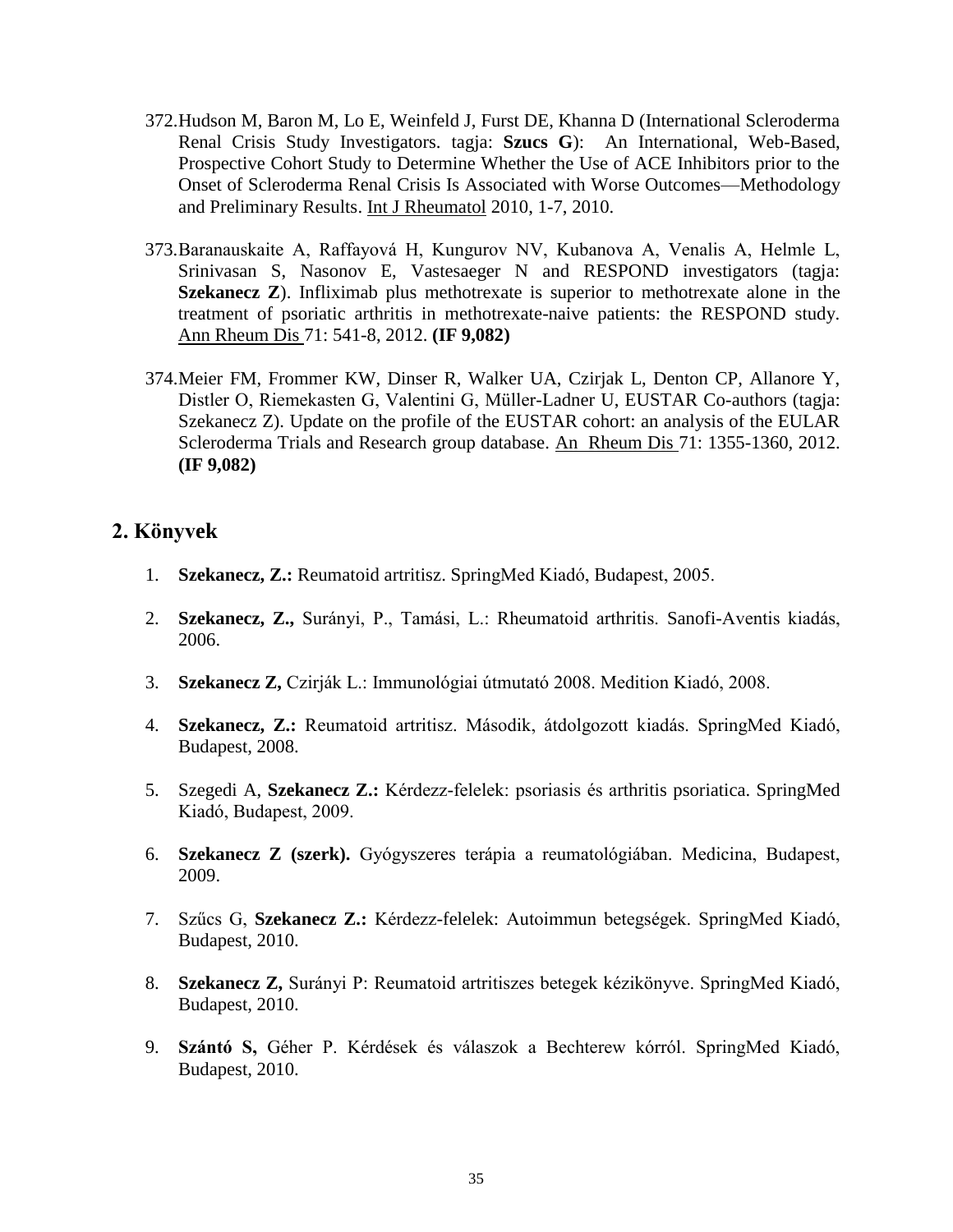- 372.Hudson M, Baron M, Lo E, Weinfeld J, Furst DE, Khanna D (International Scleroderma Renal Crisis Study Investigators. tagja: **Szucs G**): An International, Web-Based, Prospective Cohort Study to Determine Whether the Use of ACE Inhibitors prior to the Onset of Scleroderma Renal Crisis Is Associated with Worse Outcomes—Methodology and Preliminary Results. Int J Rheumatol 2010, 1-7, 2010.
- 373.Baranauskaite A, Raffayová H, Kungurov NV, Kubanova A, Venalis A, Helmle L, Srinivasan S, Nasonov E, Vastesaeger N and RESPOND investigators (tagja: **Szekanecz Z**). Infliximab plus methotrexate is superior to methotrexate alone in the treatment of psoriatic arthritis in methotrexate-naive patients: the RESPOND study. Ann Rheum Dis 71: 541-8, 2012. **(IF 9,082)**
- 374.Meier FM, Frommer KW, Dinser R, Walker UA, Czirjak L, Denton CP, Allanore Y, Distler O, Riemekasten G, Valentini G, Müller-Ladner U, EUSTAR Co-authors (tagja: Szekanecz Z). Update on the profile of the EUSTAR cohort: an analysis of the EULAR Scleroderma Trials and Research group database. An Rheum Dis 71: 1355-1360, 2012. **(IF 9,082)**

# **2. Könyvek**

- 1. **Szekanecz, Z.:** Reumatoid artritisz. SpringMed Kiadó, Budapest, 2005.
- 2. **Szekanecz, Z.,** Surányi, P., Tamási, L.: Rheumatoid arthritis. Sanofi-Aventis kiadás, 2006.
- 3. **Szekanecz Z,** Czirják L.: Immunológiai útmutató 2008. Medition Kiadó, 2008.
- 4. **Szekanecz, Z.:** Reumatoid artritisz. Második, átdolgozott kiadás. SpringMed Kiadó, Budapest, 2008.
- 5. Szegedi A, **Szekanecz Z.:** Kérdezz-felelek: psoriasis és arthritis psoriatica. SpringMed Kiadó, Budapest, 2009.
- 6. **Szekanecz Z (szerk).** Gyógyszeres terápia a reumatológiában. Medicina, Budapest, 2009.
- 7. Szűcs G, **Szekanecz Z.:** Kérdezz-felelek: Autoimmun betegségek. SpringMed Kiadó, Budapest, 2010.
- 8. **Szekanecz Z,** Surányi P: Reumatoid artritiszes betegek kézikönyve. SpringMed Kiadó, Budapest, 2010.
- 9. **Szántó S,** Géher P. Kérdések és válaszok a Bechterew kórról. SpringMed Kiadó, Budapest, 2010.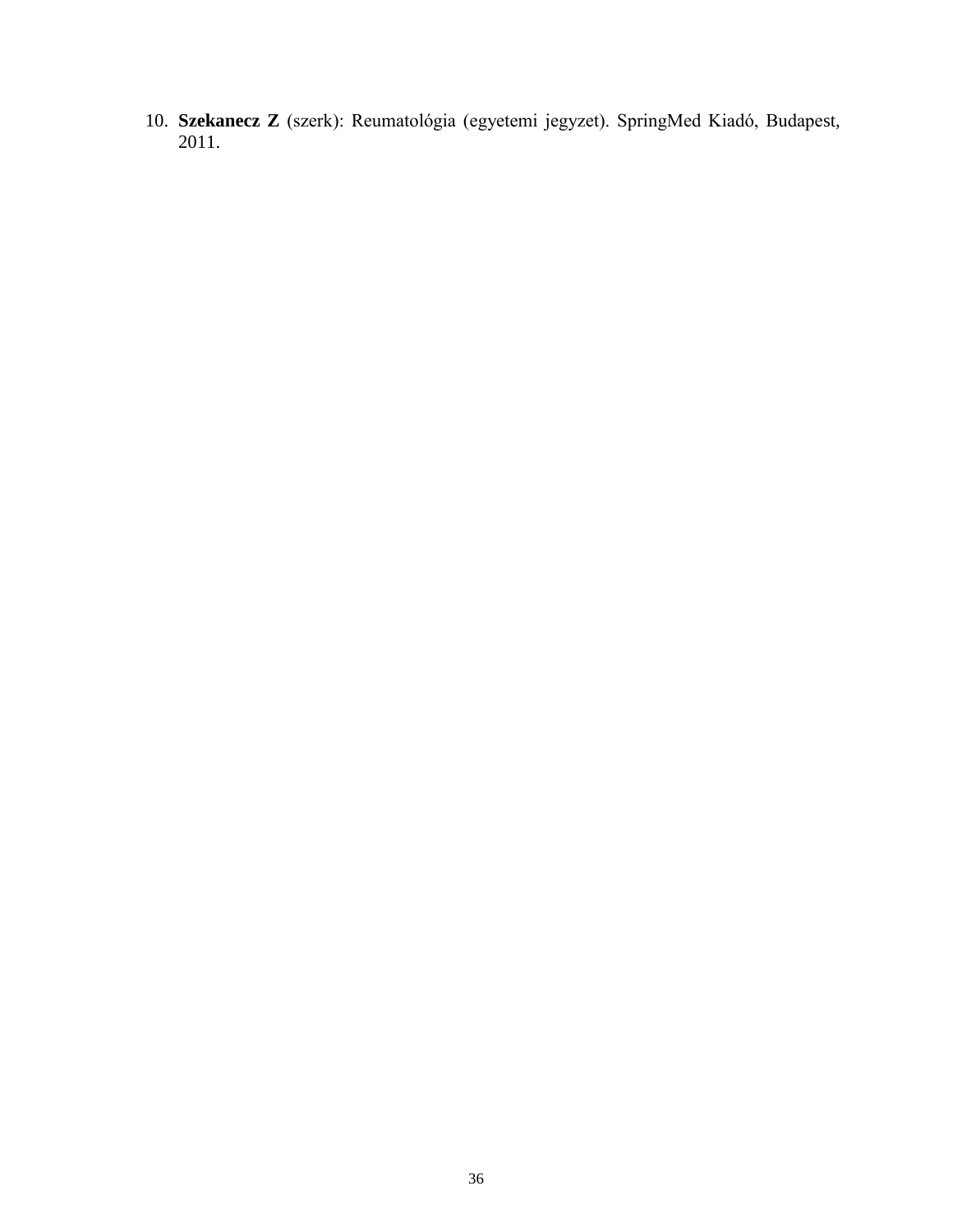10. **Szekanecz Z** (szerk): Reumatológia (egyetemi jegyzet). SpringMed Kiadó, Budapest, 2011.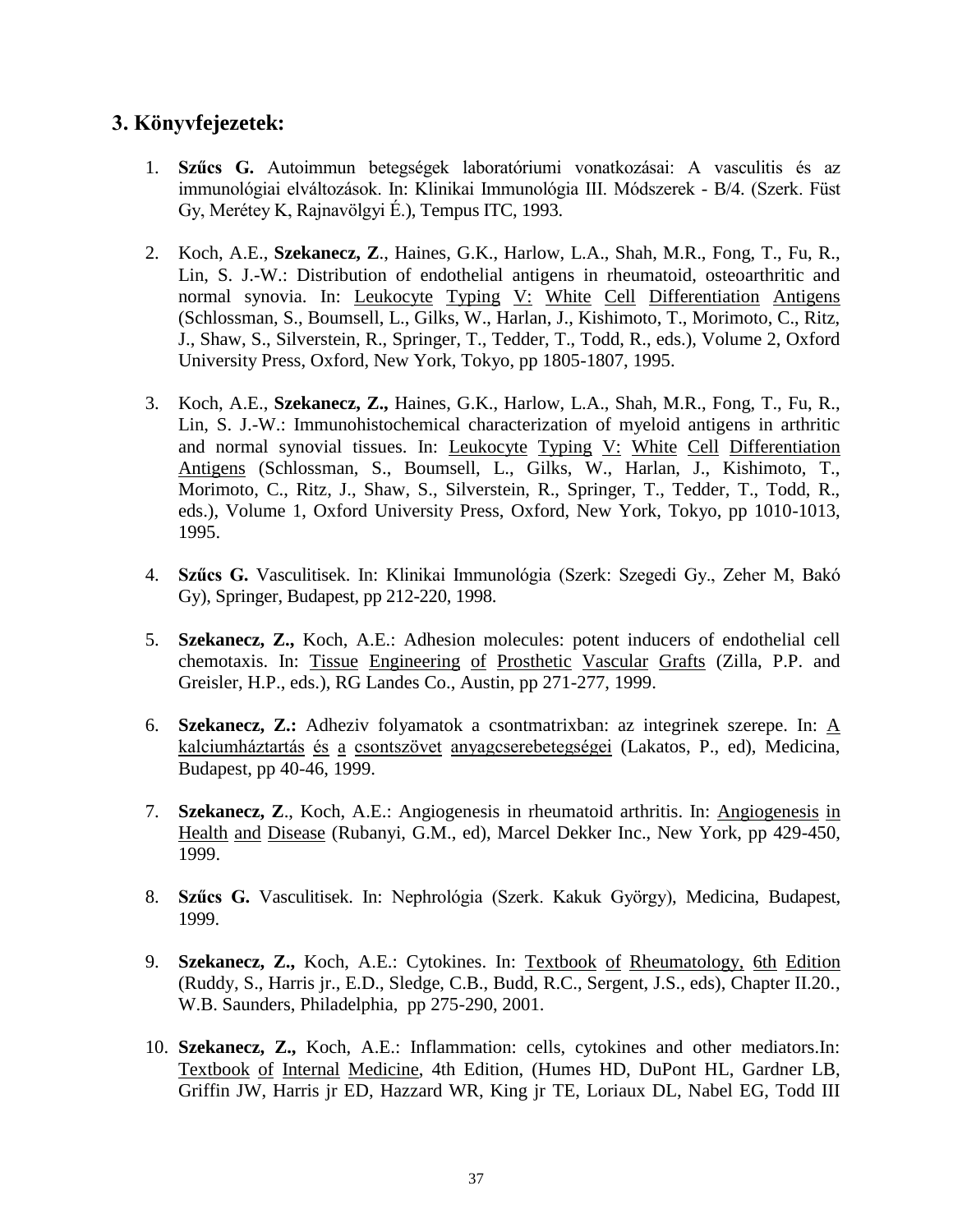# **3. Könyvfejezetek:**

- 1. **Szűcs G.** Autoimmun betegségek laboratóriumi vonatkozásai: A vasculitis és az immunológiai elváltozások. In: Klinikai Immunológia III. Módszerek - B/4. (Szerk. Füst Gy, Merétey K, Rajnavölgyi É.), Tempus ITC, 1993.
- 2. Koch, A.E., **Szekanecz, Z**., Haines, G.K., Harlow, L.A., Shah, M.R., Fong, T., Fu, R., Lin, S. J.-W.: Distribution of endothelial antigens in rheumatoid, osteoarthritic and normal synovia. In: Leukocyte Typing V: White Cell Differentiation Antigens (Schlossman, S., Boumsell, L., Gilks, W., Harlan, J., Kishimoto, T., Morimoto, C., Ritz, J., Shaw, S., Silverstein, R., Springer, T., Tedder, T., Todd, R., eds.), Volume 2, Oxford University Press, Oxford, New York, Tokyo, pp 1805-1807, 1995.
- 3. Koch, A.E., **Szekanecz, Z.,** Haines, G.K., Harlow, L.A., Shah, M.R., Fong, T., Fu, R., Lin, S. J.-W.: Immunohistochemical characterization of myeloid antigens in arthritic and normal synovial tissues. In: Leukocyte Typing V: White Cell Differentiation Antigens (Schlossman, S., Boumsell, L., Gilks, W., Harlan, J., Kishimoto, T., Morimoto, C., Ritz, J., Shaw, S., Silverstein, R., Springer, T., Tedder, T., Todd, R., eds.), Volume 1, Oxford University Press, Oxford, New York, Tokyo, pp 1010-1013, 1995.
- 4. **Szűcs G.** Vasculitisek. In: Klinikai Immunológia (Szerk: Szegedi Gy., Zeher M, Bakó Gy), Springer, Budapest, pp 212-220, 1998.
- 5. **Szekanecz, Z.,** Koch, A.E.: Adhesion molecules: potent inducers of endothelial cell chemotaxis. In: Tissue Engineering of Prosthetic Vascular Grafts (Zilla, P.P. and Greisler, H.P., eds.), RG Landes Co., Austin, pp 271-277, 1999.
- 6. **Szekanecz, Z.:** Adheziv folyamatok a csontmatrixban: az integrinek szerepe. In: A kalciumháztartás és a csontszövet anyagcserebetegségei (Lakatos, P., ed), Medicina, Budapest, pp 40-46, 1999.
- 7. **Szekanecz, Z**., Koch, A.E.: Angiogenesis in rheumatoid arthritis. In: Angiogenesis in Health and Disease (Rubanyi, G.M., ed), Marcel Dekker Inc., New York, pp 429-450, 1999.
- 8. **Szűcs G.** Vasculitisek. In: Nephrológia (Szerk. Kakuk György), Medicina, Budapest, 1999.
- 9. **Szekanecz, Z.,** Koch, A.E.: Cytokines. In: Textbook of Rheumatology, 6th Edition (Ruddy, S., Harris jr., E.D., Sledge, C.B., Budd, R.C., Sergent, J.S., eds), Chapter II.20., W.B. Saunders, Philadelphia, pp 275-290, 2001.
- 10. **Szekanecz, Z.,** Koch, A.E.: Inflammation: cells, cytokines and other mediators.In: Textbook of Internal Medicine, 4th Edition, (Humes HD, DuPont HL, Gardner LB, Griffin JW, Harris jr ED, Hazzard WR, King jr TE, Loriaux DL, Nabel EG, Todd III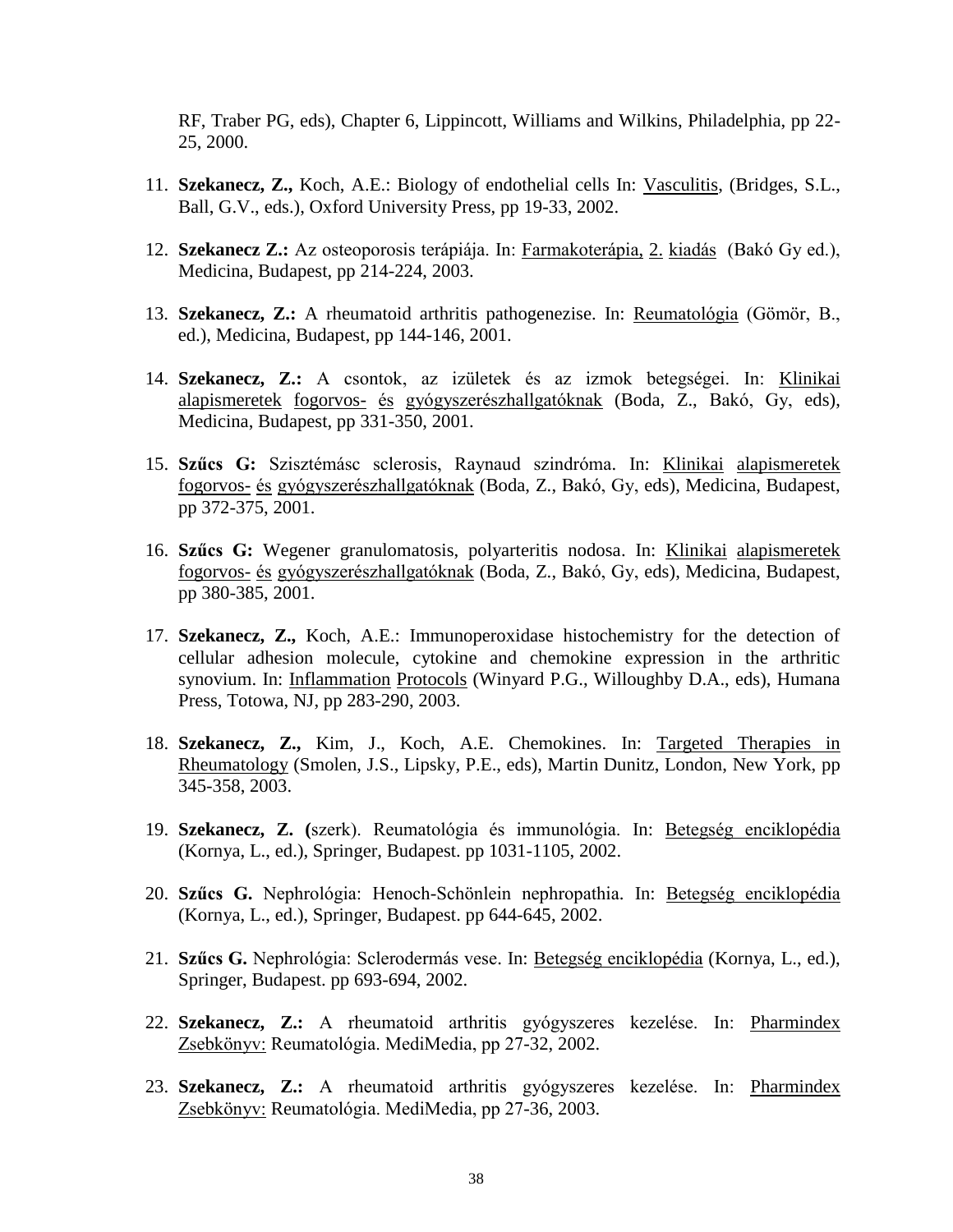RF, Traber PG, eds), Chapter 6, Lippincott, Williams and Wilkins, Philadelphia, pp 22- 25, 2000.

- 11. **Szekanecz, Z.,** Koch, A.E.: Biology of endothelial cells In: Vasculitis, (Bridges, S.L., Ball, G.V., eds.), Oxford University Press, pp 19-33, 2002.
- 12. **Szekanecz Z.:** Az osteoporosis terápiája. In: Farmakoterápia, 2. kiadás (Bakó Gy ed.), Medicina, Budapest, pp 214-224, 2003.
- 13. **Szekanecz, Z.:** A rheumatoid arthritis pathogenezise. In: Reumatológia (Gömör, B., ed.), Medicina, Budapest, pp 144-146, 2001.
- 14. **Szekanecz, Z.:** A csontok, az izületek és az izmok betegségei. In: Klinikai alapismeretek fogorvos- és gyógyszerészhallgatóknak (Boda, Z., Bakó, Gy, eds), Medicina, Budapest, pp 331-350, 2001.
- 15. **Szűcs G:** Szisztémásc sclerosis, Raynaud szindróma. In: Klinikai alapismeretek fogorvos- és gyógyszerészhallgatóknak (Boda, Z., Bakó, Gy, eds), Medicina, Budapest, pp 372-375, 2001.
- 16. **Szűcs G:** Wegener granulomatosis, polyarteritis nodosa. In: Klinikai alapismeretek fogorvos- és gyógyszerészhallgatóknak (Boda, Z., Bakó, Gy, eds), Medicina, Budapest, pp 380-385, 2001.
- 17. **Szekanecz, Z.,** Koch, A.E.: Immunoperoxidase histochemistry for the detection of cellular adhesion molecule, cytokine and chemokine expression in the arthritic synovium. In: Inflammation Protocols (Winyard P.G., Willoughby D.A., eds), Humana Press, Totowa, NJ, pp 283-290, 2003.
- 18. **Szekanecz, Z.,** Kim, J., Koch, A.E. Chemokines. In: Targeted Therapies in Rheumatology (Smolen, J.S., Lipsky, P.E., eds), Martin Dunitz, London, New York, pp 345-358, 2003.
- 19. **Szekanecz, Z. (**szerk). Reumatológia és immunológia. In: Betegség enciklopédia (Kornya, L., ed.), Springer, Budapest. pp 1031-1105, 2002.
- 20. **Szűcs G.** Nephrológia: Henoch-Schönlein nephropathia. In: Betegség enciklopédia (Kornya, L., ed.), Springer, Budapest. pp 644-645, 2002.
- 21. **Szűcs G.** Nephrológia: Sclerodermás vese. In: Betegség enciklopédia (Kornya, L., ed.), Springer, Budapest. pp 693-694, 2002.
- 22. **Szekanecz, Z.:** A rheumatoid arthritis gyógyszeres kezelése. In: Pharmindex Zsebkönyv: Reumatológia. MediMedia, pp 27-32, 2002.
- 23. **Szekanecz, Z.:** A rheumatoid arthritis gyógyszeres kezelése. In: Pharmindex Zsebkönyv: Reumatológia. MediMedia, pp 27-36, 2003.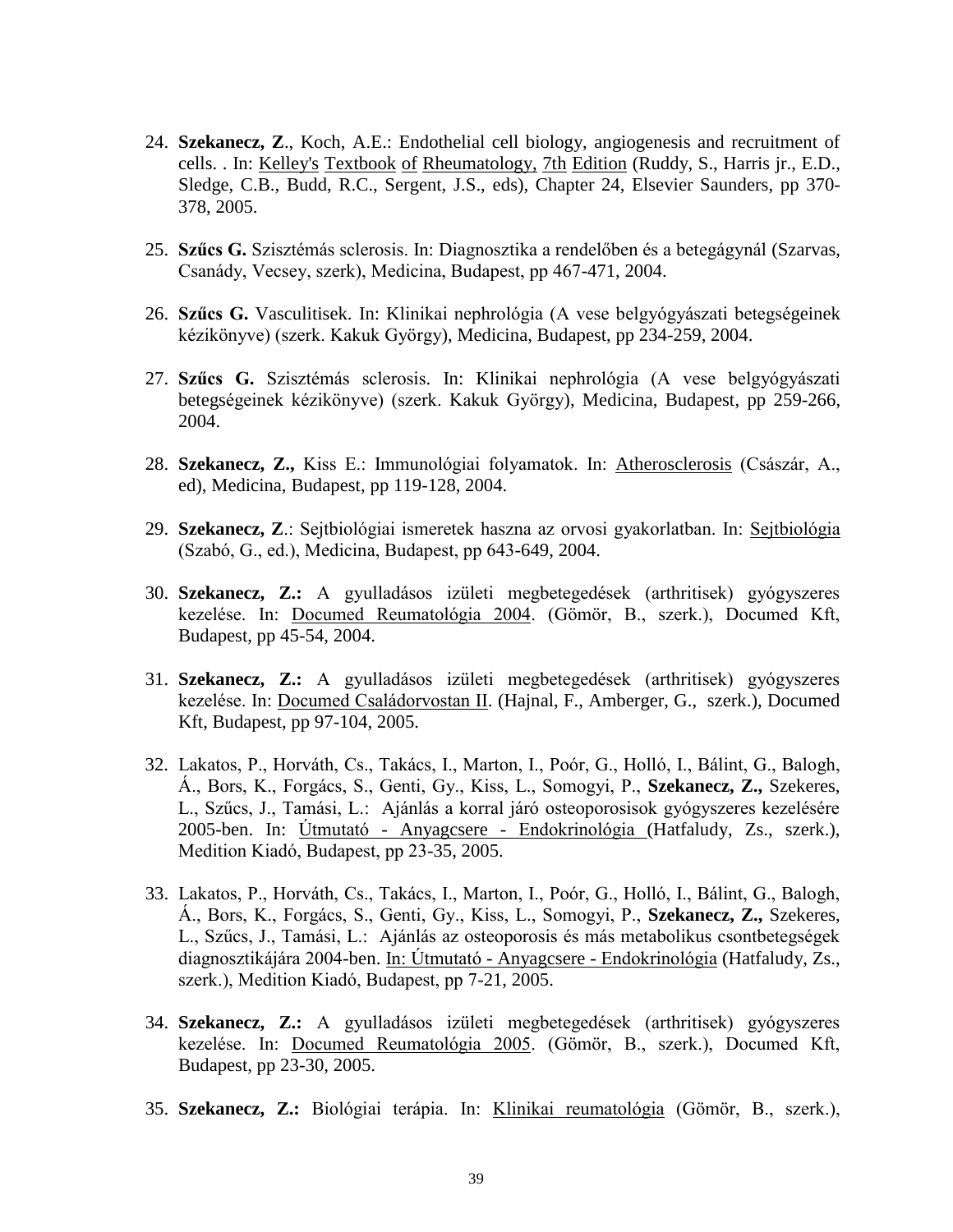- 24. **Szekanecz, Z**., Koch, A.E.: Endothelial cell biology, angiogenesis and recruitment of cells. . In: Kelley's Textbook of Rheumatology, 7th Edition (Ruddy, S., Harris jr., E.D., Sledge, C.B., Budd, R.C., Sergent, J.S., eds), Chapter 24, Elsevier Saunders, pp 370- 378, 2005.
- 25. **Szűcs G.** Szisztémás sclerosis. In: Diagnosztika a rendelőben és a betegágynál (Szarvas, Csanády, Vecsey, szerk), Medicina, Budapest, pp 467-471, 2004.
- 26. **Szűcs G.** Vasculitisek. In: Klinikai nephrológia (A vese belgyógyászati betegségeinek kézikönyve) (szerk. Kakuk György), Medicina, Budapest, pp 234-259, 2004.
- 27. **Szűcs G.** Szisztémás sclerosis. In: Klinikai nephrológia (A vese belgyógyászati betegségeinek kézikönyve) (szerk. Kakuk György), Medicina, Budapest, pp 259-266, 2004.
- 28. **Szekanecz, Z.,** Kiss E.: Immunológiai folyamatok. In: Atherosclerosis (Császár, A., ed), Medicina, Budapest, pp 119-128, 2004.
- 29. **Szekanecz, Z**.: Sejtbiológiai ismeretek haszna az orvosi gyakorlatban. In: Sejtbiológia (Szabó, G., ed.), Medicina, Budapest, pp 643-649, 2004.
- 30. **Szekanecz, Z.:** A gyulladásos izületi megbetegedések (arthritisek) gyógyszeres kezelése. In: Documed Reumatológia 2004. (Gömör, B., szerk.), Documed Kft, Budapest, pp 45-54, 2004.
- 31. **Szekanecz, Z.:** A gyulladásos izületi megbetegedések (arthritisek) gyógyszeres kezelése. In: Documed Családorvostan II. (Hajnal, F., Amberger, G., szerk.), Documed Kft, Budapest, pp 97-104, 2005.
- 32. Lakatos, P., Horváth, Cs., Takács, I., Marton, I., Poór, G., Holló, I., Bálint, G., Balogh, Á., Bors, K., Forgács, S., Genti, Gy., Kiss, L., Somogyi, P., **Szekanecz, Z.,** Szekeres, L., Szűcs, J., Tamási, L.: Ajánlás a korral járó osteoporosisok gyógyszeres kezelésére 2005-ben. In: Útmutató - Anyagcsere - Endokrinológia (Hatfaludy, Zs., szerk.), Medition Kiadó, Budapest, pp 23-35, 2005.
- 33. Lakatos, P., Horváth, Cs., Takács, I., Marton, I., Poór, G., Holló, I., Bálint, G., Balogh, Á., Bors, K., Forgács, S., Genti, Gy., Kiss, L., Somogyi, P., **Szekanecz, Z.,** Szekeres, L., Szűcs, J., Tamási, L.: Ajánlás az osteoporosis és más metabolikus csontbetegségek diagnosztikájára 2004-ben. In: Útmutató - Anyagcsere - Endokrinológia (Hatfaludy, Zs., szerk.), Medition Kiadó, Budapest, pp 7-21, 2005.
- 34. **Szekanecz, Z.:** A gyulladásos izületi megbetegedések (arthritisek) gyógyszeres kezelése. In: Documed Reumatológia 2005. (Gömör, B., szerk.), Documed Kft, Budapest, pp 23-30, 2005.
- 35. **Szekanecz, Z.:** Biológiai terápia. In: Klinikai reumatológia (Gömör, B., szerk.),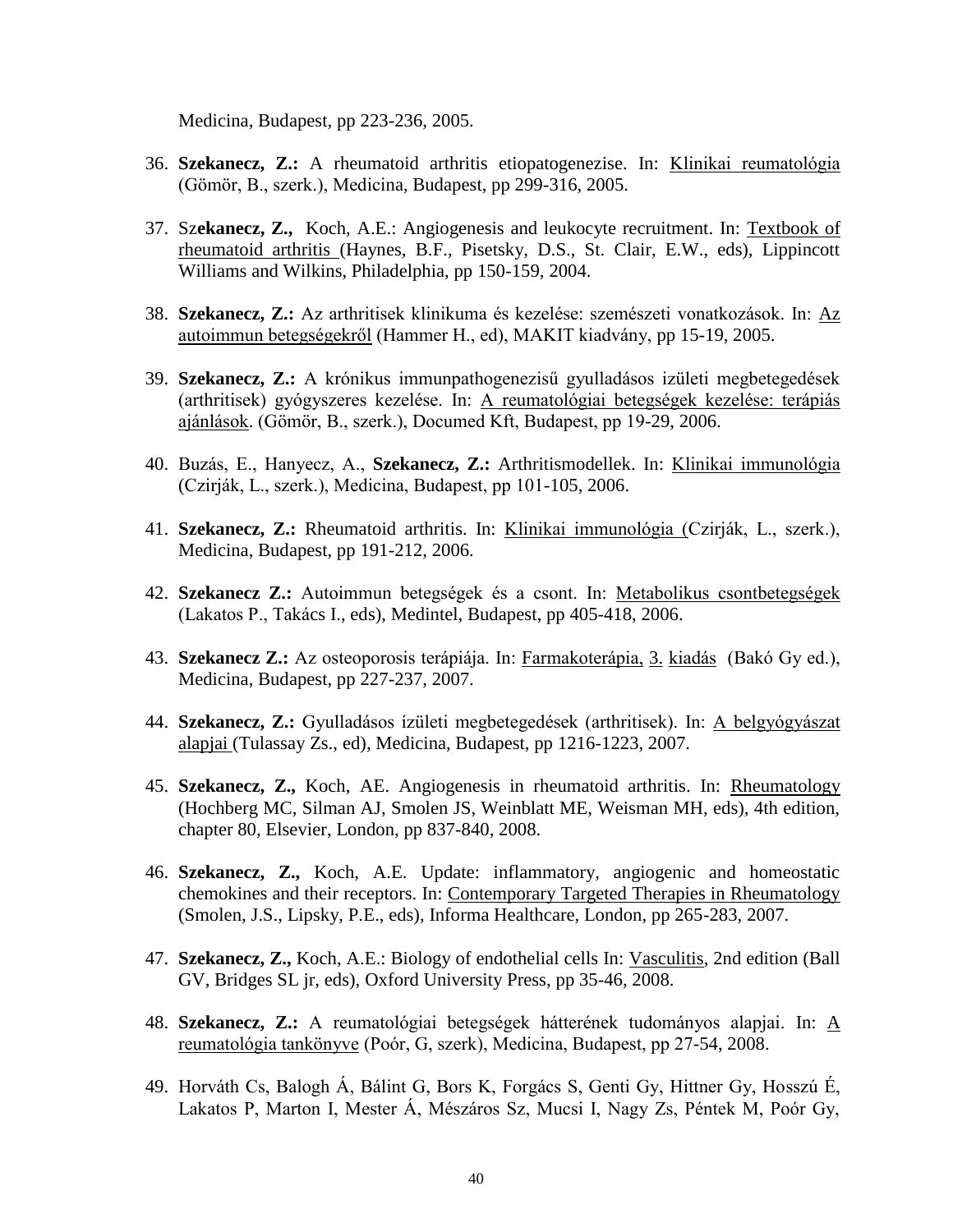Medicina, Budapest, pp 223-236, 2005.

- 36. **Szekanecz, Z.:** A rheumatoid arthritis etiopatogenezise. In: Klinikai reumatológia (Gömör, B., szerk.), Medicina, Budapest, pp 299-316, 2005.
- 37. Sz**ekanecz, Z.,** Koch, A.E.: Angiogenesis and leukocyte recruitment. In: Textbook of rheumatoid arthritis (Haynes, B.F., Pisetsky, D.S., St. Clair, E.W., eds), Lippincott Williams and Wilkins, Philadelphia, pp 150-159, 2004.
- 38. **Szekanecz, Z.:** Az arthritisek klinikuma és kezelése: szemészeti vonatkozások. In: Az autoimmun betegségekről (Hammer H., ed), MAKIT kiadvány, pp 15-19, 2005.
- 39. **Szekanecz, Z.:** A krónikus immunpathogenezisű gyulladásos izületi megbetegedések (arthritisek) gyógyszeres kezelése. In: A reumatológiai betegségek kezelése: terápiás ajánlások. (Gömör, B., szerk.), Documed Kft, Budapest, pp 19-29, 2006.
- 40. Buzás, E., Hanyecz, A., **Szekanecz, Z.:** Arthritismodellek. In: Klinikai immunológia (Czirják, L., szerk.), Medicina, Budapest, pp 101-105, 2006.
- 41. **Szekanecz, Z.:** Rheumatoid arthritis. In: Klinikai immunológia (Czirják, L., szerk.), Medicina, Budapest, pp 191-212, 2006.
- 42. **Szekanecz Z.:** Autoimmun betegségek és a csont. In: Metabolikus csontbetegségek (Lakatos P., Takács I., eds), Medintel, Budapest, pp 405-418, 2006.
- 43. **Szekanecz Z.:** Az osteoporosis terápiája. In: Farmakoterápia, 3. kiadás (Bakó Gy ed.), Medicina, Budapest, pp 227-237, 2007.
- 44. **Szekanecz, Z.:** Gyulladásos ízületi megbetegedések (arthritisek). In: A belgyógyászat alapjai (Tulassay Zs., ed), Medicina, Budapest, pp 1216-1223, 2007.
- 45. **Szekanecz, Z.,** Koch, AE. Angiogenesis in rheumatoid arthritis. In: Rheumatology (Hochberg MC, Silman AJ, Smolen JS, Weinblatt ME, Weisman MH, eds), 4th edition, chapter 80, Elsevier, London, pp 837-840, 2008.
- 46. **Szekanecz, Z.,** Koch, A.E. Update: inflammatory, angiogenic and homeostatic chemokines and their receptors. In: Contemporary Targeted Therapies in Rheumatology (Smolen, J.S., Lipsky, P.E., eds), Informa Healthcare, London, pp 265-283, 2007.
- 47. **Szekanecz, Z.,** Koch, A.E.: Biology of endothelial cells In: Vasculitis, 2nd edition (Ball GV, Bridges SL jr, eds), Oxford University Press, pp 35-46, 2008.
- 48. **Szekanecz, Z.:** A reumatológiai betegségek hátterének tudományos alapjai. In: A reumatológia tankönyve (Poór, G, szerk), Medicina, Budapest, pp 27-54, 2008.
- 49. Horváth Cs, Balogh Á, Bálint G, Bors K, Forgács S, Genti Gy, Hittner Gy, Hosszú É, Lakatos P, Marton I, Mester Á, Mészáros Sz, Mucsi I, Nagy Zs, Péntek M, Poór Gy,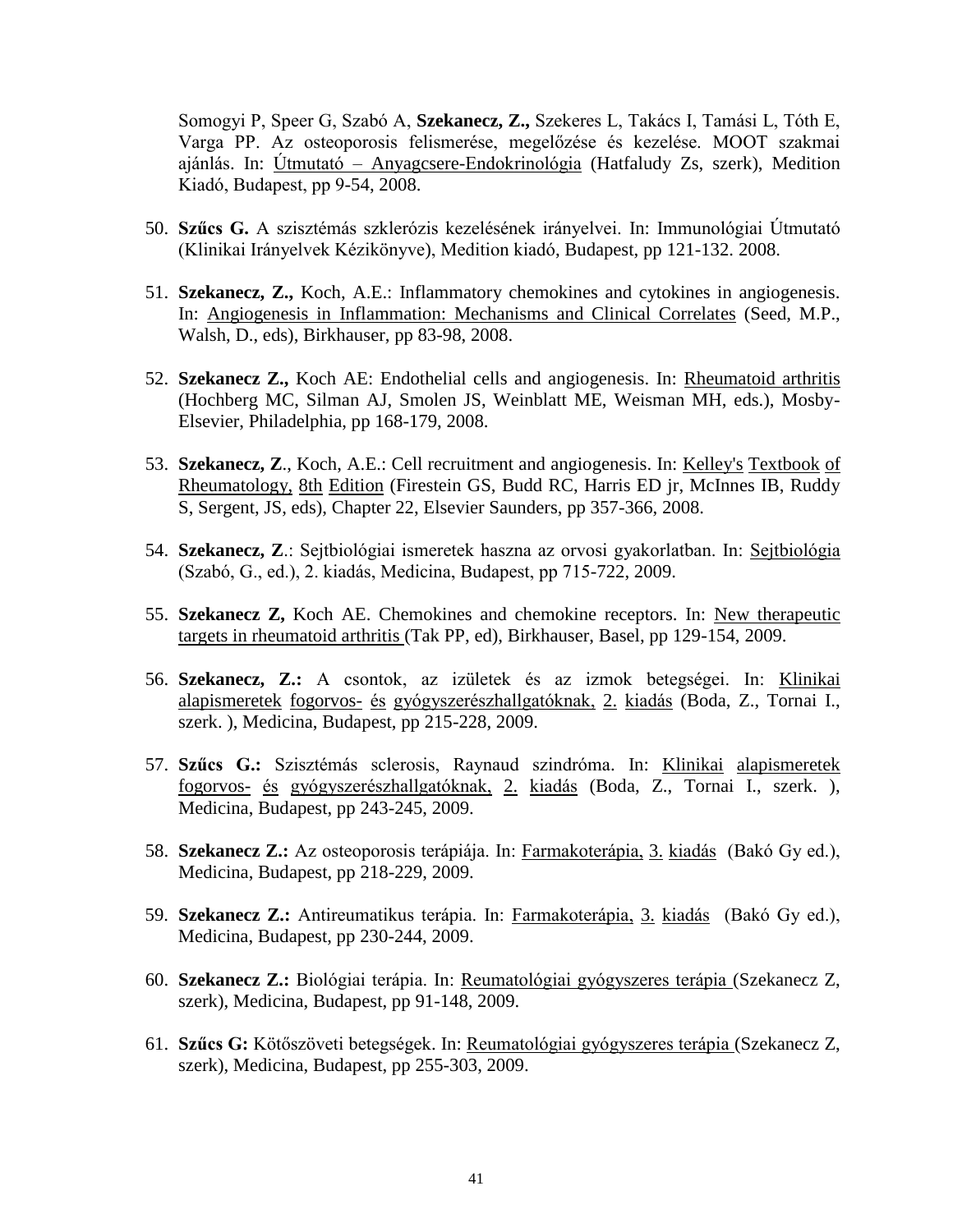Somogyi P, Speer G, Szabó A, **Szekanecz, Z.,** Szekeres L, Takács I, Tamási L, Tóth E, Varga PP. Az osteoporosis felismerése, megelőzése és kezelése. MOOT szakmai ajánlás. In: Útmutató – Anyagcsere-Endokrinológia (Hatfaludy Zs, szerk), Medition Kiadó, Budapest, pp 9-54, 2008.

- 50. **Szűcs G.** A szisztémás szklerózis kezelésének irányelvei. In: Immunológiai Útmutató (Klinikai Irányelvek Kézikönyve), Medition kiadó, Budapest, pp 121-132. 2008.
- 51. **Szekanecz, Z.,** Koch, A.E.: Inflammatory chemokines and cytokines in angiogenesis. In: Angiogenesis in Inflammation: Mechanisms and Clinical Correlates (Seed, M.P., Walsh, D., eds), Birkhauser, pp 83-98, 2008.
- 52. **Szekanecz Z.,** Koch AE: Endothelial cells and angiogenesis. In: Rheumatoid arthritis (Hochberg MC, Silman AJ, Smolen JS, Weinblatt ME, Weisman MH, eds.), Mosby-Elsevier, Philadelphia, pp 168-179, 2008.
- 53. **Szekanecz, Z**., Koch, A.E.: Cell recruitment and angiogenesis. In: Kelley's Textbook of Rheumatology, 8th Edition (Firestein GS, Budd RC, Harris ED jr, McInnes IB, Ruddy S, Sergent, JS, eds), Chapter 22, Elsevier Saunders, pp 357-366, 2008.
- 54. **Szekanecz, Z**.: Sejtbiológiai ismeretek haszna az orvosi gyakorlatban. In: Sejtbiológia (Szabó, G., ed.), 2. kiadás, Medicina, Budapest, pp 715-722, 2009.
- 55. **Szekanecz Z,** Koch AE. Chemokines and chemokine receptors. In: New therapeutic targets in rheumatoid arthritis (Tak PP, ed), Birkhauser, Basel, pp 129-154, 2009.
- 56. **Szekanecz, Z.:** A csontok, az izületek és az izmok betegségei. In: Klinikai alapismeretek fogorvos- és gyógyszerészhallgatóknak, 2. kiadás (Boda, Z., Tornai I., szerk. ), Medicina, Budapest, pp 215-228, 2009.
- 57. **Szűcs G.:** Szisztémás sclerosis, Raynaud szindróma. In: Klinikai alapismeretek fogorvos- és gyógyszerészhallgatóknak, 2. kiadás (Boda, Z., Tornai I., szerk. ), Medicina, Budapest, pp 243-245, 2009.
- 58. **Szekanecz Z.:** Az osteoporosis terápiája. In: Farmakoterápia, 3. kiadás (Bakó Gy ed.), Medicina, Budapest, pp 218-229, 2009.
- 59. **Szekanecz Z.:** Antireumatikus terápia. In: Farmakoterápia, 3. kiadás (Bakó Gy ed.), Medicina, Budapest, pp 230-244, 2009.
- 60. **Szekanecz Z.:** Biológiai terápia. In: Reumatológiai gyógyszeres terápia (Szekanecz Z, szerk), Medicina, Budapest, pp 91-148, 2009.
- 61. **Szűcs G:** Kötőszöveti betegségek. In: Reumatológiai gyógyszeres terápia (Szekanecz Z, szerk), Medicina, Budapest, pp 255-303, 2009.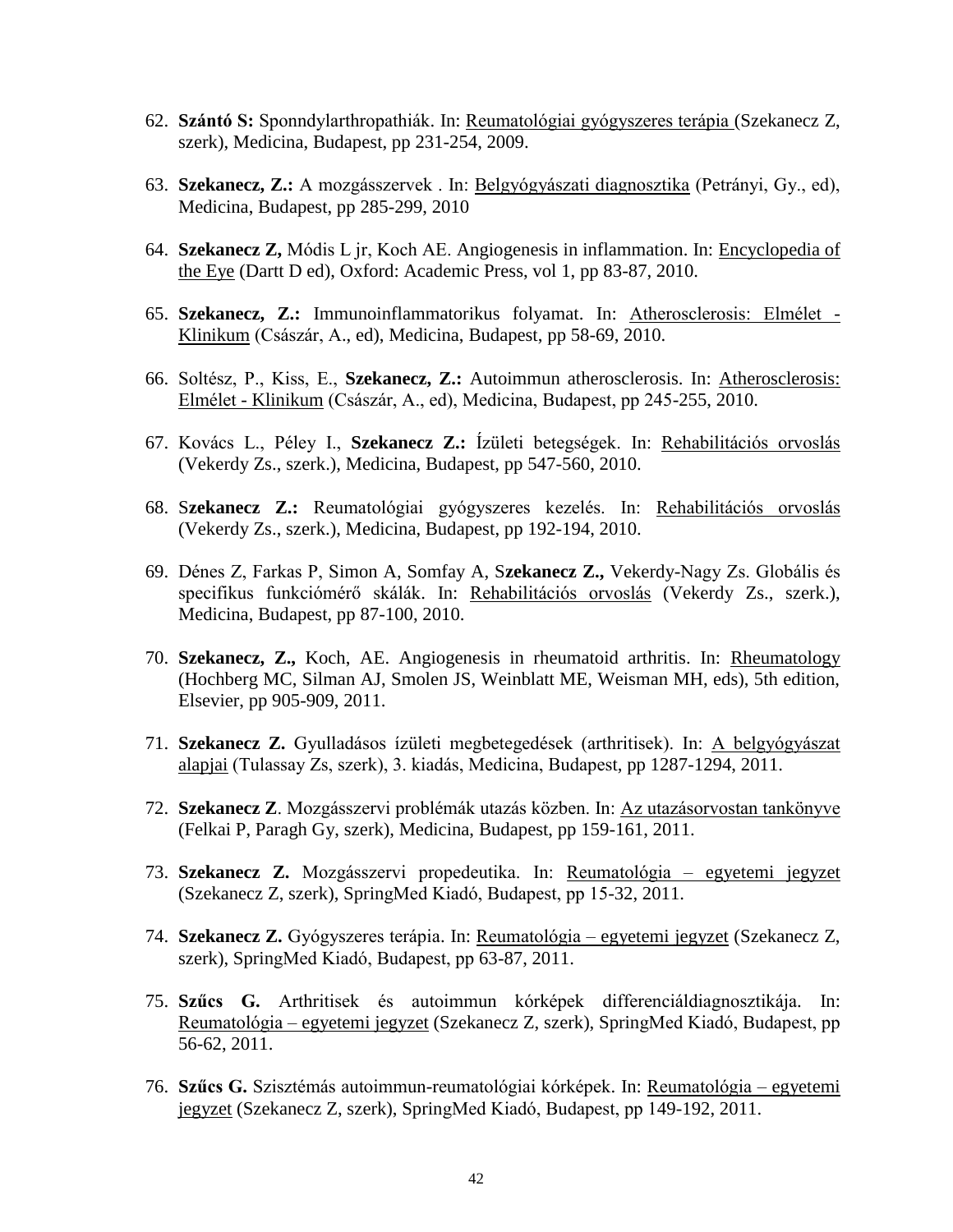- 62. **Szántó S:** Sponndylarthropathiák. In: Reumatológiai gyógyszeres terápia (Szekanecz Z, szerk), Medicina, Budapest, pp 231-254, 2009.
- 63. **Szekanecz, Z.:** A mozgásszervek . In: Belgyógyászati diagnosztika (Petrányi, Gy., ed), Medicina, Budapest, pp 285-299, 2010
- 64. **Szekanecz Z,** Módis L jr, Koch AE. Angiogenesis in inflammation. In: Encyclopedia of the Eye (Dartt D ed), Oxford: Academic Press, vol 1, pp 83-87, 2010.
- 65. **Szekanecz, Z.:** Immunoinflammatorikus folyamat. In: Atherosclerosis: Elmélet Klinikum (Császár, A., ed), Medicina, Budapest, pp 58-69, 2010.
- 66. Soltész, P., Kiss, E., **Szekanecz, Z.:** Autoimmun atherosclerosis. In: Atherosclerosis: Elmélet - Klinikum (Császár, A., ed), Medicina, Budapest, pp 245-255, 2010.
- 67. Kovács L., Péley I., **Szekanecz Z.:** Ízületi betegségek. In: Rehabilitációs orvoslás (Vekerdy Zs., szerk.), Medicina, Budapest, pp 547-560, 2010.
- 68. S**zekanecz Z.:** Reumatológiai gyógyszeres kezelés. In: Rehabilitációs orvoslás (Vekerdy Zs., szerk.), Medicina, Budapest, pp 192-194, 2010.
- 69. Dénes Z, Farkas P, Simon A, Somfay A, S**zekanecz Z.,** Vekerdy-Nagy Zs. Globális és specifikus funkciómérő skálák. In: Rehabilitációs orvoslás (Vekerdy Zs., szerk.), Medicina, Budapest, pp 87-100, 2010.
- 70. **Szekanecz, Z.,** Koch, AE. Angiogenesis in rheumatoid arthritis. In: Rheumatology (Hochberg MC, Silman AJ, Smolen JS, Weinblatt ME, Weisman MH, eds), 5th edition, Elsevier, pp 905-909, 2011.
- 71. **Szekanecz Z.** Gyulladásos ízületi megbetegedések (arthritisek). In: A belgyógyászat alapjai (Tulassay Zs, szerk), 3. kiadás, Medicina, Budapest, pp 1287-1294, 2011.
- 72. **Szekanecz Z**. Mozgásszervi problémák utazás közben. In: Az utazásorvostan tankönyve (Felkai P, Paragh Gy, szerk), Medicina, Budapest, pp 159-161, 2011.
- 73. **Szekanecz Z.** Mozgásszervi propedeutika. In: Reumatológia egyetemi jegyzet (Szekanecz Z, szerk), SpringMed Kiadó, Budapest, pp 15-32, 2011.
- 74. **Szekanecz Z.** Gyógyszeres terápia. In: Reumatológia egyetemi jegyzet (Szekanecz Z, szerk), SpringMed Kiadó, Budapest, pp 63-87, 2011.
- 75. **Szűcs G.** Arthritisek és autoimmun kórképek differenciáldiagnosztikája. In: Reumatológia – egyetemi jegyzet (Szekanecz Z, szerk), SpringMed Kiadó, Budapest, pp 56-62, 2011.
- 76. **Szűcs G.** Szisztémás autoimmun-reumatológiai kórképek. In: Reumatológia egyetemi jegyzet (Szekanecz Z, szerk), SpringMed Kiadó, Budapest, pp 149-192, 2011.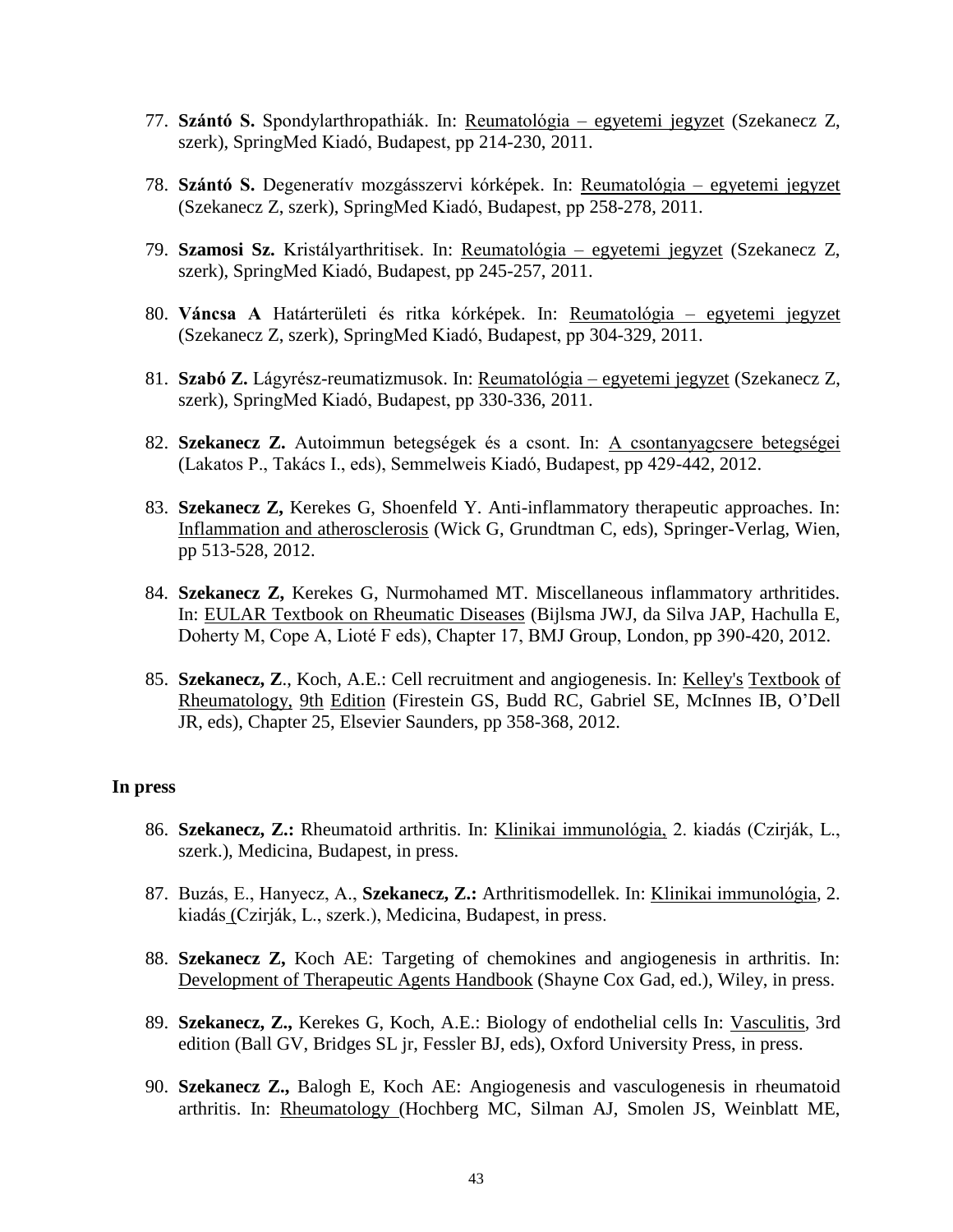- 77. **Szántó S.** Spondylarthropathiák. In: Reumatológia egyetemi jegyzet (Szekanecz Z, szerk), SpringMed Kiadó, Budapest, pp 214-230, 2011.
- 78. **Szántó S.** Degeneratív mozgásszervi kórképek. In: Reumatológia egyetemi jegyzet (Szekanecz Z, szerk), SpringMed Kiadó, Budapest, pp 258-278, 2011.
- 79. **Szamosi Sz.** Kristályarthritisek. In: Reumatológia egyetemi jegyzet (Szekanecz Z, szerk), SpringMed Kiadó, Budapest, pp 245-257, 2011.
- 80. **Váncsa A** Határterületi és ritka kórképek. In: Reumatológia egyetemi jegyzet (Szekanecz Z, szerk), SpringMed Kiadó, Budapest, pp 304-329, 2011.
- 81. **Szabó Z.** Lágyrész-reumatizmusok. In: Reumatológia egyetemi jegyzet (Szekanecz Z, szerk), SpringMed Kiadó, Budapest, pp 330-336, 2011.
- 82. **Szekanecz Z.** Autoimmun betegségek és a csont. In: A csontanyagcsere betegségei (Lakatos P., Takács I., eds), Semmelweis Kiadó, Budapest, pp 429-442, 2012.
- 83. **Szekanecz Z,** Kerekes G, Shoenfeld Y. Anti-inflammatory therapeutic approaches. In: Inflammation and atherosclerosis (Wick G, Grundtman C, eds), Springer-Verlag, Wien, pp 513-528, 2012.
- 84. **Szekanecz Z,** Kerekes G, Nurmohamed MT. Miscellaneous inflammatory arthritides. In: EULAR Textbook on Rheumatic Diseases (Bijlsma JWJ, da Silva JAP, Hachulla E, Doherty M, Cope A, Lioté F eds), Chapter 17, BMJ Group, London, pp 390-420, 2012.
- 85. **Szekanecz, Z**., Koch, A.E.: Cell recruitment and angiogenesis. In: Kelley's Textbook of Rheumatology, 9th Edition (Firestein GS, Budd RC, Gabriel SE, McInnes IB, O'Dell JR, eds), Chapter 25, Elsevier Saunders, pp 358-368, 2012.

## **In press**

- 86. **Szekanecz, Z.:** Rheumatoid arthritis. In: Klinikai immunológia, 2. kiadás (Czirják, L., szerk.), Medicina, Budapest, in press.
- 87. Buzás, E., Hanyecz, A., **Szekanecz, Z.:** Arthritismodellek. In: Klinikai immunológia, 2. kiadás (Czirják, L., szerk.), Medicina, Budapest, in press.
- 88. **Szekanecz Z,** Koch AE: Targeting of chemokines and angiogenesis in arthritis. In: Development of Therapeutic Agents Handbook (Shayne Cox Gad, ed.), Wiley, in press.
- 89. **Szekanecz, Z.,** Kerekes G, Koch, A.E.: Biology of endothelial cells In: Vasculitis, 3rd edition (Ball GV, Bridges SL jr, Fessler BJ, eds), Oxford University Press, in press.
- 90. **Szekanecz Z.,** Balogh E, Koch AE: Angiogenesis and vasculogenesis in rheumatoid arthritis. In: Rheumatology (Hochberg MC, Silman AJ, Smolen JS, Weinblatt ME,